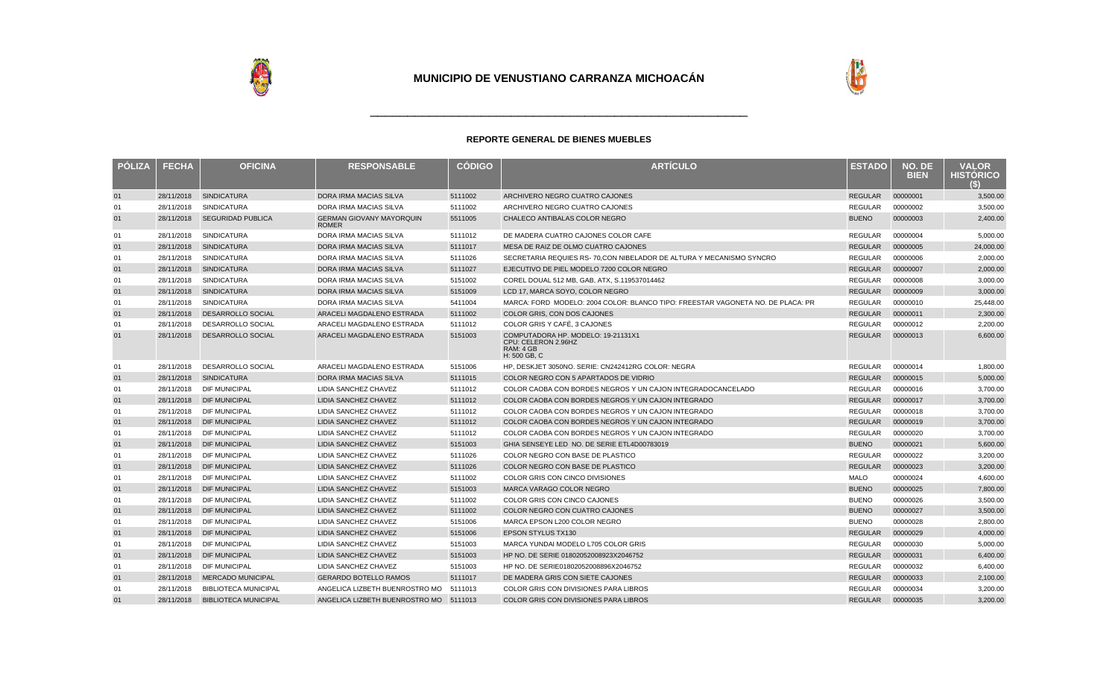



| <b>POLIZA</b> | <b>FECHA</b> | <b>OFICINA</b>              | <b>RESPONSABLE</b>                              | <b>CODIGO</b> | <b>ARTÍCULO</b>                                                                        | <b>ESTADO</b>  | NO. DE<br><b>BIEN</b> | <b>VALOR</b><br><b>HISTORICO</b><br>(S) |
|---------------|--------------|-----------------------------|-------------------------------------------------|---------------|----------------------------------------------------------------------------------------|----------------|-----------------------|-----------------------------------------|
| 01            | 28/11/2018   | <b>SINDICATURA</b>          | DORA IRMA MACIAS SILVA                          | 5111002       | ARCHIVERO NEGRO CUATRO CAJONES                                                         | <b>REGULAR</b> | 00000001              | 3,500.00                                |
| 01            | 28/11/2018   | <b>SINDICATURA</b>          | DORA IRMA MACIAS SILVA                          | 5111002       | ARCHIVERO NEGRO CUATRO CAJONES                                                         | <b>REGULAR</b> | 00000002              | 3,500.00                                |
| 01            | 28/11/2018   | <b>SEGURIDAD PUBLICA</b>    | <b>GERMAN GIOVANY MAYORQUIN</b><br><b>ROMER</b> | 5511005       | CHALECO ANTIBALAS COLOR NEGRO                                                          | <b>BUENO</b>   | 00000003              | 2,400.00                                |
| 01            | 28/11/2018   | <b>SINDICATURA</b>          | <b>DORA IRMA MACIAS SILVA</b>                   | 5111012       | DE MADERA CUATRO CAJONES COLOR CAFE                                                    | REGULAR        | 00000004              | 5,000.00                                |
| 01            | 28/11/2018   | <b>SINDICATURA</b>          | DORA IRMA MACIAS SILVA                          | 5111017       | MESA DE RAIZ DE OLMO CUATRO CAJONES                                                    | <b>REGULAR</b> | 00000005              | 24,000.00                               |
| 01            | 28/11/2018   | <b>SINDICATURA</b>          | <b>DORA IRMA MACIAS SILVA</b>                   | 5111026       | SECRETARIA REQUIES RS-70.CON NIBELADOR DE ALTURA Y MECANISMO SYNCRO                    | <b>REGULAR</b> | 00000006              | 2,000.00                                |
| 01            | 28/11/2018   | <b>SINDICATURA</b>          | <b>DORA IRMA MACIAS SILVA</b>                   | 5111027       | EJECUTIVO DE PIEL MODELO 7200 COLOR NEGRO                                              | <b>REGULAR</b> | 00000007              | 2,000.00                                |
| 01            | 28/11/2018   | <b>SINDICATURA</b>          | DORA IRMA MACIAS SILVA                          | 5151002       | COREL DOUAL 512 MB, GAB, ATX, S.119537014462                                           | <b>REGULAR</b> | 00000008              | 3,000.00                                |
| 01            | 28/11/2018   | <b>SINDICATURA</b>          | <b>DORA IRMA MACIAS SILVA</b>                   | 5151009       | LCD 17, MARCA SOYO, COLOR NEGRO                                                        | <b>REGULAR</b> | 00000009              | 3,000.00                                |
| 01            | 28/11/2018   | <b>SINDICATURA</b>          | DORA IRMA MACIAS SILVA                          | 5411004       | MARCA: FORD MODELO: 2004 COLOR: BLANCO TIPO: FREESTAR VAGONETA NO. DE PLACA: PR        | <b>REGULAR</b> | 00000010              | 25,448.00                               |
| 01            | 28/11/2018   | <b>DESARROLLO SOCIAL</b>    | ARACELI MAGDALENO ESTRADA                       | 5111002       | COLOR GRIS, CON DOS CAJONES                                                            | <b>REGULAR</b> | 00000011              | 2,300.00                                |
| 01            | 28/11/2018   | DESARROLLO SOCIAL           | ARACELI MAGDALENO ESTRADA                       | 5111012       | COLOR GRIS Y CAFÉ, 3 CAJONES                                                           | REGULAR        | 00000012              | 2,200.00                                |
| 01            | 28/11/2018   | DESARROLLO SOCIAL           | ARACELI MAGDALENO ESTRADA                       | 5151003       | COMPUTADORA HP. MODELO: 19-21131X1<br>CPU: CELERON 2.96HZ<br>RAM: 4 GB<br>H: 500 GB, C | <b>REGULAR</b> | 00000013              | 6,600.00                                |
| 01            | 28/11/2018   | DESARROLLO SOCIAL           | ARACELI MAGDALENO ESTRADA                       | 5151006       | HP. DESKJET 3050NO. SERIE: CN242412RG COLOR: NEGRA                                     | <b>REGULAR</b> | 00000014              | 1,800.00                                |
| 01            | 28/11/2018   | <b>SINDICATURA</b>          | DORA IRMA MACIAS SILVA                          | 5111015       | COLOR NEGRO CON 5 APARTADOS DE VIDRIO                                                  | <b>REGULAR</b> | 00000015              | 5,000.00                                |
| 01            | 28/11/2018   | <b>DIF MUNICIPAL</b>        | <b>LIDIA SANCHEZ CHAVEZ</b>                     | 5111012       | COLOR CAOBA CON BORDES NEGROS Y UN CAJON INTEGRADOCANCELADO                            | <b>REGULAR</b> | 00000016              | 3.700.00                                |
| 01            | 28/11/2018   | <b>DIF MUNICIPAL</b>        | <b>LIDIA SANCHEZ CHAVEZ</b>                     | 5111012       | COLOR CAOBA CON BORDES NEGROS Y UN CAJON INTEGRADO                                     | <b>REGULAR</b> | 00000017              | 3,700.00                                |
| 01            | 28/11/2018   | <b>DIF MUNICIPAL</b>        | LIDIA SANCHEZ CHAVEZ                            | 5111012       | COLOR CAOBA CON BORDES NEGROS Y UN CAJON INTEGRADO                                     | REGULAR        | 00000018              | 3,700.00                                |
| 01            | 28/11/2018   | <b>DIF MUNICIPAL</b>        | <b>LIDIA SANCHEZ CHAVEZ</b>                     | 5111012       | COLOR CAOBA CON BORDES NEGROS Y UN CAJON INTEGRADO                                     | <b>REGULAR</b> | 00000019              | 3,700.00                                |
| 01            | 28/11/2018   | <b>DIF MUNICIPAL</b>        | LIDIA SANCHEZ CHAVEZ                            | 5111012       | COLOR CAOBA CON BORDES NEGROS Y UN CAJON INTEGRADO                                     | <b>REGULAR</b> | 00000020              | 3,700.00                                |
| 01            | 28/11/2018   | <b>DIF MUNICIPAL</b>        | <b>LIDIA SANCHEZ CHAVEZ</b>                     | 5151003       | GHIA SENSEYE LED NO. DE SERIE ETL4D00783019                                            | <b>BUENO</b>   | 00000021              | 5,600.00                                |
| 01            | 28/11/2018   | <b>DIF MUNICIPAL</b>        | <b>LIDIA SANCHEZ CHAVEZ</b>                     | 5111026       | COLOR NEGRO CON BASE DE PLASTICO                                                       | <b>REGULAR</b> | 00000022              | 3,200.00                                |
| 01            | 28/11/2018   | <b>DIF MUNICIPAL</b>        | <b>LIDIA SANCHEZ CHAVEZ</b>                     | 5111026       | COLOR NEGRO CON BASE DE PLASTICO                                                       | <b>REGULAR</b> | 00000023              | 3,200.00                                |
| 01            | 28/11/2018   | DIF MUNICIPAL               | LIDIA SANCHEZ CHAVEZ                            | 5111002       | <b>COLOR GRIS CON CINCO DIVISIONES</b>                                                 | MALO           | 00000024              | 4,600.00                                |
| 01            | 28/11/2018   | <b>DIF MUNICIPAL</b>        | <b>LIDIA SANCHEZ CHAVEZ</b>                     | 5151003       | MARCA VARAGO COLOR NEGRO                                                               | <b>BUENO</b>   | 00000025              | 7,800.00                                |
| 01            | 28/11/2018   | <b>DIF MUNICIPAL</b>        | LIDIA SANCHEZ CHAVEZ                            | 5111002       | COLOR GRIS CON CINCO CAJONES                                                           | <b>BUENO</b>   | 00000026              | 3,500.00                                |
| 01            | 28/11/2018   | <b>DIF MUNICIPAL</b>        | LIDIA SANCHEZ CHAVEZ                            | 5111002       | COLOR NEGRO CON CUATRO CAJONES                                                         | <b>BUENO</b>   | 00000027              | 3,500.00                                |
| 01            | 28/11/2018   | <b>DIF MUNICIPAL</b>        | LIDIA SANCHEZ CHAVEZ                            | 5151006       | MARCA EPSON L200 COLOR NEGRO                                                           | <b>BUENO</b>   | 00000028              | 2,800.00                                |
| 01            | 28/11/2018   | <b>DIF MUNICIPAL</b>        | <b>LIDIA SANCHEZ CHAVEZ</b>                     | 5151006       | <b>EPSON STYLUS TX130</b>                                                              | <b>REGULAR</b> | 00000029              | 4.000.00                                |
| 01            | 28/11/2018   | <b>DIF MUNICIPAL</b>        | <b>LIDIA SANCHEZ CHAVEZ</b>                     | 5151003       | MARCA YUNDAI MODELO L705 COLOR GRIS                                                    | <b>REGULAR</b> | 00000030              | 5,000.00                                |
| 01            | 28/11/2018   | <b>DIF MUNICIPAL</b>        | LIDIA SANCHEZ CHAVEZ                            | 5151003       | HP NO. DE SERIE 01802052008923X2046752                                                 | <b>REGULAR</b> | 00000031              | 6,400.00                                |
| 01            | 28/11/2018   | <b>DIF MUNICIPAL</b>        | LIDIA SANCHEZ CHAVEZ                            | 5151003       | HP NO. DE SERIE01802052008896X2046752                                                  | <b>REGULAR</b> | 00000032              | 6,400.00                                |
| 01            | 28/11/2018   | <b>MERCADO MUNICIPAL</b>    | <b>GERARDO BOTELLO RAMOS</b>                    | 5111017       | DE MADERA GRIS CON SIETE CAJONES                                                       | <b>REGULAR</b> | 00000033              | 2,100.00                                |
| 01            | 28/11/2018   | <b>BIBLIOTECA MUNICIPAL</b> | ANGELICA LIZBETH BUENROSTRO MO                  | 5111013       | COLOR GRIS CON DIVISIONES PARA LIBROS                                                  | <b>REGULAR</b> | 00000034              | 3,200.00                                |
| 01            | 28/11/2018   | <b>BIBLIOTECA MUNICIPAL</b> | ANGELICA LIZBETH BUENROSTRO MO                  | 5111013       | COLOR GRIS CON DIVISIONES PARA LIBROS                                                  | REGULAR        | 00000035              | 3,200.00                                |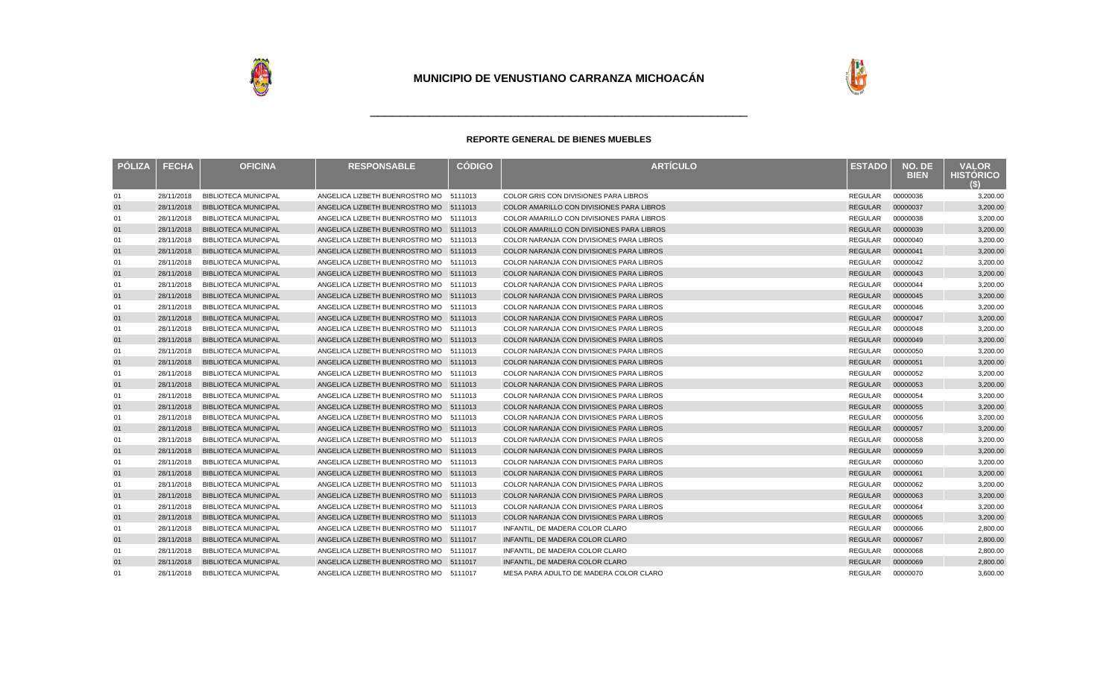



| <b>PÓLIZA</b> | <b>FECHA</b> | <b>OFICINA</b>              | <b>RESPONSABLE</b>                     | <b>CÓDIGO</b> | <b>ARTÍCULO</b>                                  | <b>ESTADO</b>  | NO. DE<br><b>BIEN</b> | <b>VALOR</b><br><b>HISTORICO</b> |
|---------------|--------------|-----------------------------|----------------------------------------|---------------|--------------------------------------------------|----------------|-----------------------|----------------------------------|
| 01            | 28/11/2018   | <b>BIBLIOTECA MUNICIPAL</b> | ANGELICA LIZBETH BUENROSTRO MO 5111013 |               | COLOR GRIS CON DIVISIONES PARA LIBROS            | <b>REGULAR</b> | 00000036              | 3,200.00                         |
| 01            | 28/11/2018   | <b>BIBLIOTECA MUNICIPAL</b> | ANGELICA LIZBETH BUENROSTRO MO 5111013 |               | <b>COLOR AMARILLO CON DIVISIONES PARA LIBROS</b> | <b>REGULAR</b> | 00000037              | 3,200.00                         |
| 01            | 28/11/2018   | <b>BIBLIOTECA MUNICIPAL</b> | ANGELICA LIZBETH BUENROSTRO MO 5111013 |               | COLOR AMARILLO CON DIVISIONES PARA LIBROS        | <b>REGULAR</b> | 00000038              | 3,200.00                         |
| 01            | 28/11/2018   | <b>BIBLIOTECA MUNICIPAL</b> | ANGELICA LIZBETH BUENROSTRO MO         | 5111013       | COLOR AMARILLO CON DIVISIONES PARA LIBROS        | <b>REGULAR</b> | 00000039              | 3,200.00                         |
| 01            | 28/11/2018   | <b>BIBLIOTECA MUNICIPAL</b> | ANGELICA LIZBETH BUENROSTRO MO         | 5111013       | COLOR NARANJA CON DIVISIONES PARA LIBROS         | REGULAR        | 00000040              | 3,200.00                         |
| 01            | 28/11/2018   | <b>BIBLIOTECA MUNICIPAL</b> | ANGELICA LIZBETH BUENROSTRO MO 5111013 |               | COLOR NARANJA CON DIVISIONES PARA LIBROS         | <b>REGULAR</b> | 00000041              | 3,200.00                         |
| 01            | 28/11/2018   | <b>BIBLIOTECA MUNICIPAL</b> | ANGELICA LIZBETH BUENROSTRO MO         | 5111013       | COLOR NARANJA CON DIVISIONES PARA LIBROS         | REGULAR        | 00000042              | 3,200.00                         |
| 01            | 28/11/2018   | <b>BIBLIOTECA MUNICIPAL</b> | ANGELICA LIZBETH BUENROSTRO MO 5111013 |               | COLOR NARANJA CON DIVISIONES PARA LIBROS         | <b>REGULAR</b> | 00000043              | 3,200.00                         |
| 01            | 28/11/2018   | <b>BIBLIOTECA MUNICIPAL</b> | ANGELICA LIZBETH BUENROSTRO MO         | 5111013       | COLOR NARANJA CON DIVISIONES PARA LIBROS         | <b>REGULAR</b> | 00000044              | 3,200.00                         |
| 01            | 28/11/2018   | <b>BIBLIOTECA MUNICIPAL</b> | ANGELICA LIZBETH BUENROSTRO MO 5111013 |               | COLOR NARANJA CON DIVISIONES PARA LIBROS         | <b>REGULAR</b> | 00000045              | 3,200.00                         |
| 01            | 28/11/2018   | <b>BIBLIOTECA MUNICIPAL</b> | ANGELICA LIZBETH BUENROSTRO MO         | 5111013       | <b>COLOR NARANJA CON DIVISIONES PARA LIBROS</b>  | <b>REGULAR</b> | 00000046              | 3,200.00                         |
| 01            | 28/11/2018   | <b>BIBLIOTECA MUNICIPAL</b> | ANGELICA LIZBETH BUENROSTRO MO 5111013 |               | COLOR NARANJA CON DIVISIONES PARA LIBROS         | <b>REGULAR</b> | 00000047              | 3,200.00                         |
| 01            | 28/11/2018   | <b>BIBLIOTECA MUNICIPAL</b> | ANGELICA LIZBETH BUENROSTRO MO 5111013 |               | COLOR NARANJA CON DIVISIONES PARA LIBROS         | <b>REGULAR</b> | 00000048              | 3,200.00                         |
| 01            | 28/11/2018   | <b>BIBLIOTECA MUNICIPAL</b> | ANGELICA LIZBETH BUENROSTRO MO 5111013 |               | COLOR NARANJA CON DIVISIONES PARA LIBROS         | <b>REGULAR</b> | 00000049              | 3,200.00                         |
| 01            | 28/11/2018   | <b>BIBLIOTECA MUNICIPAL</b> | ANGELICA LIZBETH BUENROSTRO MO 5111013 |               | COLOR NARANJA CON DIVISIONES PARA LIBROS         | <b>REGULAR</b> | 00000050              | 3,200.00                         |
| 01            | 28/11/2018   | <b>BIBLIOTECA MUNICIPAL</b> | ANGELICA LIZBETH BUENROSTRO MO 5111013 |               | COLOR NARANJA CON DIVISIONES PARA LIBROS         | <b>REGULAR</b> | 00000051              | 3,200.00                         |
| 01            | 28/11/2018   | <b>BIBLIOTECA MUNICIPAL</b> | ANGELICA LIZBETH BUENROSTRO MO 5111013 |               | COLOR NARANJA CON DIVISIONES PARA LIBROS         | <b>REGULAR</b> | 00000052              | 3,200.00                         |
| 01            | 28/11/2018   | <b>BIBLIOTECA MUNICIPAL</b> | ANGELICA LIZBETH BUENROSTRO MO 5111013 |               | COLOR NARANJA CON DIVISIONES PARA LIBROS         | <b>REGULAR</b> | 00000053              | 3,200.00                         |
| 01            | 28/11/2018   | <b>BIBLIOTECA MUNICIPAL</b> | ANGELICA LIZBETH BUENROSTRO MO 5111013 |               | COLOR NARANJA CON DIVISIONES PARA LIBROS         | <b>REGULAR</b> | 00000054              | 3,200.00                         |
| 01            | 28/11/2018   | <b>BIBLIOTECA MUNICIPAL</b> | ANGELICA LIZBETH BUENROSTRO MO 5111013 |               | COLOR NARANJA CON DIVISIONES PARA LIBROS         | <b>REGULAR</b> | 00000055              | 3,200.00                         |
| 01            | 28/11/2018   | <b>BIBLIOTECA MUNICIPAL</b> | ANGELICA LIZBETH BUENROSTRO MO 5111013 |               | COLOR NARANJA CON DIVISIONES PARA LIBROS         | <b>REGULAR</b> | 00000056              | 3,200.00                         |
| 01            | 28/11/2018   | <b>BIBLIOTECA MUNICIPAL</b> | ANGELICA LIZBETH BUENROSTRO MO 5111013 |               | COLOR NARANJA CON DIVISIONES PARA LIBROS         | <b>REGULAR</b> | 00000057              | 3,200.00                         |
| 01            | 28/11/2018   | <b>BIBLIOTECA MUNICIPAL</b> | ANGELICA LIZBETH BUENROSTRO MO 5111013 |               | COLOR NARANJA CON DIVISIONES PARA LIBROS         | <b>REGULAR</b> | 00000058              | 3,200.00                         |
| 01            | 28/11/2018   | <b>BIBLIOTECA MUNICIPAL</b> | ANGELICA LIZBETH BUENROSTRO MO 5111013 |               | COLOR NARANJA CON DIVISIONES PARA LIBROS         | <b>REGULAR</b> | 00000059              | 3,200.00                         |
| 01            | 28/11/2018   | <b>BIBLIOTECA MUNICIPAL</b> | ANGELICA LIZBETH BUENROSTRO MO 5111013 |               | COLOR NARANJA CON DIVISIONES PARA LIBROS         | <b>REGULAR</b> | 00000060              | 3,200.00                         |
| 01            | 28/11/2018   | <b>BIBLIOTECA MUNICIPAL</b> | ANGELICA LIZBETH BUENROSTRO MO 5111013 |               | COLOR NARANJA CON DIVISIONES PARA LIBROS         | <b>REGULAR</b> | 00000061              | 3,200.00                         |
| 01            | 28/11/2018   | <b>BIBLIOTECA MUNICIPAL</b> | ANGELICA LIZBETH BUENROSTRO MO 5111013 |               | COLOR NARANJA CON DIVISIONES PARA LIBROS         | REGULAR        | 00000062              | 3,200.00                         |
| 01            | 28/11/2018   | <b>BIBLIOTECA MUNICIPAL</b> | ANGELICA LIZBETH BUENROSTRO MO         | 5111013       | COLOR NARANJA CON DIVISIONES PARA LIBROS         | <b>REGULAR</b> | 00000063              | 3,200.00                         |
| 01            | 28/11/2018   | <b>BIBLIOTECA MUNICIPAL</b> | ANGELICA LIZBETH BUENROSTRO MO         | 5111013       | COLOR NARANJA CON DIVISIONES PARA LIBROS         | <b>REGULAR</b> | 00000064              | 3,200.00                         |
| 01            | 28/11/2018   | <b>BIBLIOTECA MUNICIPAL</b> | ANGELICA LIZBETH BUENROSTRO MO 5111013 |               | COLOR NARANJA CON DIVISIONES PARA LIBROS         | <b>REGULAR</b> | 00000065              | 3,200.00                         |
| 01            | 28/11/2018   | <b>BIBLIOTECA MUNICIPAL</b> | ANGELICA LIZBETH BUENROSTRO MO         | 5111017       | INFANTIL. DE MADERA COLOR CLARO                  | <b>REGULAR</b> | 00000066              | 2,800.00                         |
| 01            | 28/11/2018   | <b>BIBLIOTECA MUNICIPAL</b> | ANGELICA LIZBETH BUENROSTRO MO 5111017 |               | INFANTIL. DE MADERA COLOR CLARO                  | <b>REGULAR</b> | 00000067              | 2,800.00                         |
| 01            | 28/11/2018   | <b>BIBLIOTECA MUNICIPAL</b> | ANGELICA LIZBETH BUENROSTRO MO         | 5111017       | INFANTIL, DE MADERA COLOR CLARO                  | <b>REGULAR</b> | 00000068              | 2,800.00                         |
| 01            | 28/11/2018   | <b>BIBLIOTECA MUNICIPAL</b> | ANGELICA LIZBETH BUENROSTRO MO 5111017 |               | INFANTIL. DE MADERA COLOR CLARO                  | <b>REGULAR</b> | 00000069              | 2,800.00                         |
| 01            | 28/11/2018   | <b>BIBLIOTECA MUNICIPAL</b> | ANGELICA LIZBETH BUENROSTRO MO 5111017 |               | MESA PARA ADULTO DE MADERA COLOR CLARO           | <b>REGULAR</b> | 00000070              | 3.600.00                         |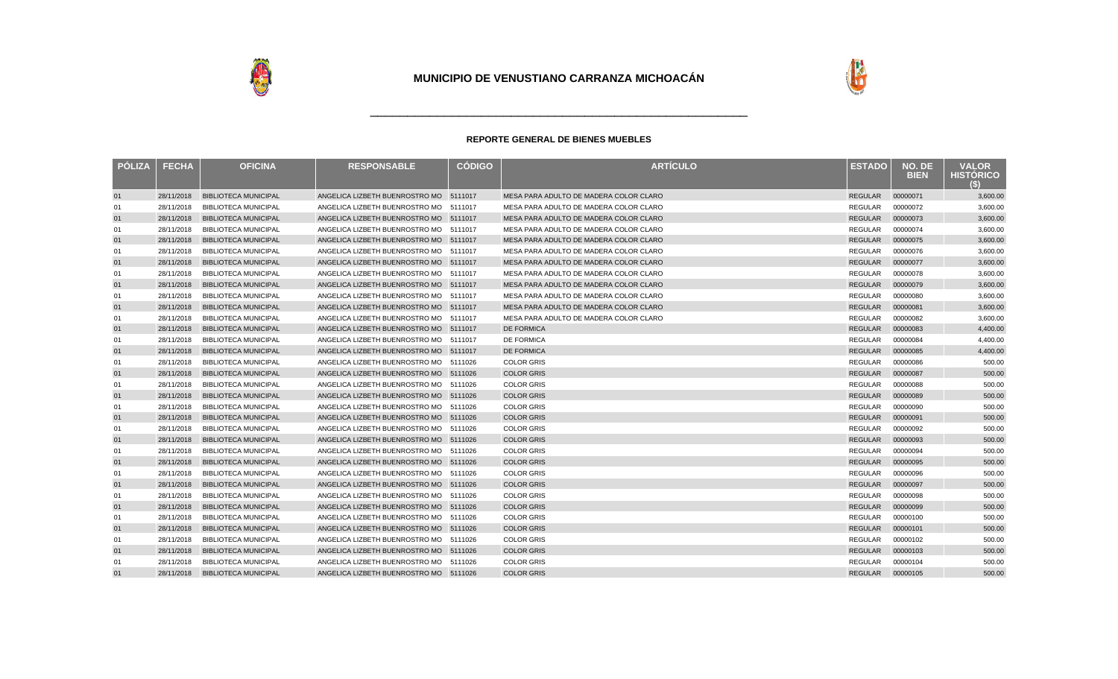



| <b>POLIZA</b> | <b>FECHA</b> | <b>OFICINA</b>                  | <b>RESPONSABLE</b>                     | <b>CÓDIGO</b> | <b>ARTÍCULO</b>                        | <b>ESTADO</b>    | NO. DE<br><b>BIEN</b> | <b>VALOR</b><br><b>HISTORICO</b><br>(S) |
|---------------|--------------|---------------------------------|----------------------------------------|---------------|----------------------------------------|------------------|-----------------------|-----------------------------------------|
| 01            | 28/11/2018   | <b>BIBLIOTECA MUNICIPAL</b>     | ANGELICA LIZBETH BUENROSTRO MO 5111017 |               | MESA PARA ADULTO DE MADERA COLOR CLARO | <b>REGULAR</b>   | 00000071              | 3,600.00                                |
| 01            | 28/11/2018   | <b>BIBLIOTECA MUNICIPAL</b>     | ANGELICA LIZBETH BUENROSTRO MO         | 5111017       | MESA PARA ADULTO DE MADERA COLOR CLARO | <b>REGULAR</b>   | 00000072              | 3,600.00                                |
| 01            | 28/11/2018   | <b>BIBLIOTECA MUNICIPAL</b>     | ANGELICA LIZBETH BUENROSTRO MO 5111017 |               | MESA PARA ADULTO DE MADERA COLOR CLARO | REGULAR          | 00000073              | 3,600.00                                |
| 01            | 28/11/2018   | <b>BIBLIOTECA MUNICIPAL</b>     | ANGELICA LIZBETH BUENROSTRO MO 5111017 |               | MESA PARA ADULTO DE MADERA COLOR CLARO | <b>REGULAR</b>   | 00000074              | 3,600.00                                |
| 01            | 28/11/2018   | <b>BIBLIOTECA MUNICIPAL</b>     | ANGELICA LIZBETH BUENROSTRO MO 5111017 |               | MESA PARA ADULTO DE MADERA COLOR CLARO | <b>REGULAR</b>   | 00000075              | 3,600.00                                |
| 01            | 28/11/2018   | <b>BIBLIOTECA MUNICIPAL</b>     | ANGELICA LIZBETH BUENROSTRO MO 5111017 |               | MESA PARA ADULTO DE MADERA COLOR CLARO | <b>REGULAR</b>   | 00000076              | 3,600.00                                |
| 01            | 28/11/2018   | <b>BIBLIOTECA MUNICIPAL</b>     | ANGELICA LIZBETH BUENROSTRO MO 5111017 |               | MESA PARA ADULTO DE MADERA COLOR CLARO | <b>REGULAR</b>   | 00000077              | 3,600.00                                |
| 01            | 28/11/2018   | <b>BIBLIOTECA MUNICIPAL</b>     | ANGELICA LIZBETH BUENROSTRO MO 5111017 |               | MESA PARA ADULTO DE MADERA COLOR CLARO | <b>REGULAR</b>   | 00000078              | 3,600.00                                |
| 01            | 28/11/2018   | <b>BIBLIOTECA MUNICIPAL</b>     | ANGELICA LIZBETH BUENROSTRO MO 5111017 |               | MESA PARA ADULTO DE MADERA COLOR CLARO | <b>REGULAR</b>   | 00000079              | 3,600.00                                |
| 01            | 28/11/2018   | <b>BIBLIOTECA MUNICIPAL</b>     | ANGELICA LIZBETH BUENROSTRO MO 5111017 |               | MESA PARA ADULTO DE MADERA COLOR CLARO | <b>REGULAR</b>   | 00000080              | 3,600.00                                |
| 01            | 28/11/2018   | <b>BIBLIOTECA MUNICIPAL</b>     | ANGELICA LIZBETH BUENROSTRO MO 5111017 |               | MESA PARA ADULTO DE MADERA COLOR CLARO | <b>REGULAR</b>   | 00000081              | 3,600.00                                |
| 01            | 28/11/2018   | <b>BIBLIOTECA MUNICIPAL</b>     | ANGELICA LIZBETH BUENROSTRO MO 5111017 |               | MESA PARA ADULTO DE MADERA COLOR CLARO | <b>REGULAR</b>   | 00000082              | 3,600.00                                |
| 01            | 28/11/2018   | <b>BIBLIOTECA MUNICIPAL</b>     | ANGELICA LIZBETH BUENROSTRO MO 5111017 |               | <b>DE FORMICA</b>                      | <b>REGULAR</b>   | 00000083              | 4,400.00                                |
| 01            | 28/11/2018   | <b>BIBLIOTECA MUNICIPAL</b>     | ANGELICA LIZBETH BUENROSTRO MO 5111017 |               | <b>DE FORMICA</b>                      | <b>REGULAR</b>   | 00000084              | 4,400.00                                |
| 01            | 28/11/2018   | <b>BIBLIOTECA MUNICIPAL</b>     | ANGELICA LIZBETH BUENROSTRO MO 5111017 |               | <b>DE FORMICA</b>                      | <b>REGULAR</b>   | 00000085              | 4,400.00                                |
| 01            | 28/11/2018   | <b>BIBLIOTECA MUNICIPAL</b>     | ANGELICA LIZBETH BUENROSTRO MO 5111026 |               | <b>COLOR GRIS</b>                      | REGULAR          | 00000086              | 500.00                                  |
| 01            | 28/11/2018   | <b>BIBLIOTECA MUNICIPAL</b>     | ANGELICA LIZBETH BUENROSTRO MO 5111026 |               | <b>COLOR GRIS</b>                      | <b>REGULAR</b>   | 00000087              | 500.00                                  |
| 01            | 28/11/2018   | <b>BIBLIOTECA MUNICIPAL</b>     | ANGELICA LIZBETH BUENROSTRO MO 5111026 |               | <b>COLOR GRIS</b>                      | <b>REGULAR</b>   | 00000088              | 500.00                                  |
| 01            | 28/11/2018   | <b>BIBLIOTECA MUNICIPAL</b>     | ANGELICA LIZBETH BUENROSTRO MO 5111026 |               | <b>COLOR GRIS</b>                      | <b>REGULAR</b>   | 00000089              | 500.00                                  |
| 01            | 28/11/2018   | <b>BIBLIOTECA MUNICIPAL</b>     | ANGELICA LIZBETH BUENROSTRO MO 5111026 |               | <b>COLOR GRIS</b>                      | <b>REGULAR</b>   | 00000090              | 500.00                                  |
| 01            | 28/11/2018   | <b>BIBLIOTECA MUNICIPAL</b>     | ANGELICA LIZBETH BUENROSTRO MO 5111026 |               | <b>COLOR GRIS</b>                      | <b>REGULAR</b>   | 00000091              | 500.00                                  |
| 01            | 28/11/2018   | <b>BIBLIOTECA MUNICIPAL</b>     | ANGELICA LIZBETH BUENROSTRO MO 5111026 |               | <b>COLOR GRIS</b>                      | <b>REGULAR</b>   | 00000092              | 500.00                                  |
| 01            | 28/11/2018   | <b>BIBLIOTECA MUNICIPAL</b>     | ANGELICA LIZBETH BUENROSTRO MO 5111026 |               | <b>COLOR GRIS</b>                      | <b>REGULAR</b>   | 00000093              | 500.00                                  |
| 01            | 28/11/2018   | <b>BIBLIOTECA MUNICIPAL</b>     | ANGELICA LIZBETH BUENROSTRO MO 5111026 |               | <b>COLOR GRIS</b>                      | <b>REGULAR</b>   | 00000094              | 500.00                                  |
| 01            | 28/11/2018   | <b>BIBLIOTECA MUNICIPAL</b>     | ANGELICA LIZBETH BUENROSTRO MO 5111026 |               | <b>COLOR GRIS</b>                      | <b>REGULAR</b>   | 00000095              | 500.00                                  |
| 01            | 28/11/2018   | <b>BIBLIOTECA MUNICIPAL</b>     | ANGELICA LIZBETH BUENROSTRO MO 5111026 |               | <b>COLOR GRIS</b>                      | <b>REGULAR</b>   | 00000096              | 500.00                                  |
| 01            | 28/11/2018   | <b>BIBLIOTECA MUNICIPAL</b>     | ANGELICA LIZBETH BUENROSTRO MO 5111026 |               | <b>COLOR GRIS</b>                      | <b>REGULAR</b>   | 00000097              | 500.00                                  |
| 01            | 28/11/2018   | <b>BIBLIOTECA MUNICIPAL</b>     | ANGELICA LIZBETH BUENROSTRO MO 5111026 |               | <b>COLOR GRIS</b>                      | <b>REGULAR</b>   | 00000098              | 500.00                                  |
| 01            | 28/11/2018   | <b>BIBLIOTECA MUNICIPAL</b>     | ANGELICA LIZBETH BUENROSTRO MO 5111026 |               | <b>COLOR GRIS</b>                      | <b>REGULAR</b>   | 00000099              | 500.00                                  |
| 01            | 28/11/2018   | <b>BIBLIOTECA MUNICIPAL</b>     | ANGELICA LIZBETH BUENROSTRO MO         | 5111026       | <b>COLOR GRIS</b>                      | <b>REGULAR</b>   | 00000100              | 500.00                                  |
| 01            | 28/11/2018   | <b>BIBLIOTECA MUNICIPAL</b>     | ANGELICA LIZBETH BUENROSTRO MO 5111026 |               | <b>COLOR GRIS</b>                      | <b>REGULAR</b>   | 00000101              | 500.00                                  |
| 01            | 28/11/2018   | <b>BIBLIOTECA MUNICIPAL</b>     | ANGELICA LIZBETH BUENROSTRO MO 5111026 |               | <b>COLOR GRIS</b>                      | <b>REGULAR</b>   | 00000102              | 500.00                                  |
| 01            | 28/11/2018   | <b>BIBLIOTECA MUNICIPAL</b>     | ANGELICA LIZBETH BUENROSTRO MO 5111026 |               | <b>COLOR GRIS</b>                      | <b>REGULAR</b>   | 00000103              | 500.00                                  |
| 01            | 28/11/2018   | <b>BIBLIOTECA MUNICIPAL</b>     | ANGELICA LIZBETH BUENROSTRO MO 5111026 |               | <b>COLOR GRIS</b>                      | <b>REGULAR</b>   | 00000104              | 500.00                                  |
| 01            |              | 28/11/2018 BIBLIOTECA MUNICIPAL | ANGELICA LIZBETH BUENROSTRO MO 5111026 |               | <b>COLOR GRIS</b>                      | REGULAR 00000105 |                       | 500.00                                  |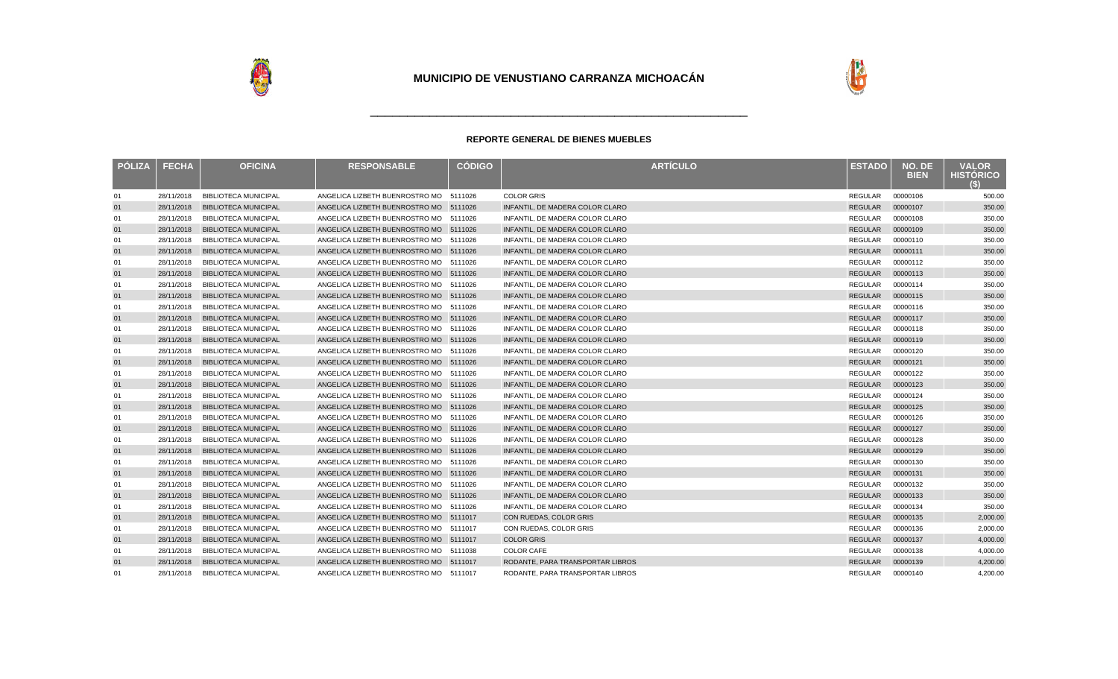



| <b>PÓLIZA</b> | <b>FECHA</b> | <b>OFICINA</b>              | <b>RESPONSABLE</b>                     | <b>CÓDIGO</b> | <b>ARTÍCULO</b>                  | <b>ESTADO</b>  | NO. DE<br><b>BIEN</b> | <b>VALOR</b><br><b>HISTORICO</b><br>(S) |
|---------------|--------------|-----------------------------|----------------------------------------|---------------|----------------------------------|----------------|-----------------------|-----------------------------------------|
| 01            | 28/11/2018   | <b>BIBLIOTECA MUNICIPAL</b> | ANGELICA LIZBETH BUENROSTRO MO         | 5111026       | <b>COLOR GRIS</b>                | <b>REGULAR</b> | 00000106              | 500.00                                  |
| 01            | 28/11/2018   | <b>BIBLIOTECA MUNICIPAL</b> | ANGELICA LIZBETH BUENROSTRO MO 5111026 |               | INFANTIL. DE MADERA COLOR CLARO  | <b>REGULAR</b> | 00000107              | 350.00                                  |
| 01            | 28/11/2018   | <b>BIBLIOTECA MUNICIPAL</b> | ANGELICA LIZBETH BUENROSTRO MO         | 5111026       | INFANTIL. DE MADERA COLOR CLARO  | REGULAR        | 00000108              | 350.00                                  |
| 01            | 28/11/2018   | <b>BIBLIOTECA MUNICIPAL</b> | ANGELICA LIZBETH BUENROSTRO MO         | 5111026       | INFANTIL. DE MADERA COLOR CLARO  | <b>REGULAR</b> | 00000109              | 350.00                                  |
| 01            | 28/11/2018   | <b>BIBLIOTECA MUNICIPAL</b> | ANGELICA LIZBETH BUENROSTRO MO         | 5111026       | INFANTIL, DE MADERA COLOR CLARO  | REGULAR        | 00000110              | 350.00                                  |
| 01            | 28/11/2018   | <b>BIBLIOTECA MUNICIPAL</b> | ANGELICA LIZBETH BUENROSTRO MO 5111026 |               | INFANTIL. DE MADERA COLOR CLARO  | <b>REGULAR</b> | 00000111              | 350.00                                  |
| 01            | 28/11/2018   | <b>BIBLIOTECA MUNICIPAL</b> | ANGELICA LIZBETH BUENROSTRO MO         | 5111026       | INFANTIL, DE MADERA COLOR CLARO  | REGULAR        | 00000112              | 350.00                                  |
| 01            | 28/11/2018   | <b>BIBLIOTECA MUNICIPAL</b> | ANGELICA LIZBETH BUENROSTRO MO 5111026 |               | INFANTIL. DE MADERA COLOR CLARO  | <b>REGULAR</b> | 00000113              | 350.00                                  |
| 01            | 28/11/2018   | <b>BIBLIOTECA MUNICIPAL</b> | ANGELICA LIZBETH BUENROSTRO MO         | 5111026       | INFANTIL. DE MADERA COLOR CLARO  | <b>REGULAR</b> | 00000114              | 350.00                                  |
| 01            | 28/11/2018   | <b>BIBLIOTECA MUNICIPAL</b> | ANGELICA LIZBETH BUENROSTRO MO 5111026 |               | INFANTIL. DE MADERA COLOR CLARO  | <b>REGULAR</b> | 00000115              | 350.00                                  |
| 01            | 28/11/2018   | <b>BIBLIOTECA MUNICIPAL</b> | ANGELICA LIZBETH BUENROSTRO MO         | 5111026       | INFANTIL. DE MADERA COLOR CLARO  | <b>REGULAR</b> | 00000116              | 350.00                                  |
| 01            | 28/11/2018   | <b>BIBLIOTECA MUNICIPAL</b> | ANGELICA LIZBETH BUENROSTRO MO 5111026 |               | INFANTIL. DE MADERA COLOR CLARO  | <b>REGULAR</b> | 00000117              | 350.00                                  |
| 01            | 28/11/2018   | <b>BIBLIOTECA MUNICIPAL</b> | ANGELICA LIZBETH BUENROSTRO MO         | 5111026       | INFANTIL. DE MADERA COLOR CLARO  | <b>REGULAR</b> | 00000118              | 350.00                                  |
| 01            | 28/11/2018   | <b>BIBLIOTECA MUNICIPAL</b> | ANGELICA LIZBETH BUENROSTRO MO 5111026 |               | INFANTIL. DE MADERA COLOR CLARO  | <b>REGULAR</b> | 00000119              | 350.00                                  |
| 01            | 28/11/2018   | <b>BIBLIOTECA MUNICIPAL</b> | ANGELICA LIZBETH BUENROSTRO MO 5111026 |               | INFANTIL. DE MADERA COLOR CLARO  | REGULAR        | 00000120              | 350.00                                  |
| 01            | 28/11/2018   | <b>BIBLIOTECA MUNICIPAL</b> | ANGELICA LIZBETH BUENROSTRO MO 5111026 |               | INFANTIL. DE MADERA COLOR CLARO  | <b>REGULAR</b> | 00000121              | 350.00                                  |
| 01            | 28/11/2018   | <b>BIBLIOTECA MUNICIPAL</b> | ANGELICA LIZBETH BUENROSTRO MO 5111026 |               | INFANTIL. DE MADERA COLOR CLARO  | <b>REGULAR</b> | 00000122              | 350.00                                  |
| 01            | 28/11/2018   | <b>BIBLIOTECA MUNICIPAL</b> | ANGELICA LIZBETH BUENROSTRO MO 5111026 |               | INFANTIL. DE MADERA COLOR CLARO  | <b>REGULAR</b> | 00000123              | 350.00                                  |
| 01            | 28/11/2018   | <b>BIBLIOTECA MUNICIPAL</b> | ANGELICA LIZBETH BUENROSTRO MO 5111026 |               | INFANTIL, DE MADERA COLOR CLARO  | <b>REGULAR</b> | 00000124              | 350.00                                  |
| 01            | 28/11/2018   | <b>BIBLIOTECA MUNICIPAL</b> | ANGELICA LIZBETH BUENROSTRO MO 5111026 |               | INFANTIL. DE MADERA COLOR CLARO  | <b>REGULAR</b> | 00000125              | 350.00                                  |
| 01            | 28/11/2018   | <b>BIBLIOTECA MUNICIPAL</b> | ANGELICA LIZBETH BUENROSTRO MO         | 5111026       | INFANTIL. DE MADERA COLOR CLARO  | REGULAR        | 00000126              | 350.00                                  |
| 01            | 28/11/2018   | <b>BIBLIOTECA MUNICIPAL</b> | ANGELICA LIZBETH BUENROSTRO MO 5111026 |               | INFANTIL, DE MADERA COLOR CLARO  | <b>REGULAR</b> | 00000127              | 350.00                                  |
| 01            | 28/11/2018   | <b>BIBLIOTECA MUNICIPAL</b> | ANGELICA LIZBETH BUENROSTRO MO         | 5111026       | INFANTIL. DE MADERA COLOR CLARO  | <b>REGULAR</b> | 00000128              | 350.00                                  |
| 01            | 28/11/2018   | <b>BIBLIOTECA MUNICIPAL</b> | ANGELICA LIZBETH BUENROSTRO MO 5111026 |               | INFANTIL. DE MADERA COLOR CLARO  | <b>REGULAR</b> | 00000129              | 350.00                                  |
| 01            | 28/11/2018   | <b>BIBLIOTECA MUNICIPAL</b> | ANGELICA LIZBETH BUENROSTRO MO         | 5111026       | INFANTIL, DE MADERA COLOR CLARO  | <b>REGULAR</b> | 00000130              | 350.00                                  |
| 01            | 28/11/2018   | <b>BIBLIOTECA MUNICIPAL</b> | ANGELICA LIZBETH BUENROSTRO MO 5111026 |               | INFANTIL. DE MADERA COLOR CLARO  | <b>REGULAR</b> | 00000131              | 350.00                                  |
| 01            | 28/11/2018   | <b>BIBLIOTECA MUNICIPAL</b> | ANGELICA LIZBETH BUENROSTRO MO         | 5111026       | INFANTIL, DE MADERA COLOR CLARO  | REGULAR        | 00000132              | 350.00                                  |
| 01            | 28/11/2018   | <b>BIBLIOTECA MUNICIPAL</b> | ANGELICA LIZBETH BUENROSTRO MO         | 5111026       | INFANTIL. DE MADERA COLOR CLARO  | <b>REGULAR</b> | 00000133              | 350.00                                  |
| 01            | 28/11/2018   | <b>BIBLIOTECA MUNICIPAL</b> | ANGELICA LIZBETH BUENROSTRO MO         | 5111026       | INFANTIL. DE MADERA COLOR CLARO  | <b>REGULAR</b> | 00000134              | 350.00                                  |
| 01            | 28/11/2018   | <b>BIBLIOTECA MUNICIPAL</b> | ANGELICA LIZBETH BUENROSTRO MO         | 5111017       | <b>CON RUEDAS, COLOR GRIS</b>    | <b>REGULAR</b> | 00000135              | 2,000.00                                |
| 01            | 28/11/2018   | <b>BIBLIOTECA MUNICIPAL</b> | ANGELICA LIZBETH BUENROSTRO MO         | 5111017       | CON RUEDAS, COLOR GRIS           | <b>REGULAR</b> | 00000136              | 2,000.00                                |
| 01            | 28/11/2018   | <b>BIBLIOTECA MUNICIPAL</b> | ANGELICA LIZBETH BUENROSTRO MO         | 5111017       | <b>COLOR GRIS</b>                | <b>REGULAR</b> | 00000137              | 4,000.00                                |
| 01            | 28/11/2018   | <b>BIBLIOTECA MUNICIPAL</b> | ANGELICA LIZBETH BUENROSTRO MO         | 5111038       | <b>COLOR CAFE</b>                | <b>REGULAR</b> | 00000138              | 4,000.00                                |
| 01            | 28/11/2018   | <b>BIBLIOTECA MUNICIPAL</b> | ANGELICA LIZBETH BUENROSTRO MO 5111017 |               | RODANTE, PARA TRANSPORTAR LIBROS | <b>REGULAR</b> | 00000139              | 4,200.00                                |
| 01            | 28/11/2018   | <b>BIBLIOTECA MUNICIPAL</b> | ANGELICA LIZBETH BUENROSTRO MO         | 5111017       | RODANTE, PARA TRANSPORTAR LIBROS | REGULAR        | 00000140              | 4.200.00                                |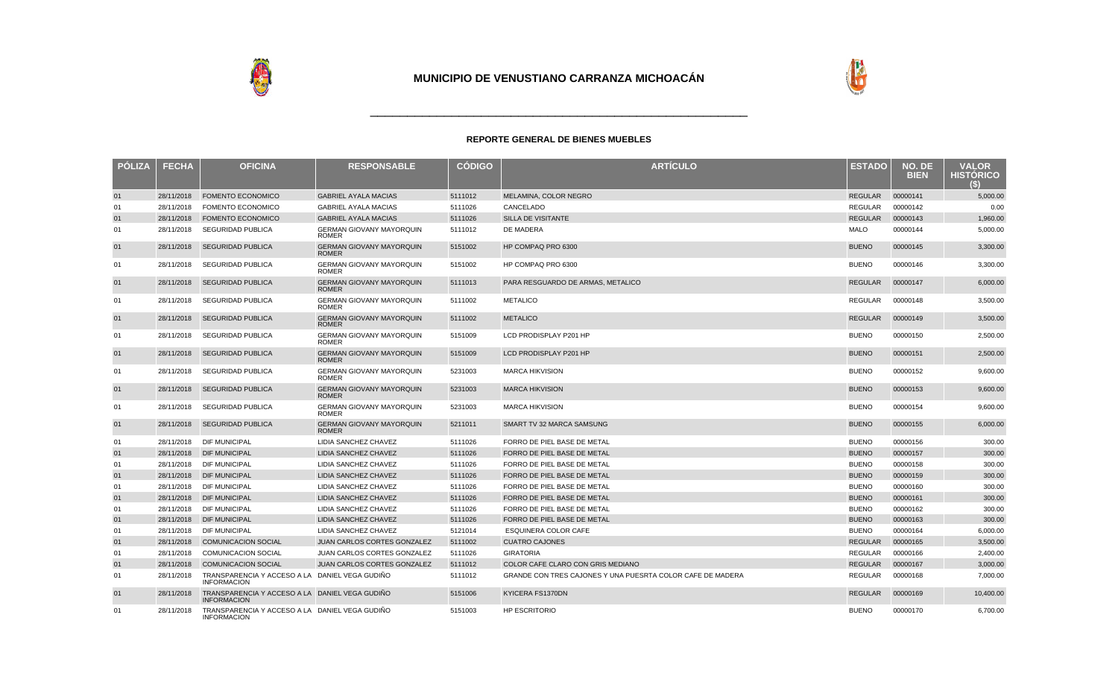



| <b>PÓLIZA</b> | <b>FECHA</b> | <b>OFICINA</b>                                                       | <b>RESPONSABLE</b>                              | <b>CODIGO</b> | <b>ARTÍCULO</b>                                            | <b>ESTADO</b>  | NO. DE<br><b>BIEN</b> | <b>VALOR</b><br><b>HISTÓRICO</b> |
|---------------|--------------|----------------------------------------------------------------------|-------------------------------------------------|---------------|------------------------------------------------------------|----------------|-----------------------|----------------------------------|
| 01            | 28/11/2018   | <b>FOMENTO ECONOMICO</b>                                             | <b>GABRIEL AYALA MACIAS</b>                     | 5111012       | MELAMINA, COLOR NEGRO                                      | REGULAR        | 00000141              | 5,000.00                         |
| 01            | 28/11/2018   | <b>FOMENTO ECONOMICO</b>                                             | <b>GABRIEL AYALA MACIAS</b>                     | 5111026       | CANCELADO                                                  | <b>REGULAR</b> | 00000142              | 0.00                             |
| 01            | 28/11/2018   | <b>FOMENTO ECONOMICO</b>                                             | <b>GABRIEL AYALA MACIAS</b>                     | 5111026       | SILLA DE VISITANTE                                         | <b>REGULAR</b> | 00000143              | 1,960.00                         |
| 01            | 28/11/2018   | <b>SEGURIDAD PUBLICA</b>                                             | <b>GERMAN GIOVANY MAYORQUIN</b><br><b>ROMER</b> | 5111012       | <b>DE MADERA</b>                                           | <b>MALO</b>    | 00000144              | 5,000.00                         |
| 01            | 28/11/2018   | <b>SEGURIDAD PUBLICA</b>                                             | <b>GERMAN GIOVANY MAYORQUIN</b><br><b>ROMER</b> | 5151002       | HP COMPAQ PRO 6300                                         | <b>BUENO</b>   | 00000145              | 3,300.00                         |
| 01            | 28/11/2018   | <b>SEGURIDAD PUBLICA</b>                                             | <b>GERMAN GIOVANY MAYORQUIN</b><br><b>ROMER</b> | 5151002       | HP COMPAQ PRO 6300                                         | <b>BUENO</b>   | 00000146              | 3,300.00                         |
| 01            | 28/11/2018   | <b>SEGURIDAD PUBLICA</b>                                             | <b>GERMAN GIOVANY MAYORQUIN</b><br><b>ROMER</b> | 5111013       | PARA RESGUARDO DE ARMAS, METALICO                          | <b>REGULAR</b> | 00000147              | 6,000.00                         |
| 01            | 28/11/2018   | <b>SEGURIDAD PUBLICA</b>                                             | <b>GERMAN GIOVANY MAYORQUIN</b><br><b>ROMER</b> | 5111002       | <b>METALICO</b>                                            | REGULAR        | 00000148              | 3,500.00                         |
| 01            | 28/11/2018   | <b>SEGURIDAD PUBLICA</b>                                             | <b>GERMAN GIOVANY MAYORQUIN</b><br><b>ROMER</b> | 5111002       | <b>METALICO</b>                                            | <b>REGULAR</b> | 00000149              | 3,500.00                         |
| 01            | 28/11/2018   | <b>SEGURIDAD PUBLICA</b>                                             | <b>GERMAN GIOVANY MAYORQUIN</b><br><b>ROMER</b> | 5151009       | LCD PRODISPLAY P201 HP                                     | <b>BUENO</b>   | 00000150              | 2,500.00                         |
| 01            | 28/11/2018   | <b>SEGURIDAD PUBLICA</b>                                             | <b>GERMAN GIOVANY MAYORQUIN</b><br><b>ROMER</b> | 5151009       | LCD PRODISPLAY P201 HP                                     | <b>BUENO</b>   | 00000151              | 2,500.00                         |
| 01            | 28/11/2018   | <b>SEGURIDAD PUBLICA</b>                                             | <b>GERMAN GIOVANY MAYORQUIN</b><br><b>ROMER</b> | 5231003       | <b>MARCA HIKVISION</b>                                     | <b>BUENO</b>   | 00000152              | 9,600.00                         |
| 01            | 28/11/2018   | <b>SEGURIDAD PUBLICA</b>                                             | <b>GERMAN GIOVANY MAYORQUIN</b><br><b>ROMER</b> | 5231003       | <b>MARCA HIKVISION</b>                                     | <b>BUENO</b>   | 00000153              | 9,600.00                         |
| 01            | 28/11/2018   | <b>SEGURIDAD PUBLICA</b>                                             | <b>GERMAN GIOVANY MAYORQUIN</b><br><b>ROMER</b> | 5231003       | <b>MARCA HIKVISION</b>                                     | <b>BUENO</b>   | 00000154              | 9,600.00                         |
| 01            | 28/11/2018   | <b>SEGURIDAD PUBLICA</b>                                             | <b>GERMAN GIOVANY MAYORQUIN</b><br><b>ROMER</b> | 5211011       | SMART TV 32 MARCA SAMSUNG                                  | <b>BUENO</b>   | 00000155              | 6,000.00                         |
| 01            | 28/11/2018   | <b>DIF MUNICIPAL</b>                                                 | LIDIA SANCHEZ CHAVEZ                            | 5111026       | FORRO DE PIEL BASE DE METAL                                | <b>BUENO</b>   | 00000156              | 300.00                           |
| 01            | 28/11/2018   | <b>DIF MUNICIPAL</b>                                                 | LIDIA SANCHEZ CHAVEZ                            | 5111026       | FORRO DE PIEL BASE DE METAL                                | <b>BUENO</b>   | 00000157              | 300.00                           |
| 01            | 28/11/2018   | <b>DIF MUNICIPAL</b>                                                 | LIDIA SANCHEZ CHAVEZ                            | 5111026       | FORRO DE PIEL BASE DE METAL                                | <b>BUENO</b>   | 00000158              | 300.00                           |
| 01            | 28/11/2018   | <b>DIF MUNICIPAL</b>                                                 | LIDIA SANCHEZ CHAVEZ                            | 5111026       | FORRO DE PIEL BASE DE METAL                                | <b>BUENO</b>   | 00000159              | 300.00                           |
| 01            | 28/11/2018   | <b>DIF MUNICIPAL</b>                                                 | LIDIA SANCHEZ CHAVEZ                            | 5111026       | FORRO DE PIEL BASE DE METAL                                | <b>BUENO</b>   | 00000160              | 300.00                           |
| 01            | 28/11/2018   | <b>DIF MUNICIPAL</b>                                                 | <b>LIDIA SANCHEZ CHAVEZ</b>                     | 5111026       | FORRO DE PIEL BASE DE METAL                                | <b>BUENO</b>   | 00000161              | 300.00                           |
| 01            | 28/11/2018   | <b>DIF MUNICIPAL</b>                                                 | <b>LIDIA SANCHEZ CHAVEZ</b>                     | 5111026       | FORRO DE PIEL BASE DE METAL                                | <b>BUENO</b>   | 00000162              | 300.00                           |
| 01            | 28/11/2018   | <b>DIF MUNICIPAL</b>                                                 | <b>LIDIA SANCHEZ CHAVEZ</b>                     | 5111026       | FORRO DE PIEL BASE DE METAL                                | <b>BUENO</b>   | 00000163              | 300.00                           |
| 01            | 28/11/2018   | <b>DIF MUNICIPAL</b>                                                 | <b>LIDIA SANCHEZ CHAVEZ</b>                     | 5121014       | <b>ESQUINERA COLOR CAFE</b>                                | <b>BUENO</b>   | 00000164              | 6,000.00                         |
| 01            | 28/11/2018   | <b>COMUNICACION SOCIAL</b>                                           | <b>JUAN CARLOS CORTES GONZALEZ</b>              | 5111002       | <b>CUATRO CAJONES</b>                                      | <b>REGULAR</b> | 00000165              | 3,500.00                         |
| 01            | 28/11/2018   | <b>COMUNICACION SOCIAL</b>                                           | JUAN CARLOS CORTES GONZALEZ                     | 5111026       | <b>GIRATORIA</b>                                           | <b>REGULAR</b> | 00000166              | 2,400.00                         |
| 01            | 28/11/2018   | <b>COMUNICACION SOCIAL</b>                                           | <b>JUAN CARLOS CORTES GONZALEZ</b>              | 5111012       | COLOR CAFE CLARO CON GRIS MEDIANO                          | <b>REGULAR</b> | 00000167              | 3,000.00                         |
| 01            | 28/11/2018   | TRANSPARENCIA Y ACCESO A LA DANIEL VEGA GUDIÑO<br><b>INFORMACION</b> |                                                 | 5111012       | GRANDE CON TRES CAJONES Y UNA PUESRTA COLOR CAFE DE MADERA | <b>REGULAR</b> | 00000168              | 7.000.00                         |
| 01            | 28/11/2018   | TRANSPARENCIA Y ACCESO A LA DANIEL VEGA GUDIÑO<br><b>INFORMACION</b> |                                                 | 5151006       | KYICERA FS1370DN                                           | <b>REGULAR</b> | 00000169              | 10,400.00                        |
| 01            | 28/11/2018   | TRANSPARENCIA Y ACCESO A LA DANIEL VEGA GUDIÑO<br><b>INFORMACION</b> |                                                 | 5151003       | <b>HP ESCRITORIO</b>                                       | <b>BUENO</b>   | 00000170              | 6,700.00                         |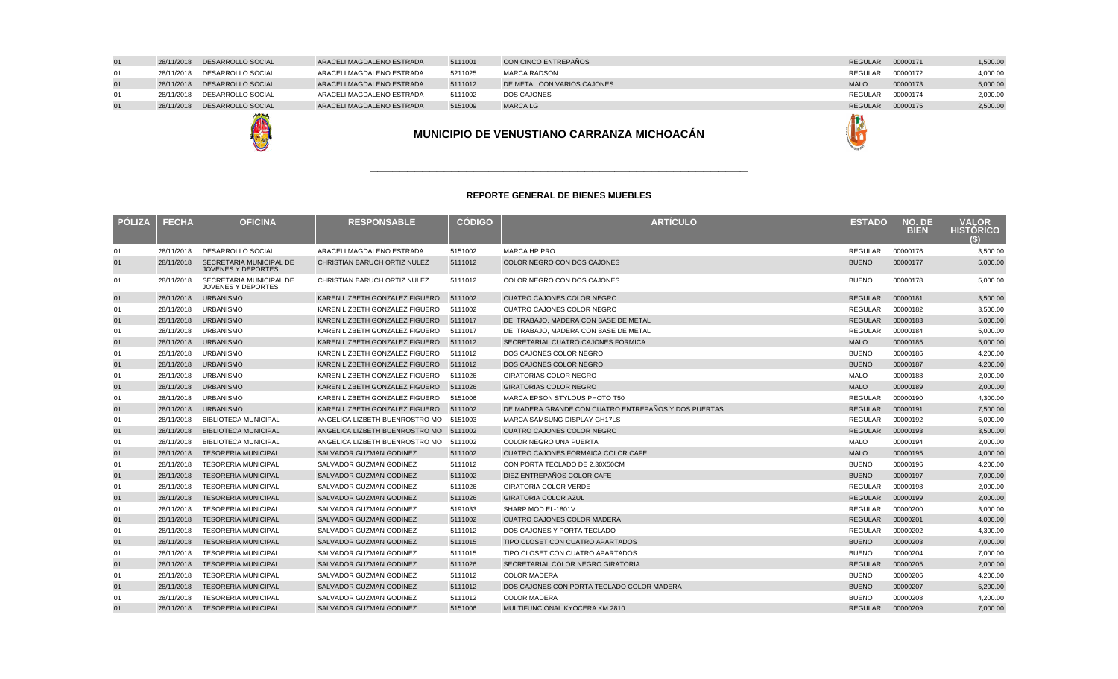| <b>POLIZA</b> | <b>FECHA</b> | <b>OFICINA</b>                                       | <b>RESPONSABLE</b>                     | <b>CODIGO</b> | <b>ARTICULO</b>                                      | <b>ESTADO</b>  | NO. DE<br><b>BIEN</b> | <b>VALOR</b><br><b>HISTORICO</b><br>Θ |
|---------------|--------------|------------------------------------------------------|----------------------------------------|---------------|------------------------------------------------------|----------------|-----------------------|---------------------------------------|
| 01            | 28/11/2018   | DESARROLLO SOCIAL                                    | ARACELI MAGDALENO ESTRADA              | 5151002       | MARCA HP PRO                                         | <b>REGULAR</b> | 00000176              | 3.500.00                              |
| 01            | 28/11/2018   | SECRETARIA MUNICIPAL DE<br><b>JOVENES Y DEPORTES</b> | CHRISTIAN BARUCH ORTIZ NULEZ           | 5111012       | <b>COLOR NEGRO CON DOS CAJONES</b>                   | <b>BUENO</b>   | 00000177              | 5,000.00                              |
| 01            | 28/11/2018   | SECRETARIA MUNICIPAL DE<br><b>JOVENES Y DEPORTES</b> | CHRISTIAN BARUCH ORTIZ NULEZ           | 5111012       | COLOR NEGRO CON DOS CAJONES                          | <b>BUENO</b>   | 00000178              | 5.000.00                              |
| 01            | 28/11/2018   | <b>URBANISMO</b>                                     | KAREN LIZBETH GONZALEZ FIGUERO         | 5111002       | <b>CUATRO CAJONES COLOR NEGRO</b>                    | <b>REGULAR</b> | 00000181              | 3,500.00                              |
| 01            | 28/11/2018   | <b>URBANISMO</b>                                     | KAREN LIZBETH GONZALEZ FIGUERO         | 5111002       | CUATRO CAJONES COLOR NEGRO                           | <b>REGULAR</b> | 00000182              | 3,500.00                              |
| 01            | 28/11/2018   | <b>URBANISMO</b>                                     | KAREN LIZBETH GONZALEZ FIGUERO         | 5111017       | DE TRABAJO, MADERA CON BASE DE METAL                 | <b>REGULAR</b> | 00000183              | 5,000.00                              |
| 01            | 28/11/2018   | <b>URBANISMO</b>                                     | KAREN LIZBETH GONZALEZ FIGUERO         | 5111017       | DE TRABAJO, MADERA CON BASE DE METAL                 | <b>REGULAR</b> | 00000184              | 5,000.00                              |
| 01            | 28/11/2018   | <b>URBANISMO</b>                                     | KAREN LIZBETH GONZALEZ FIGUERO         | 5111012       | SECRETARIAL CUATRO CAJONES FORMICA                   | <b>MALO</b>    | 00000185              | 5,000.00                              |
| 01            | 28/11/2018   | <b>URBANISMO</b>                                     | KAREN LIZBETH GONZALEZ FIGUERO         | 5111012       | DOS CAJONES COLOR NEGRO                              | <b>BUENO</b>   | 00000186              | 4,200.00                              |
| 01            | 28/11/2018   | <b>URBANISMO</b>                                     | KAREN LIZBETH GONZALEZ FIGUERO         | 5111012       | DOS CAJONES COLOR NEGRO                              | <b>BUENO</b>   | 00000187              | 4,200.00                              |
| 01            | 28/11/2018   | <b>URBANISMO</b>                                     | KAREN LIZBETH GONZALEZ FIGUERO         | 5111026       | <b>GIRATORIAS COLOR NEGRO</b>                        | <b>MALO</b>    | 00000188              | 2,000.00                              |
| 01            | 28/11/2018   | <b>URBANISMO</b>                                     | KAREN LIZBETH GONZALEZ FIGUERO         | 5111026       | <b>GIRATORIAS COLOR NEGRO</b>                        | <b>MALO</b>    | 00000189              | 2,000.00                              |
| 01            | 28/11/2018   | <b>URBANISMO</b>                                     | KAREN LIZBETH GONZALEZ FIGUERO         | 5151006       | MARCA EPSON STYLOUS PHOTO T50                        | <b>REGULAR</b> | 00000190              | 4,300.00                              |
| 01            | 28/11/2018   | <b>URBANISMO</b>                                     | KAREN LIZBETH GONZALEZ FIGUERO         | 5111002       | DE MADERA GRANDE CON CUATRO ENTREPAÑOS Y DOS PUERTAS | <b>REGULAR</b> | 00000191              | 7,500.00                              |
| 01            | 28/11/2018   | <b>BIBLIOTECA MUNICIPAL</b>                          | ANGELICA LIZBETH BUENROSTRO MO         | 5151003       | MARCA SAMSUNG DISPLAY GH17LS                         | <b>REGULAR</b> | 00000192              | 6,000.00                              |
| 01            | 28/11/2018   | <b>BIBLIOTECA MUNICIPAL</b>                          | ANGELICA LIZBETH BUENROSTRO MO 5111002 |               | <b>CUATRO CAJONES COLOR NEGRO</b>                    | <b>REGULAR</b> | 00000193              | 3,500.00                              |
| 01            | 28/11/2018   | <b>BIBLIOTECA MUNICIPAL</b>                          | ANGELICA LIZBETH BUENROSTRO MO         | 5111002       | <b>COLOR NEGRO UNA PUERTA</b>                        | <b>MALO</b>    | 00000194              | 2,000.00                              |
| 01            | 28/11/2018   | <b>TESORERIA MUNICIPAL</b>                           | <b>SALVADOR GUZMAN GODINEZ</b>         | 5111002       | CUATRO CAJONES FORMAICA COLOR CAFE                   | <b>MALO</b>    | 00000195              | 4,000.00                              |
| 01            | 28/11/2018   | <b>TESORERIA MUNICIPAL</b>                           | SALVADOR GUZMAN GODINEZ                | 5111012       | CON PORTA TECLADO DE 2.30X50CM                       | <b>BUENO</b>   | 00000196              | 4,200.00                              |
| 01            | 28/11/2018   | <b>TESORERIA MUNICIPAL</b>                           | <b>SALVADOR GUZMAN GODINEZ</b>         | 5111002       | DIEZ ENTREPAÑOS COLOR CAFE                           | <b>BUENO</b>   | 00000197              | 7,000.00                              |
| 01            | 28/11/2018   | <b>TESORERIA MUNICIPAL</b>                           | SALVADOR GUZMAN GODINEZ                | 5111026       | <b>GIRATORIA COLOR VERDE</b>                         | <b>REGULAR</b> | 00000198              | 2,000.00                              |
| 01            | 28/11/2018   | <b>TESORERIA MUNICIPAL</b>                           | <b>SALVADOR GUZMAN GODINEZ</b>         | 5111026       | <b>GIRATORIA COLOR AZUL</b>                          | <b>REGULAR</b> | 00000199              | 2,000.00                              |
| 01            | 28/11/2018   | <b>TESORERIA MUNICIPAL</b>                           | SALVADOR GUZMAN GODINEZ                | 5191033       | SHARP MOD EL-1801V                                   | <b>REGULAR</b> | 00000200              | 3,000.00                              |
| 01            | 28/11/2018   | <b>TESORERIA MUNICIPAL</b>                           | <b>SALVADOR GUZMAN GODINEZ</b>         | 5111002       | <b>CUATRO CAJONES COLOR MADERA</b>                   | <b>REGULAR</b> | 00000201              | 4,000.00                              |
| 01            | 28/11/2018   | <b>TESORERIA MUNICIPAL</b>                           | SALVADOR GUZMAN GODINEZ                | 5111012       | DOS CAJONES Y PORTA TECLADO                          | <b>REGULAR</b> | 00000202              | 4,300.00                              |
| 01            | 28/11/2018   | <b>TESORERIA MUNICIPAL</b>                           | <b>SALVADOR GUZMAN GODINEZ</b>         | 5111015       | TIPO CLOSET CON CUATRO APARTADOS                     | <b>BUENO</b>   | 00000203              | 7,000.00                              |
| 01            | 28/11/2018   | <b>TESORERIA MUNICIPAL</b>                           | SALVADOR GUZMAN GODINEZ                | 5111015       | TIPO CLOSET CON CUATRO APARTADOS                     | <b>BUENO</b>   | 00000204              | 7,000.00                              |
| 01            | 28/11/2018   | <b>TESORERIA MUNICIPAL</b>                           | SALVADOR GUZMAN GODINEZ                | 5111026       | SECRETARIAL COLOR NEGRO GIRATORIA                    | <b>REGULAR</b> | 00000205              | 2,000.00                              |
| 01            | 28/11/2018   | <b>TESORERIA MUNICIPAL</b>                           | SALVADOR GUZMAN GODINEZ                | 5111012       | <b>COLOR MADERA</b>                                  | <b>BUENO</b>   | 00000206              | 4,200.00                              |
| 01            | 28/11/2018   | <b>TESORERIA MUNICIPAL</b>                           | SALVADOR GUZMAN GODINEZ                | 5111012       | DOS CAJONES CON PORTA TECLADO COLOR MADERA           | <b>BUENO</b>   | 00000207              | 5,200.00                              |
| 01            | 28/11/2018   | <b>TESORERIA MUNICIPAL</b>                           | SALVADOR GUZMAN GODINEZ                | 5111012       | <b>COLOR MADERA</b>                                  | <b>BUENO</b>   | 00000208              | 4,200.00                              |
| 01            | 28/11/2018   | <b>TESORERIA MUNICIPAL</b>                           | <b>SALVADOR GUZMAN GODINEZ</b>         | 5151006       | MULTIFUNCIONAL KYOCERA KM 2810                       | <b>REGULAR</b> | 00000209              | 7,000.00                              |



### 01 28/11/2018 DESARROLLO SOCIAL ARACELI MAGDALENO ESTRADA <sup>5111001</sup> CON CINCO ENTREPAÑOS REGULAR <sup>00000171</sup> 1,500.00 01 28/11/2018 DESARROLLO SOCIAL ARACELI MAGDALENO ESTRADA5211025 MARCA RADSON<br>5111012 DE METAL CON V/ REGULAR 00000172 4,000.00 0128/11/2018 DESARROLLO SOCIAL<br>28/11/2018 DESARROLLO SOCIAL 5111012 DE METAL CON VARIOS CAJONES DE LA CONSTRUITION DE LA CONSTRUITION DE LA CONSTRUITION DE LA CONSTRUITIO<br>1999 - LA CONSTRUITION DE LA CONSTRUITION DE LA CONSTRUITION DE LA CONSTRUITION DE LA CONSTRUITION DE LA CONST<br> 00000173 5,000.00<br>00000174 2,000.00 01ARACELI MAGDALENO ESTRADA A 5111002 DOS CAJONES REGULAR <sup>00000174</sup> 2,000.00 01 28/11/2018 DESARROLLO SOCIAL ARACELI MAGDALENO ESTRADA <sup>5151009</sup> MARCA LGREGULAR <sup>00000175</sup> 2,500.00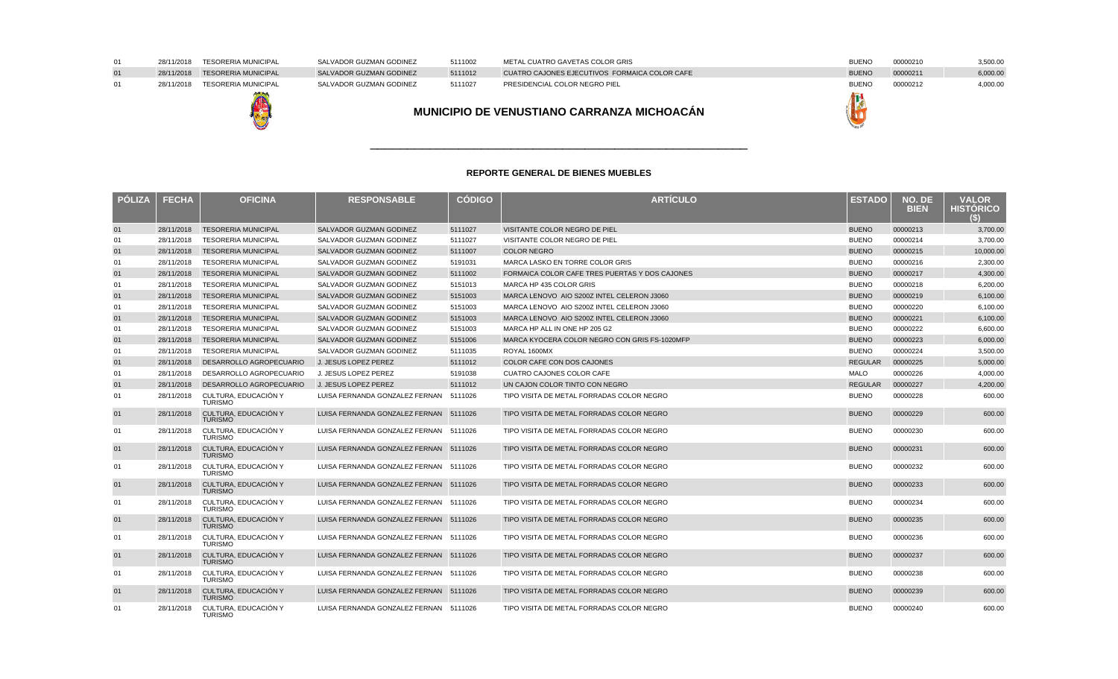| <b>POLIZA</b> | <b>FECHA</b> | <b>OFICINA</b>                         | <b>RESPONSABLE</b>                     | <b>CÓDIGO</b> | <b>ARTÍCULO</b>                                | <b>ESTADO</b>  | NO. DE<br><b>BIEN</b> | <b>VALOR</b><br><b>HISTORICO</b><br>(\$) |
|---------------|--------------|----------------------------------------|----------------------------------------|---------------|------------------------------------------------|----------------|-----------------------|------------------------------------------|
| 01            | 28/11/2018   | <b>TESORERIA MUNICIPAL</b>             | SALVADOR GUZMAN GODINEZ                | 5111027       | VISITANTE COLOR NEGRO DE PIEL                  | <b>BUENO</b>   | 00000213              | 3.700.00                                 |
| 01            | 28/11/2018   | <b>TESORERIA MUNICIPAL</b>             | SALVADOR GUZMAN GODINEZ                | 5111027       | VISITANTE COLOR NEGRO DE PIEL                  | <b>BUENO</b>   | 00000214              | 3.700.00                                 |
| 01            | 28/11/2018   | <b>TESORERIA MUNICIPAL</b>             | <b>SALVADOR GUZMAN GODINEZ</b>         | 5111007       | <b>COLOR NEGRO</b>                             | <b>BUENO</b>   | 00000215              | 10.000.00                                |
| 01            | 28/11/2018   | <b>TESORERIA MUNICIPAL</b>             | SALVADOR GUZMAN GODINEZ                | 5191031       | MARCA LASKO EN TORRE COLOR GRIS                | <b>BUENO</b>   | 00000216              | 2,300.00                                 |
| 01            | 28/11/2018   | <b>TESORERIA MUNICIPAL</b>             | SALVADOR GUZMAN GODINEZ                | 5111002       | FORMAICA COLOR CAFE TRES PUERTAS Y DOS CAJONES | <b>BUENO</b>   | 00000217              | 4,300.00                                 |
| 01            | 28/11/2018   | <b>TESORERIA MUNICIPAL</b>             | SALVADOR GUZMAN GODINEZ                | 5151013       | MARCA HP 435 COLOR GRIS                        | <b>BUENO</b>   | 00000218              | 6,200.00                                 |
| 01            | 28/11/2018   | <b>TESORERIA MUNICIPAL</b>             | <b>SALVADOR GUZMAN GODINEZ</b>         | 5151003       | MARCA LENOVO AIO S200Z INTEL CELERON J3060     | <b>BUENO</b>   | 00000219              | 6,100.00                                 |
| 01            | 28/11/2018   | <b>TESORERIA MUNICIPAL</b>             | SALVADOR GUZMAN GODINEZ                | 5151003       | MARCA LENOVO AIO S200Z INTEL CELERON J3060     | <b>BUENO</b>   | 00000220              | 6.100.00                                 |
| 01            | 28/11/2018   | <b>TESORERIA MUNICIPAL</b>             | SALVADOR GUZMAN GODINEZ                | 5151003       | MARCA LENOVO AIO S200Z INTEL CELERON J3060     | <b>BUENO</b>   | 00000221              | 6,100.00                                 |
| 01            | 28/11/2018   | <b>TESORERIA MUNICIPAL</b>             | SALVADOR GUZMAN GODINEZ                | 5151003       | MARCA HP ALL IN ONE HP 205 G2                  | <b>BUENO</b>   | 00000222              | 6,600.00                                 |
| 01            | 28/11/2018   | <b>TESORERIA MUNICIPAL</b>             | SALVADOR GUZMAN GODINEZ                | 5151006       | MARCA KYOCERA COLOR NEGRO CON GRIS FS-1020MFP  | <b>BUENO</b>   | 00000223              | 6,000.00                                 |
| 01            | 28/11/2018   | <b>TESORERIA MUNICIPAL</b>             | SALVADOR GUZMAN GODINEZ                | 5111035       | ROYAL 1600MX                                   | <b>BUENO</b>   | 00000224              | 3,500.00                                 |
| 01            | 28/11/2018   | DESARROLLO AGROPECUARIO                | J. JESUS LOPEZ PEREZ                   | 5111012       | COLOR CAFE CON DOS CAJONES                     | <b>REGULAR</b> | 00000225              | 5,000.00                                 |
| 01            | 28/11/2018   | DESARROLLO AGROPECUARIO                | J. JESUS LOPEZ PEREZ                   | 5191038       | <b>CUATRO CAJONES COLOR CAFE</b>               | <b>MALO</b>    | 00000226              | 4,000.00                                 |
| 01            | 28/11/2018   | DESARROLLO AGROPECUARIO                | J. JESUS LOPEZ PEREZ                   | 5111012       | UN CAJON COLOR TINTO CON NEGRO                 | <b>REGULAR</b> | 00000227              | 4,200.00                                 |
| 01            | 28/11/2018   | CULTURA, EDUCACIÓN Y<br><b>TURISMO</b> | LUISA FERNANDA GONZALEZ FERNAN         | 5111026       | TIPO VISITA DE METAL FORRADAS COLOR NEGRO      | <b>BUENO</b>   | 00000228              | 600.00                                   |
| 01            | 28/11/2018   | CULTURA, EDUCACIÓN Y<br><b>TURISMO</b> | LUISA FERNANDA GONZALEZ FERNAN 5111026 |               | TIPO VISITA DE METAL FORRADAS COLOR NEGRO      | <b>BUENO</b>   | 00000229              | 600.00                                   |
| 01            | 28/11/2018   | CULTURA. EDUCACIÓN Y<br><b>TURISMO</b> | LUISA FERNANDA GONZALEZ FERNAN 5111026 |               | TIPO VISITA DE METAL FORRADAS COLOR NEGRO      | <b>BUENO</b>   | 00000230              | 600.00                                   |
| 01            | 28/11/2018   | CULTURA, EDUCACIÓN Y<br><b>TURISMO</b> | LUISA FERNANDA GONZALEZ FERNAN 5111026 |               | TIPO VISITA DE METAL FORRADAS COLOR NEGRO      | <b>BUENO</b>   | 00000231              | 600.00                                   |
| 01            | 28/11/2018   | CULTURA. EDUCACIÓN Y<br><b>TURISMO</b> | LUISA FERNANDA GONZALEZ FERNAN 5111026 |               | TIPO VISITA DE METAL FORRADAS COLOR NEGRO      | <b>BUENO</b>   | 00000232              | 600.00                                   |
| 01            | 28/11/2018   | CULTURA, EDUCACIÓN Y<br><b>TURISMO</b> | LUISA FERNANDA GONZALEZ FERNAN 5111026 |               | TIPO VISITA DE METAL FORRADAS COLOR NEGRO      | <b>BUENO</b>   | 00000233              | 600.00                                   |
| 01            | 28/11/2018   | CULTURA, EDUCACIÓN Y<br><b>TURISMO</b> | LUISA FERNANDA GONZALEZ FERNAN 5111026 |               | TIPO VISITA DE METAL FORRADAS COLOR NEGRO      | <b>BUENO</b>   | 00000234              | 600.00                                   |
| 01            | 28/11/2018   | CULTURA. EDUCACIÓN Y<br><b>TURISMO</b> | LUISA FERNANDA GONZALEZ FERNAN 5111026 |               | TIPO VISITA DE METAL FORRADAS COLOR NEGRO      | <b>BUENO</b>   | 00000235              | 600.00                                   |
| 01            | 28/11/2018   | CULTURA. EDUCACIÓN Y<br><b>TURISMO</b> | LUISA FERNANDA GONZALEZ FERNAN 5111026 |               | TIPO VISITA DE METAL FORRADAS COLOR NEGRO      | <b>BUENO</b>   | 00000236              | 600.00                                   |
| 01            | 28/11/2018   | CULTURA. EDUCACIÓN Y<br><b>TURISMO</b> | LUISA FERNANDA GONZALEZ FERNAN 5111026 |               | TIPO VISITA DE METAL FORRADAS COLOR NEGRO      | <b>BUENO</b>   | 00000237              | 600.00                                   |
| 01            | 28/11/2018   | CULTURA, EDUCACIÓN Y<br><b>TURISMO</b> | LUISA FERNANDA GONZALEZ FERNAN 5111026 |               | TIPO VISITA DE METAL FORRADAS COLOR NEGRO      | <b>BUENO</b>   | 00000238              | 600.00                                   |
| 01            | 28/11/2018   | CULTURA, EDUCACIÓN Y<br><b>TURISMO</b> | LUISA FERNANDA GONZALEZ FERNAN 5111026 |               | TIPO VISITA DE METAL FORRADAS COLOR NEGRO      | <b>BUENO</b>   | 00000239              | 600.00                                   |
| 01            | 28/11/2018   | CULTURA, EDUCACIÓN Y<br><b>TURISMO</b> | LUISA FERNANDA GONZALEZ FERNAN 5111026 |               | TIPO VISITA DE METAL FORRADAS COLOR NEGRO      | <b>BUENO</b>   | 00000240              | 600.00                                   |

**MUNICIPIO DE VENUSTIANO CARRANZA MICHOACÁN**

# 28/11/2018 TESORERIA MUNICIPAL 28/11/2018 TESORERIA MUNICIPAL -4

28/11/2018 TESORERIA MUNICIPAL

01

01

01

| SALVADOR GUZMAN GODINEZ |
|-------------------------|
| SALVADOR GUZMAN GODINEZ |
| SALVADOR GUZMAN GODINEZ |

### <sup>5111002</sup> METAL CUATRO GAVETAS COLOR GRISS<sub>i</sub> BUENO DE L'Albert (1995) est al construction de la proposition de la proposition de la proposition de la proposition de la proposition de la proposition de la proposition de la proposition de la proposition de la prop 5111012 CUATRO C/<br>5111027 PRESIDENC Z 5111027 PRESIDENCIAL COLOR NEGRO PIEL **BUENO** BUENO BUENO



| ATRO GAVETAS COLOR GRIS                |  |
|----------------------------------------|--|
| AJONES EJECUTIVOS FORMAICA COLOR CAFE: |  |
| ICIAL COLOR NEGRO PIEL                 |  |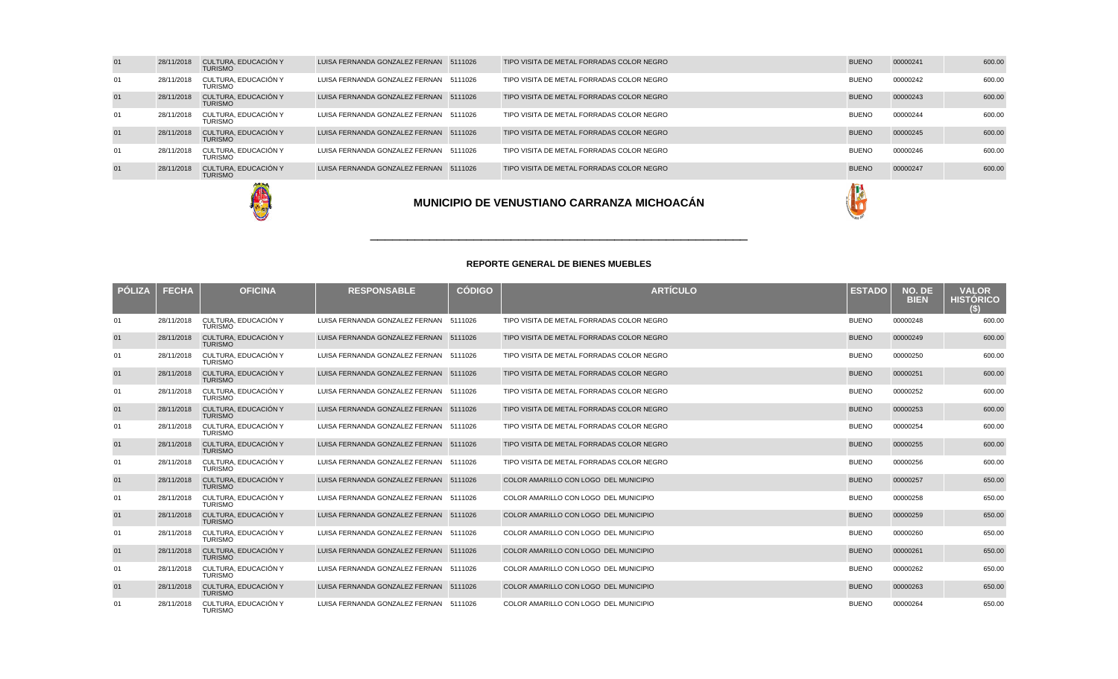| 01 | 28/11/2018 | CULTURA, EDUCACIÓN Y<br><b>TURISMO</b> | LUISA FERNANDA GONZALEZ FERNAN 5111026 | TIPO VISITA DE METAL FORRADAS COLOR NEGRO | <b>BUENO</b> | 00000241 | 600.00 |
|----|------------|----------------------------------------|----------------------------------------|-------------------------------------------|--------------|----------|--------|
| 01 | 28/11/2018 | CULTURA. EDUCACIÓN Y<br><b>TURISMO</b> | LUISA FERNANDA GONZALEZ FERNAN 5111026 | TIPO VISITA DE METAL FORRADAS COLOR NEGRO | <b>BUENO</b> | 00000242 | 600.00 |
| 01 | 28/11/2018 | CULTURA, EDUCACIÓN Y<br><b>TURISMO</b> | LUISA FERNANDA GONZALEZ FERNAN 5111026 | TIPO VISITA DE METAL FORRADAS COLOR NEGRO | <b>BUENO</b> | 00000243 | 600.00 |
| 01 | 28/11/2018 | CULTURA. EDUCACIÓN Y<br><b>TURISMO</b> | LUISA FERNANDA GONZALEZ FERNAN 5111026 | TIPO VISITA DE METAL FORRADAS COLOR NEGRO | <b>BUENO</b> | 00000244 | 600.00 |
| 01 | 28/11/2018 | CULTURA. EDUCACIÓN Y<br><b>TURISMO</b> | LUISA FERNANDA GONZALEZ FERNAN 5111026 | TIPO VISITA DE METAL FORRADAS COLOR NEGRO | <b>BUENO</b> | 00000245 | 600.00 |
| 01 | 28/11/2018 | CULTURA. EDUCACIÓN Y<br><b>TURISMO</b> | LUISA FERNANDA GONZALEZ FERNAN 5111026 | TIPO VISITA DE METAL FORRADAS COLOR NEGRO | <b>BUENO</b> | 00000246 | 600.00 |
| 01 | 28/11/2018 | CULTURA, EDUCACIÓN Y<br><b>TURISMO</b> | LUISA FERNANDA GONZALEZ FERNAN 5111026 | TIPO VISITA DE METAL FORRADAS COLOR NEGRO | <b>BUENO</b> | 00000247 | 600.00 |
|    |            | <b>ANTI PLA</b>                        |                                        |                                           | $\sim$       |          |        |





### **REPORTE GENERAL DE BIENES MUEBLES**

\_\_\_\_\_\_\_\_\_\_\_\_\_\_\_\_\_\_\_\_\_\_\_\_\_\_\_\_\_\_\_\_\_\_\_\_\_\_\_\_\_\_\_\_\_\_\_\_\_\_\_

| <b>PÓLIZA</b> | <b>FECHA</b> | <b>OFICINA</b>                         | <b>RESPONSABLE</b>                     | <b>CÓDIGO</b> | <b>ARTÍCULO</b>                           | <b>ESTADO</b> | NO. DE<br><b>BIEN</b> | <b>VALOR</b><br><b>HISTÓRICO</b> |
|---------------|--------------|----------------------------------------|----------------------------------------|---------------|-------------------------------------------|---------------|-----------------------|----------------------------------|
| 01            | 28/11/2018   | CULTURA. EDUCACIÓN Y<br><b>TURISMO</b> | LUISA FERNANDA GONZALEZ FERNAN 5111026 |               | TIPO VISITA DE METAL FORRADAS COLOR NEGRO | <b>BUENO</b>  | 00000248              | 600.00                           |
| 01            | 28/11/2018   | CULTURA, EDUCACIÓN Y<br><b>TURISMO</b> | LUISA FERNANDA GONZALEZ FERNAN 5111026 |               | TIPO VISITA DE METAL FORRADAS COLOR NEGRO | <b>BUENO</b>  | 00000249              | 600.00                           |
| 01            | 28/11/2018   | CULTURA. EDUCACIÓN Y<br><b>TURISMO</b> | LUISA FERNANDA GONZALEZ FERNAN 5111026 |               | TIPO VISITA DE METAL FORRADAS COLOR NEGRO | <b>BUENO</b>  | 00000250              | 600.00                           |
| 01            | 28/11/2018   | CULTURA, EDUCACIÓN Y<br><b>TURISMO</b> | LUISA FERNANDA GONZALEZ FERNAN 5111026 |               | TIPO VISITA DE METAL FORRADAS COLOR NEGRO | <b>BUENO</b>  | 00000251              | 600.00                           |
| 01            | 28/11/2018   | CULTURA. EDUCACIÓN Y<br><b>TURISMO</b> | LUISA FERNANDA GONZALEZ FERNAN 5111026 |               | TIPO VISITA DE METAL FORRADAS COLOR NEGRO | <b>BUENO</b>  | 00000252              | 600.00                           |
| 01            | 28/11/2018   | CULTURA, EDUCACIÓN Y<br><b>TURISMO</b> | LUISA FERNANDA GONZALEZ FERNAN 5111026 |               | TIPO VISITA DE METAL FORRADAS COLOR NEGRO | <b>BUENO</b>  | 00000253              | 600.00                           |
| 01            | 28/11/2018   | CULTURA. EDUCACIÓN Y<br><b>TURISMO</b> | LUISA FERNANDA GONZALEZ FERNAN 5111026 |               | TIPO VISITA DE METAL FORRADAS COLOR NEGRO | <b>BUENO</b>  | 00000254              | 600.00                           |
| 01            | 28/11/2018   | CULTURA, EDUCACIÓN Y<br><b>TURISMO</b> | LUISA FERNANDA GONZALEZ FERNAN 5111026 |               | TIPO VISITA DE METAL FORRADAS COLOR NEGRO | <b>BUENO</b>  | 00000255              | 600.00                           |
| 01            | 28/11/2018   | CULTURA. EDUCACIÓN Y<br><b>TURISMO</b> | LUISA FERNANDA GONZALEZ FERNAN 5111026 |               | TIPO VISITA DE METAL FORRADAS COLOR NEGRO | <b>BUENO</b>  | 00000256              | 600.00                           |
| 01            | 28/11/2018   | CULTURA, EDUCACIÓN Y<br><b>TURISMO</b> | LUISA FERNANDA GONZALEZ FERNAN 5111026 |               | COLOR AMARILLO CON LOGO DEL MUNICIPIO     | <b>BUENO</b>  | 00000257              | 650.00                           |
| 01            | 28/11/2018   | CULTURA. EDUCACIÓN Y<br><b>TURISMO</b> | LUISA FERNANDA GONZALEZ FERNAN 5111026 |               | COLOR AMARILLO CON LOGO DEL MUNICIPIO     | <b>BUENO</b>  | 00000258              | 650.00                           |
| 01            | 28/11/2018   | CULTURA, EDUCACIÓN Y<br><b>TURISMO</b> | LUISA FERNANDA GONZALEZ FERNAN 5111026 |               | COLOR AMARILLO CON LOGO DEL MUNICIPIO     | <b>BUENO</b>  | 00000259              | 650.00                           |
| 01            | 28/11/2018   | CULTURA. EDUCACIÓN Y<br><b>TURISMO</b> | LUISA FERNANDA GONZALEZ FERNAN 5111026 |               | COLOR AMARILLO CON LOGO DEL MUNICIPIO     | <b>BUENO</b>  | 00000260              | 650.00                           |
| 01            | 28/11/2018   | CULTURA, EDUCACIÓN Y<br><b>TURISMO</b> | LUISA FERNANDA GONZALEZ FERNAN 5111026 |               | COLOR AMARILLO CON LOGO DEL MUNICIPIO     | <b>BUENO</b>  | 00000261              | 650.00                           |
| 01            | 28/11/2018   | CULTURA. EDUCACIÓN Y<br><b>TURISMO</b> | LUISA FERNANDA GONZALEZ FERNAN 5111026 |               | COLOR AMARILLO CON LOGO DEL MUNICIPIO     | <b>BUENO</b>  | 00000262              | 650.00                           |
| 01            | 28/11/2018   | CULTURA, EDUCACIÓN Y<br><b>TURISMO</b> | LUISA FERNANDA GONZALEZ FERNAN 5111026 |               | COLOR AMARILLO CON LOGO DEL MUNICIPIO     | <b>BUENO</b>  | 00000263              | 650.00                           |
| 01            | 28/11/2018   | CULTURA, EDUCACIÓN Y<br><b>TURISMO</b> | LUISA FERNANDA GONZALEZ FERNAN 5111026 |               | COLOR AMARILLO CON LOGO DEL MUNICIPIO     | <b>BUENO</b>  | 00000264              | 650.00                           |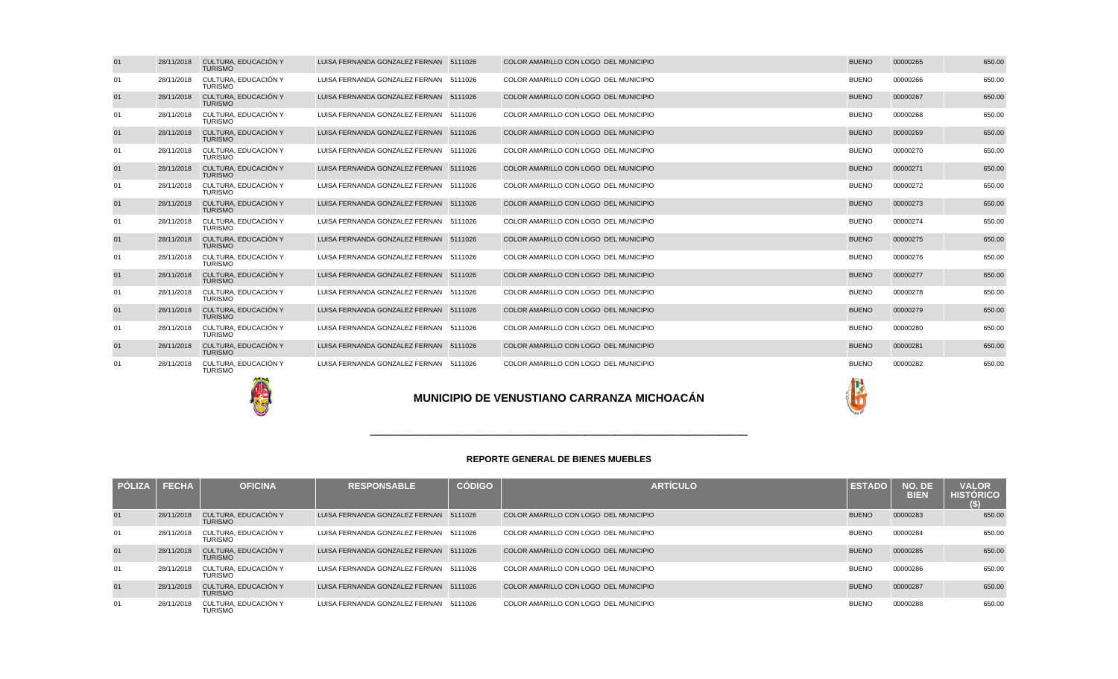| 01 | 28/11/2018 | CULTURA, EDUCACIÓN Y<br><b>TURISMO</b> | LUISA FERNANDA GONZALEZ FERNAN 5111026 |         | COLOR AMARILLO CON LOGO DEL MUNICIPIO | <b>BUENO</b> | 00000265 | 650.00 |
|----|------------|----------------------------------------|----------------------------------------|---------|---------------------------------------|--------------|----------|--------|
| 01 | 28/11/2018 | CULTURA, EDUCACIÓN Y<br><b>TURISMO</b> | LUISA FERNANDA GONZALEZ FERNAN 5111026 |         | COLOR AMARILLO CON LOGO DEL MUNICIPIO | <b>BUENO</b> | 00000266 | 650.00 |
| 01 | 28/11/2018 | CULTURA, EDUCACIÓN Y<br><b>TURISMO</b> | LUISA FERNANDA GONZALEZ FERNAN 5111026 |         | COLOR AMARILLO CON LOGO DEL MUNICIPIO | <b>BUENO</b> | 00000267 | 650.00 |
| 01 | 28/11/2018 | CULTURA. EDUCACIÓN Y<br><b>TURISMO</b> | LUISA FERNANDA GONZALEZ FERNAN 5111026 |         | COLOR AMARILLO CON LOGO DEL MUNICIPIO | <b>BUENO</b> | 00000268 | 650.00 |
| 01 | 28/11/2018 | CULTURA, EDUCACIÓN Y<br><b>TURISMO</b> | LUISA FERNANDA GONZALEZ FERNAN 5111026 |         | COLOR AMARILLO CON LOGO DEL MUNICIPIO | <b>BUENO</b> | 00000269 | 650.00 |
| 01 | 28/11/2018 | CULTURA. EDUCACIÓN Y<br><b>TURISMO</b> | LUISA FERNANDA GONZALEZ FERNAN 5111026 |         | COLOR AMARILLO CON LOGO DEL MUNICIPIO | <b>BUENO</b> | 00000270 | 650.00 |
| 01 | 28/11/2018 | CULTURA, EDUCACIÓN Y<br><b>TURISMO</b> | LUISA FERNANDA GONZALEZ FERNAN 5111026 |         | COLOR AMARILLO CON LOGO DEL MUNICIPIO | <b>BUENO</b> | 00000271 | 650.00 |
| 01 | 28/11/2018 | CULTURA, EDUCACIÓN Y<br><b>TURISMO</b> | LUISA FERNANDA GONZALEZ FERNAN 5111026 |         | COLOR AMARILLO CON LOGO DEL MUNICIPIO | <b>BUENO</b> | 00000272 | 650.00 |
| 01 | 28/11/2018 | CULTURA, EDUCACIÓN Y<br><b>TURISMO</b> | LUISA FERNANDA GONZALEZ FERNAN 5111026 |         | COLOR AMARILLO CON LOGO DEL MUNICIPIO | <b>BUENO</b> | 00000273 | 650.00 |
| 01 | 28/11/2018 | CULTURA. EDUCACIÓN Y<br><b>TURISMO</b> | LUISA FERNANDA GONZALEZ FERNAN 5111026 |         | COLOR AMARILLO CON LOGO DEL MUNICIPIO | <b>BUENO</b> | 00000274 | 650.00 |
| 01 | 28/11/2018 | CULTURA, EDUCACIÓN Y<br><b>TURISMO</b> | LUISA FERNANDA GONZALEZ FERNAN 5111026 |         | COLOR AMARILLO CON LOGO DEL MUNICIPIO | <b>BUENO</b> | 00000275 | 650.00 |
| 01 | 28/11/2018 | CULTURA, EDUCACIÓN Y<br><b>TURISMO</b> | LUISA FERNANDA GONZALEZ FERNAN 5111026 |         | COLOR AMARILLO CON LOGO DEL MUNICIPIO | <b>BUENO</b> | 00000276 | 650.00 |
| 01 | 28/11/2018 | CULTURA, EDUCACIÓN Y<br><b>TURISMO</b> | LUISA FERNANDA GONZALEZ FERNAN 5111026 |         | COLOR AMARILLO CON LOGO DEL MUNICIPIO | <b>BUENO</b> | 00000277 | 650.00 |
| 01 | 28/11/2018 | CULTURA, EDUCACIÓN Y<br><b>TURISMO</b> | LUISA FERNANDA GONZALEZ FERNAN 5111026 |         | COLOR AMARILLO CON LOGO DEL MUNICIPIO | <b>BUENO</b> | 00000278 | 650.00 |
| 01 | 28/11/2018 | CULTURA, EDUCACIÓN Y<br><b>TURISMO</b> | LUISA FERNANDA GONZALEZ FERNAN 5111026 |         | COLOR AMARILLO CON LOGO DEL MUNICIPIO | <b>BUENO</b> | 00000279 | 650.00 |
| 01 | 28/11/2018 | CULTURA. EDUCACIÓN Y<br><b>TURISMO</b> | LUISA FERNANDA GONZALEZ FERNAN 5111026 |         | COLOR AMARILLO CON LOGO DEL MUNICIPIO | <b>BUENO</b> | 00000280 | 650.00 |
| 01 | 28/11/2018 | CULTURA, EDUCACIÓN Y<br><b>TURISMO</b> | LUISA FERNANDA GONZALEZ FERNAN 5111026 |         | COLOR AMARILLO CON LOGO DEL MUNICIPIO | <b>BUENO</b> | 00000281 | 650.00 |
| 01 | 28/11/2018 | CULTURA. EDUCACIÓN Y<br><b>TURISMO</b> | LUISA FERNANDA GONZALEZ FERNAN         | 5111026 | COLOR AMARILLO CON LOGO DEL MUNICIPIO | <b>BUENO</b> | 00000282 | 650.00 |





| <b>PÓLIZA</b> | <b>FECHA</b> | <b>OFICINA</b>                         | <b>RESPONSABLE</b>                     | <b>CÓDIGO</b> | <b>ARTICULO</b>                       | <b>ESTADO</b> | NO. DE<br><b>BIEN</b> | <b>VALOR</b><br><b>HISTORICO</b><br>(S) |
|---------------|--------------|----------------------------------------|----------------------------------------|---------------|---------------------------------------|---------------|-----------------------|-----------------------------------------|
| 01            | 28/11/2018   | CULTURA, EDUCACIÓN Y<br><b>TURISMO</b> | LUISA FERNANDA GONZALEZ FERNAN 5111026 |               | COLOR AMARILLO CON LOGO DEL MUNICIPIO | <b>BUENO</b>  | 00000283              | 650.00                                  |
| 01            | 28/11/2018   | CULTURA. EDUCACIÓN Y<br><b>TURISMO</b> | LUISA FERNANDA GONZALEZ FERNAN 5111026 |               | COLOR AMARILLO CON LOGO DEL MUNICIPIO | <b>BUENO</b>  | 00000284              | 650.00                                  |
| 01            | 28/11/2018   | CULTURA, EDUCACIÓN Y<br><b>TURISMO</b> | LUISA FERNANDA GONZALEZ FERNAN 5111026 |               | COLOR AMARILLO CON LOGO DEL MUNICIPIO | <b>BUENO</b>  | 00000285              | 650.00                                  |
| 01            | 28/11/2018   | CULTURA. EDUCACIÓN Y<br><b>TURISMO</b> | LUISA FERNANDA GONZALEZ FERNAN 5111026 |               | COLOR AMARILLO CON LOGO DEL MUNICIPIO | <b>BUENO</b>  | 00000286              | 650.00                                  |
| 01            | 28/11/2018   | CULTURA, EDUCACIÓN Y<br><b>TURISMO</b> | LUISA FERNANDA GONZALEZ FERNAN 5111026 |               | COLOR AMARILLO CON LOGO DEL MUNICIPIO | <b>BUENO</b>  | 00000287              | 650.00                                  |
| 01            | 28/11/2018   | CULTURA. EDUCACIÓN Y<br><b>TURISMO</b> | LUISA FERNANDA GONZALEZ FERNAN 5111026 |               | COLOR AMARILLO CON LOGO DEL MUNICIPIO | <b>BUENO</b>  | 00000288              | 650.00                                  |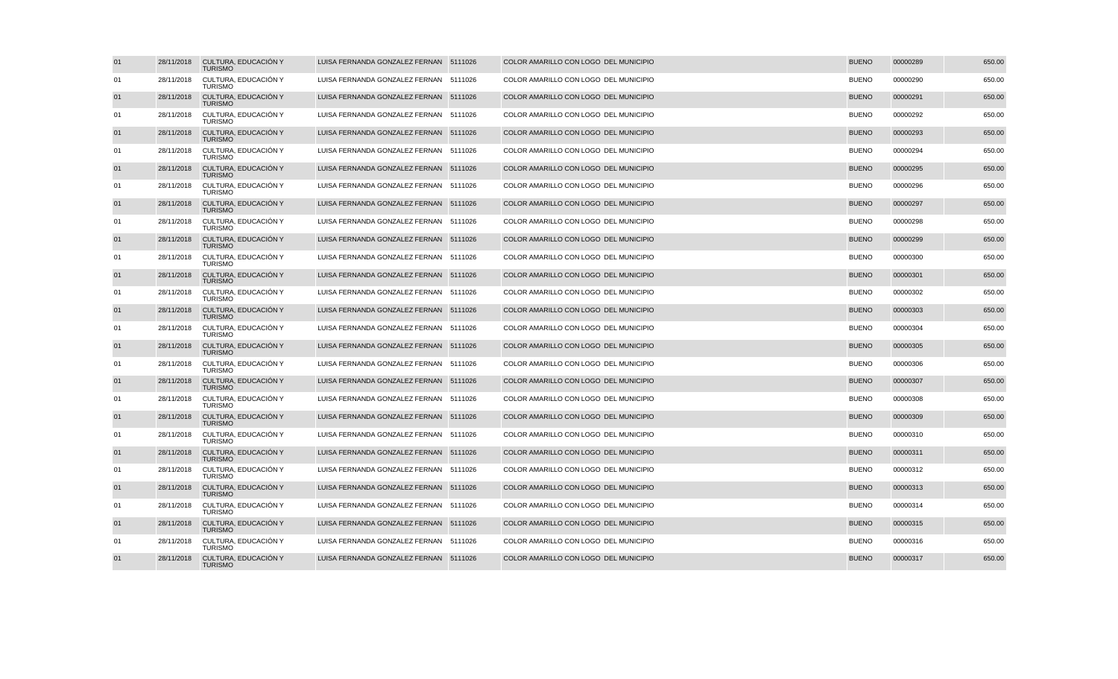| 01 | 28/11/2018 | CULTURA, EDUCACIÓN Y<br><b>TURISMO</b> | LUISA FERNANDA GONZALEZ FERNAN 5111026 | COLOR AMARILLO CON LOGO DEL MUNICIPIO | <b>BUENO</b> | 00000289 | 650.00 |
|----|------------|----------------------------------------|----------------------------------------|---------------------------------------|--------------|----------|--------|
| 01 | 28/11/2018 | CULTURA, EDUCACIÓN Y<br><b>TURISMO</b> | LUISA FERNANDA GONZALEZ FERNAN 5111026 | COLOR AMARILLO CON LOGO DEL MUNICIPIO | <b>BUENO</b> | 00000290 | 650.00 |
| 01 | 28/11/2018 | CULTURA, EDUCACIÓN Y<br><b>TURISMO</b> | LUISA FERNANDA GONZALEZ FERNAN 5111026 | COLOR AMARILLO CON LOGO DEL MUNICIPIO | <b>BUENO</b> | 00000291 | 650.00 |
| 01 | 28/11/2018 | CULTURA, EDUCACIÓN Y<br><b>TURISMO</b> | LUISA FERNANDA GONZALEZ FERNAN 5111026 | COLOR AMARILLO CON LOGO DEL MUNICIPIO | <b>BUENO</b> | 00000292 | 650.00 |
| 01 | 28/11/2018 | CULTURA, EDUCACIÓN Y<br><b>TURISMO</b> | LUISA FERNANDA GONZALEZ FERNAN 5111026 | COLOR AMARILLO CON LOGO DEL MUNICIPIO | <b>BUENO</b> | 00000293 | 650.00 |
| 01 | 28/11/2018 | CULTURA, EDUCACIÓN Y<br><b>TURISMO</b> | LUISA FERNANDA GONZALEZ FERNAN 5111026 | COLOR AMARILLO CON LOGO DEL MUNICIPIO | <b>BUENO</b> | 00000294 | 650.00 |
| 01 | 28/11/2018 | CULTURA, EDUCACIÓN Y<br><b>TURISMO</b> | LUISA FERNANDA GONZALEZ FERNAN 5111026 | COLOR AMARILLO CON LOGO DEL MUNICIPIO | <b>BUENO</b> | 00000295 | 650.00 |
| 01 | 28/11/2018 | CULTURA, EDUCACIÓN Y<br><b>TURISMO</b> | LUISA FERNANDA GONZALEZ FERNAN 5111026 | COLOR AMARILLO CON LOGO DEL MUNICIPIO | <b>BUENO</b> | 00000296 | 650.00 |
| 01 | 28/11/2018 | CULTURA, EDUCACIÓN Y<br><b>TURISMO</b> | LUISA FERNANDA GONZALEZ FERNAN 5111026 | COLOR AMARILLO CON LOGO DEL MUNICIPIO | <b>BUENO</b> | 00000297 | 650.00 |
| 01 | 28/11/2018 | CULTURA, EDUCACIÓN Y<br><b>TURISMO</b> | LUISA FERNANDA GONZALEZ FERNAN 5111026 | COLOR AMARILLO CON LOGO DEL MUNICIPIO | <b>BUENO</b> | 00000298 | 650.00 |
| 01 | 28/11/2018 | CULTURA, EDUCACIÓN Y<br><b>TURISMO</b> | LUISA FERNANDA GONZALEZ FERNAN 5111026 | COLOR AMARILLO CON LOGO DEL MUNICIPIO | <b>BUENO</b> | 00000299 | 650.00 |
| 01 | 28/11/2018 | CULTURA, EDUCACIÓN Y<br><b>TURISMO</b> | LUISA FERNANDA GONZALEZ FERNAN 5111026 | COLOR AMARILLO CON LOGO DEL MUNICIPIO | <b>BUENO</b> | 00000300 | 650.00 |
| 01 | 28/11/2018 | CULTURA, EDUCACIÓN Y<br><b>TURISMO</b> | LUISA FERNANDA GONZALEZ FERNAN 5111026 | COLOR AMARILLO CON LOGO DEL MUNICIPIO | <b>BUENO</b> | 00000301 | 650.00 |
| 01 | 28/11/2018 | CULTURA, EDUCACIÓN Y<br><b>TURISMO</b> | LUISA FERNANDA GONZALEZ FERNAN 5111026 | COLOR AMARILLO CON LOGO DEL MUNICIPIO | <b>BUENO</b> | 00000302 | 650.00 |
| 01 | 28/11/2018 | CULTURA, EDUCACIÓN Y<br><b>TURISMO</b> | LUISA FERNANDA GONZALEZ FERNAN 5111026 | COLOR AMARILLO CON LOGO DEL MUNICIPIO | <b>BUENO</b> | 00000303 | 650.00 |
| 01 | 28/11/2018 | CULTURA, EDUCACIÓN Y<br><b>TURISMO</b> | LUISA FERNANDA GONZALEZ FERNAN 5111026 | COLOR AMARILLO CON LOGO DEL MUNICIPIO | <b>BUENO</b> | 00000304 | 650.00 |
| 01 | 28/11/2018 | CULTURA, EDUCACIÓN Y<br><b>TURISMO</b> | LUISA FERNANDA GONZALEZ FERNAN 5111026 | COLOR AMARILLO CON LOGO DEL MUNICIPIO | <b>BUENO</b> | 00000305 | 650.00 |
| 01 | 28/11/2018 | CULTURA, EDUCACIÓN Y<br><b>TURISMO</b> | LUISA FERNANDA GONZALEZ FERNAN 5111026 | COLOR AMARILLO CON LOGO DEL MUNICIPIO | <b>BUENO</b> | 00000306 | 650.00 |
| 01 | 28/11/2018 | CULTURA, EDUCACIÓN Y<br><b>TURISMO</b> | LUISA FERNANDA GONZALEZ FERNAN 5111026 | COLOR AMARILLO CON LOGO DEL MUNICIPIO | <b>BUENO</b> | 00000307 | 650.00 |
| 01 | 28/11/2018 | CULTURA, EDUCACIÓN Y<br>TURISMO        | LUISA FERNANDA GONZALEZ FERNAN 5111026 | COLOR AMARILLO CON LOGO DEL MUNICIPIO | <b>BUENO</b> | 00000308 | 650.00 |
| 01 | 28/11/2018 | CULTURA, EDUCACIÓN Y<br><b>TURISMO</b> | LUISA FERNANDA GONZALEZ FERNAN 5111026 | COLOR AMARILLO CON LOGO DEL MUNICIPIO | <b>BUENO</b> | 00000309 | 650.00 |
| 01 | 28/11/2018 | CULTURA, EDUCACIÓN Y<br><b>TURISMO</b> | LUISA FERNANDA GONZALEZ FERNAN 5111026 | COLOR AMARILLO CON LOGO DEL MUNICIPIO | <b>BUENO</b> | 00000310 | 650.00 |
| 01 | 28/11/2018 | CULTURA, EDUCACIÓN Y<br><b>TURISMO</b> | LUISA FERNANDA GONZALEZ FERNAN 5111026 | COLOR AMARILLO CON LOGO DEL MUNICIPIO | <b>BUENO</b> | 00000311 | 650.00 |
| 01 | 28/11/2018 | CULTURA, EDUCACIÓN Y<br><b>TURISMO</b> | LUISA FERNANDA GONZALEZ FERNAN 5111026 | COLOR AMARILLO CON LOGO DEL MUNICIPIO | <b>BUENO</b> | 00000312 | 650.00 |
| 01 | 28/11/2018 | CULTURA, EDUCACIÓN Y<br><b>TURISMO</b> | LUISA FERNANDA GONZALEZ FERNAN 5111026 | COLOR AMARILLO CON LOGO DEL MUNICIPIO | <b>BUENO</b> | 00000313 | 650.00 |
| 01 | 28/11/2018 | CULTURA, EDUCACIÓN Y<br><b>TURISMO</b> | LUISA FERNANDA GONZALEZ FERNAN 5111026 | COLOR AMARILLO CON LOGO DEL MUNICIPIO | <b>BUENO</b> | 00000314 | 650.00 |
| 01 | 28/11/2018 | CULTURA, EDUCACIÓN Y<br><b>TURISMO</b> | LUISA FERNANDA GONZALEZ FERNAN 5111026 | COLOR AMARILLO CON LOGO DEL MUNICIPIO | <b>BUENO</b> | 00000315 | 650.00 |
| 01 | 28/11/2018 | CULTURA, EDUCACIÓN Y<br><b>TURISMO</b> | LUISA FERNANDA GONZALEZ FERNAN 5111026 | COLOR AMARILLO CON LOGO DEL MUNICIPIO | <b>BUENO</b> | 00000316 | 650.00 |
| 01 | 28/11/2018 | CULTURA, EDUCACIÓN Y<br><b>TURISMO</b> | LUISA FERNANDA GONZALEZ FERNAN 5111026 | COLOR AMARILLO CON LOGO DEL MUNICIPIO | <b>BUENO</b> | 00000317 | 650.00 |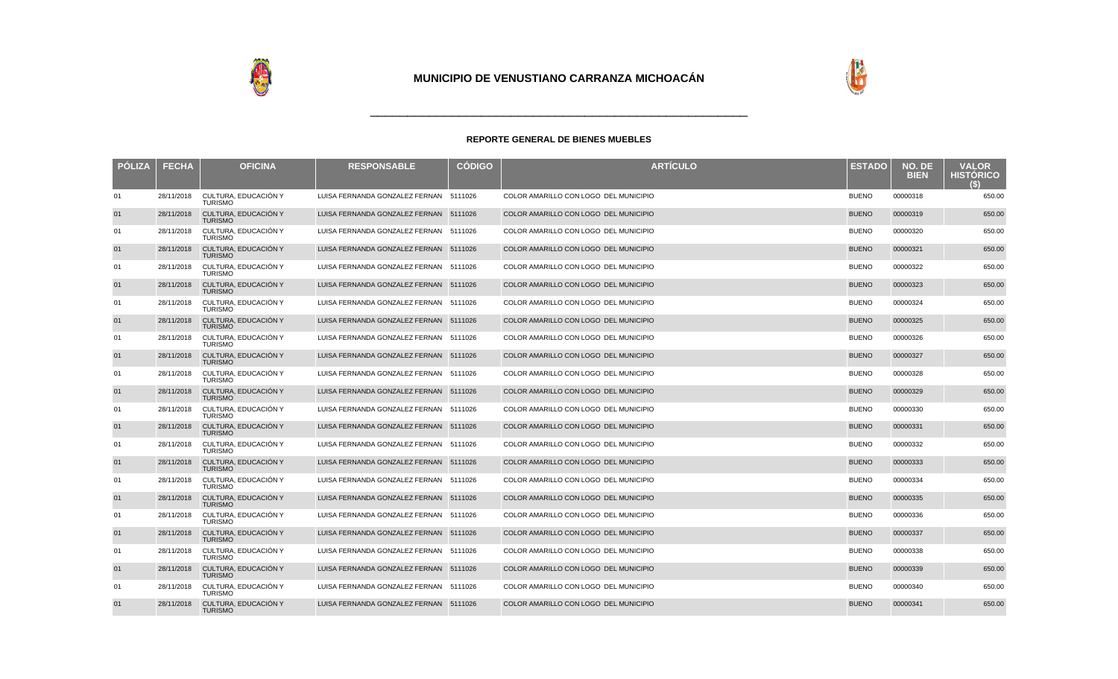



| <b>PÓLIZA</b> | <b>FECHA</b> | <b>OFICINA</b>                         | <b>RESPONSABLE</b>                     | <b>CÓDIGO</b> | <b>ARTÍCULO</b>                       | <b>ESTADO</b> | NO. DE<br><b>BIEN</b> | <b>VALOR</b><br><b>HISTÓRICO</b><br>$\left( \cdot \right)$ |
|---------------|--------------|----------------------------------------|----------------------------------------|---------------|---------------------------------------|---------------|-----------------------|------------------------------------------------------------|
| 01            | 28/11/2018   | CULTURA, EDUCACIÓN Y<br><b>TURISMO</b> | LUISA FERNANDA GONZALEZ FERNAN 5111026 |               | COLOR AMARILLO CON LOGO DEL MUNICIPIO | <b>BUENO</b>  | 00000318              | 650.00                                                     |
| 01            | 28/11/2018   | CULTURA, EDUCACIÓN Y<br><b>TURISMO</b> | LUISA FERNANDA GONZALEZ FERNAN 5111026 |               | COLOR AMARILLO CON LOGO DEL MUNICIPIO | <b>BUENO</b>  | 00000319              | 650.00                                                     |
| 01            | 28/11/2018   | CULTURA, EDUCACIÓN Y<br><b>TURISMO</b> | LUISA FERNANDA GONZALEZ FERNAN 5111026 |               | COLOR AMARILLO CON LOGO DEL MUNICIPIO | <b>BUENO</b>  | 00000320              | 650.00                                                     |
| 01            | 28/11/2018   | CULTURA, EDUCACIÓN Y<br><b>TURISMO</b> | LUISA FERNANDA GONZALEZ FERNAN 5111026 |               | COLOR AMARILLO CON LOGO DEL MUNICIPIO | <b>BUENO</b>  | 00000321              | 650.00                                                     |
| 01            | 28/11/2018   | CULTURA, EDUCACIÓN Y<br><b>TURISMO</b> | LUISA FERNANDA GONZALEZ FERNAN 5111026 |               | COLOR AMARILLO CON LOGO DEL MUNICIPIO | <b>BUENO</b>  | 00000322              | 650.00                                                     |
| 01            | 28/11/2018   | CULTURA, EDUCACIÓN Y<br><b>TURISMO</b> | LUISA FERNANDA GONZALEZ FERNAN 5111026 |               | COLOR AMARILLO CON LOGO DEL MUNICIPIO | <b>BUENO</b>  | 00000323              | 650.00                                                     |
| 01            | 28/11/2018   | CULTURA, EDUCACIÓN Y<br><b>TURISMO</b> | LUISA FERNANDA GONZALEZ FERNAN 5111026 |               | COLOR AMARILLO CON LOGO DEL MUNICIPIO | <b>BUENO</b>  | 00000324              | 650.00                                                     |
| 01            | 28/11/2018   | CULTURA, EDUCACIÓN Y<br><b>TURISMO</b> | LUISA FERNANDA GONZALEZ FERNAN 5111026 |               | COLOR AMARILLO CON LOGO DEL MUNICIPIO | <b>BUENO</b>  | 00000325              | 650.00                                                     |
| 01            | 28/11/2018   | CULTURA, EDUCACIÓN Y<br><b>TURISMO</b> | LUISA FERNANDA GONZALEZ FERNAN 5111026 |               | COLOR AMARILLO CON LOGO DEL MUNICIPIO | <b>BUENO</b>  | 00000326              | 650.00                                                     |
| 01            | 28/11/2018   | CULTURA. EDUCACIÓN Y<br><b>TURISMO</b> | LUISA FERNANDA GONZALEZ FERNAN 5111026 |               | COLOR AMARILLO CON LOGO DEL MUNICIPIO | <b>BUENO</b>  | 00000327              | 650.00                                                     |
| 01            | 28/11/2018   | CULTURA, EDUCACIÓN Y<br><b>TURISMO</b> | LUISA FERNANDA GONZALEZ FERNAN 5111026 |               | COLOR AMARILLO CON LOGO DEL MUNICIPIO | <b>BUENO</b>  | 00000328              | 650.00                                                     |
| 01            | 28/11/2018   | CULTURA. EDUCACIÓN Y<br><b>TURISMO</b> | LUISA FERNANDA GONZALEZ FERNAN 5111026 |               | COLOR AMARILLO CON LOGO DEL MUNICIPIO | <b>BUENO</b>  | 00000329              | 650.00                                                     |
| 01            | 28/11/2018   | CULTURA, EDUCACIÓN Y<br><b>TURISMO</b> | LUISA FERNANDA GONZALEZ FERNAN 5111026 |               | COLOR AMARILLO CON LOGO DEL MUNICIPIO | <b>BUENO</b>  | 00000330              | 650.00                                                     |
| 01            | 28/11/2018   | CULTURA, EDUCACIÓN Y<br><b>TURISMO</b> | LUISA FERNANDA GONZALEZ FERNAN 5111026 |               | COLOR AMARILLO CON LOGO DEL MUNICIPIO | <b>BUENO</b>  | 00000331              | 650.00                                                     |
| 01            | 28/11/2018   | CULTURA, EDUCACIÓN Y<br><b>TURISMO</b> | LUISA FERNANDA GONZALEZ FERNAN 5111026 |               | COLOR AMARILLO CON LOGO DEL MUNICIPIO | <b>BUENO</b>  | 00000332              | 650.00                                                     |
| 01            | 28/11/2018   | CULTURA, EDUCACIÓN Y<br><b>TURISMO</b> | LUISA FERNANDA GONZALEZ FERNAN 5111026 |               | COLOR AMARILLO CON LOGO DEL MUNICIPIO | <b>BUENO</b>  | 00000333              | 650.00                                                     |
| 01            | 28/11/2018   | CULTURA, EDUCACIÓN Y<br><b>TURISMO</b> | LUISA FERNANDA GONZALEZ FERNAN 5111026 |               | COLOR AMARILLO CON LOGO DEL MUNICIPIO | <b>BUENO</b>  | 00000334              | 650.00                                                     |
| 01            | 28/11/2018   | CULTURA, EDUCACIÓN Y<br><b>TURISMO</b> | LUISA FERNANDA GONZALEZ FERNAN 5111026 |               | COLOR AMARILLO CON LOGO DEL MUNICIPIO | <b>BUENO</b>  | 00000335              | 650.00                                                     |
| 01            | 28/11/2018   | CULTURA, EDUCACIÓN Y<br><b>TURISMO</b> | LUISA FERNANDA GONZALEZ FERNAN 5111026 |               | COLOR AMARILLO CON LOGO DEL MUNICIPIO | <b>BUENO</b>  | 00000336              | 650.00                                                     |
| 01            | 28/11/2018   | CULTURA, EDUCACIÓN Y<br><b>TURISMO</b> | LUISA FERNANDA GONZALEZ FERNAN 5111026 |               | COLOR AMARILLO CON LOGO DEL MUNICIPIO | <b>BUENO</b>  | 00000337              | 650.00                                                     |
| 01            | 28/11/2018   | CULTURA, EDUCACIÓN Y<br><b>TURISMO</b> | LUISA FERNANDA GONZALEZ FERNAN 5111026 |               | COLOR AMARILLO CON LOGO DEL MUNICIPIO | <b>BUENO</b>  | 00000338              | 650.00                                                     |
| 01            | 28/11/2018   | CULTURA, EDUCACIÓN Y<br><b>TURISMO</b> | LUISA FERNANDA GONZALEZ FERNAN 5111026 |               | COLOR AMARILLO CON LOGO DEL MUNICIPIO | <b>BUENO</b>  | 00000339              | 650.00                                                     |
| 01            | 28/11/2018   | CULTURA, EDUCACIÓN Y<br><b>TURISMO</b> | LUISA FERNANDA GONZALEZ FERNAN 5111026 |               | COLOR AMARILLO CON LOGO DEL MUNICIPIO | <b>BUENO</b>  | 00000340              | 650.00                                                     |
| 01            | 28/11/2018   | CULTURA, EDUCACIÓN Y<br><b>TURISMO</b> | LUISA FERNANDA GONZALEZ FERNAN 5111026 |               | COLOR AMARILLO CON LOGO DEL MUNICIPIO | <b>BUENO</b>  | 00000341              | 650.00                                                     |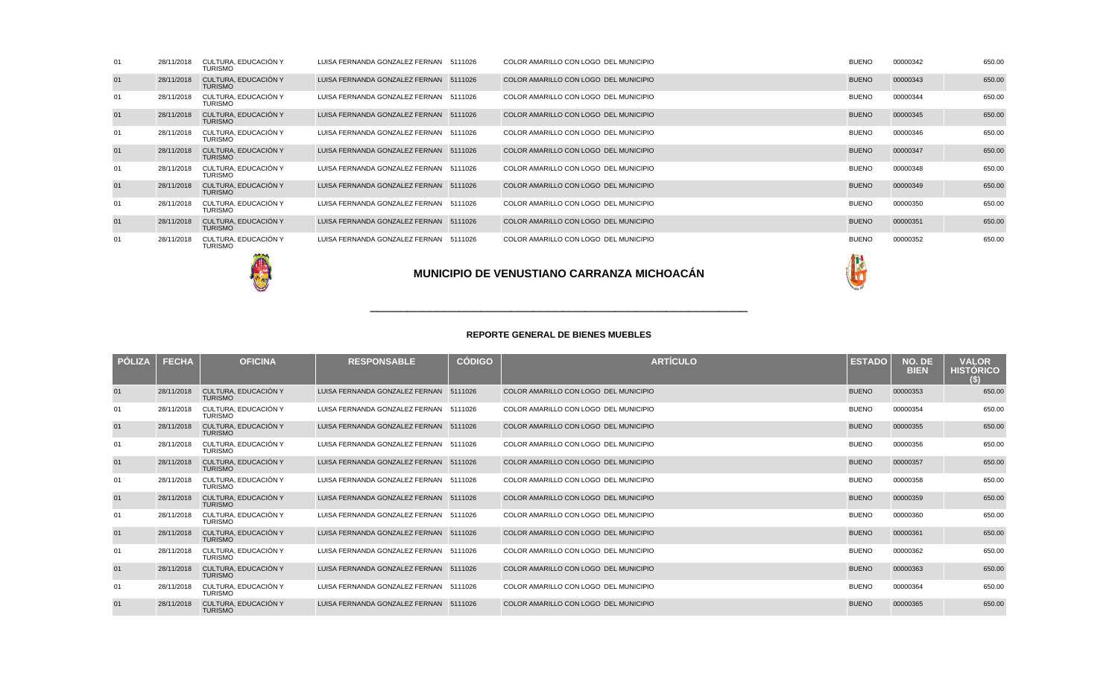|    |            |                                        |                                        | <b>MUNICIPIO DE VENUSTIANO CARRANZA MICHOACÁN</b> |              |          |        |
|----|------------|----------------------------------------|----------------------------------------|---------------------------------------------------|--------------|----------|--------|
| 01 | 28/11/2018 | CULTURA, EDUCACIÓN Y<br><b>TURISMO</b> | LUISA FERNANDA GONZALEZ FERNAN 5111026 | COLOR AMARILLO CON LOGO DEL MUNICIPIO             | <b>BUENO</b> | 00000352 | 650.00 |
| 01 | 28/11/2018 | CULTURA, EDUCACIÓN Y<br><b>TURISMO</b> | LUISA FERNANDA GONZALEZ FERNAN 5111026 | COLOR AMARILLO CON LOGO DEL MUNICIPIO             | <b>BUENO</b> | 00000351 | 650.00 |
| 01 | 28/11/2018 | CULTURA, EDUCACIÓN Y<br><b>TURISMO</b> | LUISA FERNANDA GONZALEZ FERNAN 5111026 | COLOR AMARILLO CON LOGO DEL MUNICIPIO             | <b>BUENO</b> | 00000350 | 650.00 |
| 01 | 28/11/2018 | CULTURA. EDUCACIÓN Y<br><b>TURISMO</b> | LUISA FERNANDA GONZALEZ FERNAN 5111026 | COLOR AMARILLO CON LOGO DEL MUNICIPIO             | <b>BUENO</b> | 00000349 | 650.00 |
| 01 | 28/11/2018 | CULTURA, EDUCACIÓN Y<br><b>TURISMO</b> | LUISA FERNANDA GONZALEZ FERNAN 5111026 | COLOR AMARILLO CON LOGO DEL MUNICIPIO             | <b>BUENO</b> | 00000348 | 650.00 |
| 01 | 28/11/2018 | CULTURA, EDUCACIÓN Y<br><b>TURISMO</b> | LUISA FERNANDA GONZALEZ FERNAN 5111026 | COLOR AMARILLO CON LOGO DEL MUNICIPIO             | <b>BUENO</b> | 00000347 | 650.00 |
| 01 | 28/11/2018 | CULTURA. EDUCACIÓN Y<br><b>TURISMO</b> | LUISA FERNANDA GONZALEZ FERNAN 5111026 | COLOR AMARILLO CON LOGO DEL MUNICIPIO             | <b>BUENO</b> | 00000346 | 650.00 |
| 01 | 28/11/2018 | CULTURA, EDUCACIÓN Y<br><b>TURISMO</b> | LUISA FERNANDA GONZALEZ FERNAN 5111026 | COLOR AMARILLO CON LOGO DEL MUNICIPIO             | <b>BUENO</b> | 00000345 | 650.00 |
| 01 | 28/11/2018 | CULTURA. EDUCACIÓN Y<br><b>TURISMO</b> | LUISA FERNANDA GONZALEZ FERNAN 5111026 | COLOR AMARILLO CON LOGO DEL MUNICIPIO             | <b>BUENO</b> | 00000344 | 650.00 |
| 01 | 28/11/2018 | CULTURA, EDUCACIÓN Y<br><b>TURISMO</b> | LUISA FERNANDA GONZALEZ FERNAN 5111026 | COLOR AMARILLO CON LOGO DEL MUNICIPIO             | <b>BUENO</b> | 00000343 | 650.00 |
| 01 | 28/11/2018 | CULTURA. EDUCACIÓN Y<br><b>TURISMO</b> | LUISA FERNANDA GONZALEZ FERNAN 5111026 | COLOR AMARILLO CON LOGO DEL MUNICIPIO             | <b>BUENO</b> | 00000342 | 650.00 |
|    |            |                                        |                                        |                                                   |              |          |        |

| <b>PÓLIZA</b> | <b>FECHA</b> | <b>OFICINA</b>                         | <b>RESPONSABLE</b>                     | <b>CÓDIGO</b> | <b>ARTÍCULO</b>                       | <b>ESTADO</b> | NO. DE<br><b>BIEN</b> | <b>VALOR</b><br><b>HISTÓRICO</b><br>(S) |
|---------------|--------------|----------------------------------------|----------------------------------------|---------------|---------------------------------------|---------------|-----------------------|-----------------------------------------|
| 01            | 28/11/2018   | CULTURA. EDUCACIÓN Y<br><b>TURISMO</b> | LUISA FERNANDA GONZALEZ FERNAN         | 5111026       | COLOR AMARILLO CON LOGO DEL MUNICIPIO | <b>BUENO</b>  | 00000353              | 650.00                                  |
| 01            | 28/11/2018   | CULTURA, EDUCACIÓN Y<br><b>TURISMO</b> | LUISA FERNANDA GONZALEZ FERNAN 5111026 |               | COLOR AMARILLO CON LOGO DEL MUNICIPIO | <b>BUENO</b>  | 00000354              | 650.00                                  |
| 01            | 28/11/2018   | CULTURA, EDUCACIÓN Y<br><b>TURISMO</b> | LUISA FERNANDA GONZALEZ FERNAN 5111026 |               | COLOR AMARILLO CON LOGO DEL MUNICIPIO | <b>BUENO</b>  | 00000355              | 650.00                                  |
| 01            | 28/11/2018   | CULTURA, EDUCACIÓN Y<br><b>TURISMO</b> | LUISA FERNANDA GONZALEZ FERNAN         | 5111026       | COLOR AMARILLO CON LOGO DEL MUNICIPIO | <b>BUENO</b>  | 00000356              | 650.00                                  |
| 01            | 28/11/2018   | CULTURA, EDUCACIÓN Y<br><b>TURISMO</b> | LUISA FERNANDA GONZALEZ FERNAN 5111026 |               | COLOR AMARILLO CON LOGO DEL MUNICIPIO | <b>BUENO</b>  | 00000357              | 650.00                                  |
| 01            | 28/11/2018   | CULTURA, EDUCACIÓN Y<br><b>TURISMO</b> | LUISA FERNANDA GONZALEZ FERNAN         | 5111026       | COLOR AMARILLO CON LOGO DEL MUNICIPIO | <b>BUENO</b>  | 00000358              | 650.00                                  |
| 01            | 28/11/2018   | CULTURA, EDUCACIÓN Y<br><b>TURISMO</b> | LUISA FERNANDA GONZALEZ FERNAN 5111026 |               | COLOR AMARILLO CON LOGO DEL MUNICIPIO | <b>BUENO</b>  | 00000359              | 650.00                                  |
| 01            | 28/11/2018   | CULTURA. EDUCACIÓN Y<br><b>TURISMO</b> | LUISA FERNANDA GONZALEZ FERNAN         | 5111026       | COLOR AMARILLO CON LOGO DEL MUNICIPIO | <b>BUENO</b>  | 00000360              | 650.00                                  |
| 01            | 28/11/2018   | CULTURA, EDUCACIÓN Y<br><b>TURISMO</b> | LUISA FERNANDA GONZALEZ FERNAN 5111026 |               | COLOR AMARILLO CON LOGO DEL MUNICIPIO | <b>BUENO</b>  | 00000361              | 650.00                                  |
| 01            | 28/11/2018   | CULTURA, EDUCACIÓN Y<br><b>TURISMO</b> | LUISA FERNANDA GONZALEZ FERNAN 5111026 |               | COLOR AMARILLO CON LOGO DEL MUNICIPIO | <b>BUENO</b>  | 00000362              | 650.00                                  |
| 01            | 28/11/2018   | CULTURA, EDUCACIÓN Y<br><b>TURISMO</b> | LUISA FERNANDA GONZALEZ FERNAN 5111026 |               | COLOR AMARILLO CON LOGO DEL MUNICIPIO | <b>BUENO</b>  | 00000363              | 650.00                                  |
| 01            | 28/11/2018   | CULTURA, EDUCACIÓN Y<br><b>TURISMO</b> | LUISA FERNANDA GONZALEZ FERNAN 5111026 |               | COLOR AMARILLO CON LOGO DEL MUNICIPIO | <b>BUENO</b>  | 00000364              | 650.00                                  |
| 01            | 28/11/2018   | CULTURA, EDUCACIÓN Y<br><b>TURISMO</b> | LUISA FERNANDA GONZALEZ FERNAN 5111026 |               | COLOR AMARILLO CON LOGO DEL MUNICIPIO | <b>BUENO</b>  | 00000365              | 650.00                                  |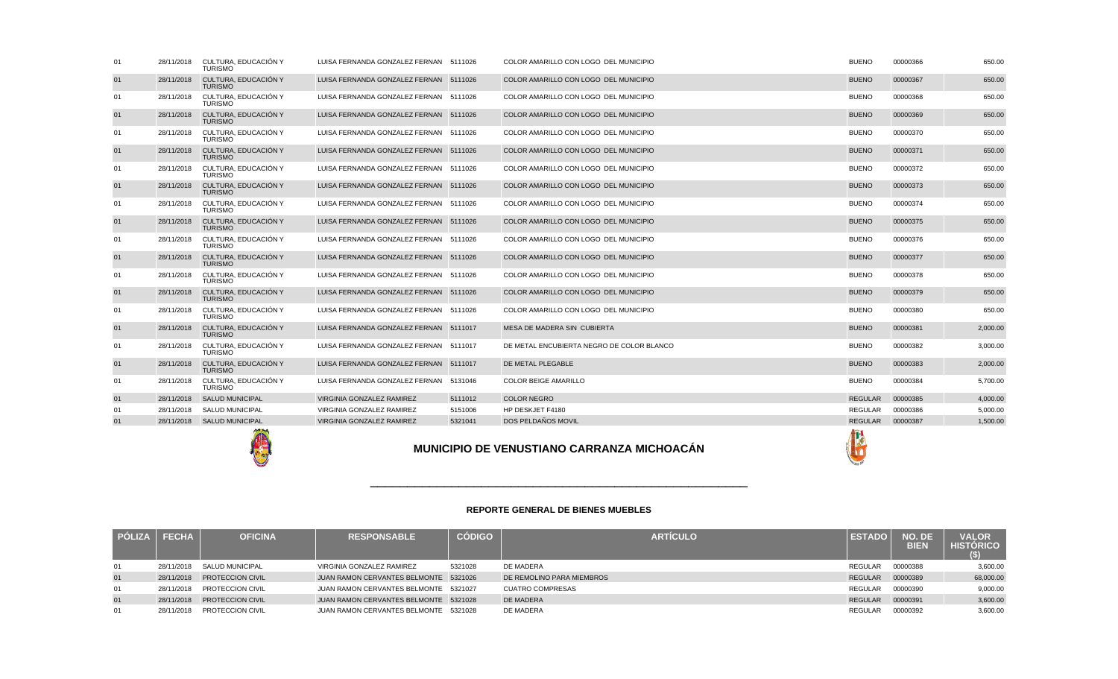|    | <b>FECHA</b> | <b>OFICINA</b>          | <b>RESPONSABLE</b>                    | <b>CÓDIGO</b> | <b>ARTICULO</b>           | <b>ESTADO</b>  | NO. DE<br>BIEN | <b>VALOR</b><br><b>HISTÓRICO</b><br>(\$) |
|----|--------------|-------------------------|---------------------------------------|---------------|---------------------------|----------------|----------------|------------------------------------------|
| 01 | 28/11/2018   | <b>SALUD MUNICIPAL</b>  | VIRGINIA GONZALEZ RAMIREZ             | 5321028       | DE MADERA                 | REGULAR        | 00000388       | 3,600.00                                 |
| 01 | 28/11/2018   | <b>PROTECCION CIVIL</b> | JUAN RAMON CERVANTES BELMONTE 5321026 |               | DE REMOLINO PARA MIEMBROS | <b>REGULAR</b> | 00000389       | 68,000.00                                |
| 01 | 28/11/2018   | <b>PROTECCION CIVIL</b> | JUAN RAMON CERVANTES BELMONTE 5321027 |               | <b>CUATRO COMPRESAS</b>   | REGULAR        | 00000390       | 9,000.00                                 |
| 01 | 28/11/2018   | <b>PROTECCION CIVIL</b> | JUAN RAMON CERVANTES BELMONTE 5321028 |               | <b>DE MADERA</b>          | <b>REGULAR</b> | 00000391       | 3,600.00                                 |
| 01 | 28/11/2018   | PROTECCION CIVIL        | JUAN RAMON CERVANTES BELMONTE 5321028 |               | DE MADERA                 | <b>REGULAR</b> | 00000392       | 3,600.00                                 |

\_\_\_\_\_\_\_\_\_\_\_\_\_\_\_\_\_\_\_\_\_\_\_\_\_\_\_\_\_\_\_\_\_\_\_\_\_\_\_\_\_\_\_\_\_\_\_\_\_\_\_

| 01 | 28/11/2018 | CULTURA, EDUCACIÓN Y<br><b>TURISMO</b> | LUISA FERNANDA GONZALEZ FERNAN 5111026 |         | COLOR AMARILLO CON LOGO DEL MUNICIPIO             | <b>BUENO</b>   | 00000366 | 650.00   |
|----|------------|----------------------------------------|----------------------------------------|---------|---------------------------------------------------|----------------|----------|----------|
| 01 | 28/11/2018 | CULTURA, EDUCACIÓN Y<br><b>TURISMO</b> | LUISA FERNANDA GONZALEZ FERNAN 5111026 |         | COLOR AMARILLO CON LOGO DEL MUNICIPIO             | <b>BUENO</b>   | 00000367 | 650.00   |
| 01 | 28/11/2018 | CULTURA. EDUCACIÓN Y<br>TURISMO        | LUISA FERNANDA GONZALEZ FERNAN 5111026 |         | COLOR AMARILLO CON LOGO DEL MUNICIPIO             | <b>BUENO</b>   | 00000368 | 650.00   |
| 01 | 28/11/2018 | CULTURA. EDUCACIÓN Y<br><b>TURISMO</b> | LUISA FERNANDA GONZALEZ FERNAN 5111026 |         | COLOR AMARILLO CON LOGO DEL MUNICIPIO             | <b>BUENO</b>   | 00000369 | 650.00   |
| 01 | 28/11/2018 | CULTURA. EDUCACIÓN Y<br><b>TURISMO</b> | LUISA FERNANDA GONZALEZ FERNAN 5111026 |         | COLOR AMARILLO CON LOGO DEL MUNICIPIO             | <b>BUENO</b>   | 00000370 | 650.00   |
| 01 | 28/11/2018 | CULTURA, EDUCACIÓN Y<br><b>TURISMO</b> | LUISA FERNANDA GONZALEZ FERNAN 5111026 |         | COLOR AMARILLO CON LOGO DEL MUNICIPIO             | <b>BUENO</b>   | 00000371 | 650.00   |
| 01 | 28/11/2018 | CULTURA, EDUCACIÓN Y<br><b>TURISMO</b> | LUISA FERNANDA GONZALEZ FERNAN 5111026 |         | COLOR AMARILLO CON LOGO DEL MUNICIPIO             | <b>BUENO</b>   | 00000372 | 650.00   |
| 01 | 28/11/2018 | CULTURA, EDUCACIÓN Y<br><b>TURISMO</b> | LUISA FERNANDA GONZALEZ FERNAN 5111026 |         | COLOR AMARILLO CON LOGO DEL MUNICIPIO             | <b>BUENO</b>   | 00000373 | 650.00   |
| 01 | 28/11/2018 | CULTURA, EDUCACIÓN Y<br><b>TURISMO</b> | LUISA FERNANDA GONZALEZ FERNAN 5111026 |         | COLOR AMARILLO CON LOGO DEL MUNICIPIO             | <b>BUENO</b>   | 00000374 | 650.00   |
| 01 | 28/11/2018 | CULTURA, EDUCACIÓN Y<br><b>TURISMO</b> | LUISA FERNANDA GONZALEZ FERNAN 5111026 |         | COLOR AMARILLO CON LOGO DEL MUNICIPIO             | <b>BUENO</b>   | 00000375 | 650.00   |
| 01 | 28/11/2018 | CULTURA. EDUCACIÓN Y<br>TURISMO        | LUISA FERNANDA GONZALEZ FERNAN 5111026 |         | COLOR AMARILLO CON LOGO DEL MUNICIPIO             | <b>BUENO</b>   | 00000376 | 650.00   |
| 01 | 28/11/2018 | CULTURA, EDUCACIÓN Y<br><b>TURISMO</b> | LUISA FERNANDA GONZALEZ FERNAN 5111026 |         | COLOR AMARILLO CON LOGO DEL MUNICIPIO             | <b>BUENO</b>   | 00000377 | 650.00   |
| 01 | 28/11/2018 | CULTURA, EDUCACIÓN Y<br><b>TURISMO</b> | LUISA FERNANDA GONZALEZ FERNAN 5111026 |         | COLOR AMARILLO CON LOGO DEL MUNICIPIO             | <b>BUENO</b>   | 00000378 | 650.00   |
| 01 | 28/11/2018 | CULTURA, EDUCACIÓN Y<br><b>TURISMO</b> | LUISA FERNANDA GONZALEZ FERNAN 5111026 |         | COLOR AMARILLO CON LOGO DEL MUNICIPIO             | <b>BUENO</b>   | 00000379 | 650.00   |
| 01 | 28/11/2018 | CULTURA. EDUCACIÓN Y<br><b>TURISMO</b> | LUISA FERNANDA GONZALEZ FERNAN 5111026 |         | COLOR AMARILLO CON LOGO DEL MUNICIPIO             | <b>BUENO</b>   | 00000380 | 650.00   |
| 01 | 28/11/2018 | CULTURA, EDUCACIÓN Y<br><b>TURISMO</b> | LUISA FERNANDA GONZALEZ FERNAN 5111017 |         | MESA DE MADERA SIN CUBIERTA                       | <b>BUENO</b>   | 00000381 | 2,000.00 |
| 01 | 28/11/2018 | CULTURA. EDUCACIÓN Y<br><b>TURISMO</b> | LUISA FERNANDA GONZALEZ FERNAN 5111017 |         | DE METAL ENCUBIERTA NEGRO DE COLOR BLANCO         | <b>BUENO</b>   | 00000382 | 3,000.00 |
| 01 | 28/11/2018 | CULTURA. EDUCACIÓN Y<br><b>TURISMO</b> | LUISA FERNANDA GONZALEZ FERNAN 5111017 |         | DE METAL PLEGABLE                                 | <b>BUENO</b>   | 00000383 | 2,000.00 |
| 01 | 28/11/2018 | CULTURA. EDUCACIÓN Y<br><b>TURISMO</b> | LUISA FERNANDA GONZALEZ FERNAN 5131046 |         | <b>COLOR BEIGE AMARILLO</b>                       | <b>BUENO</b>   | 00000384 | 5.700.00 |
| 01 | 28/11/2018 | <b>SALUD MUNICIPAL</b>                 | VIRGINIA GONZALEZ RAMIREZ              | 5111012 | <b>COLOR NEGRO</b>                                | <b>REGULAR</b> | 00000385 | 4,000.00 |
| 01 | 28/11/2018 | <b>SALUD MUNICIPAL</b>                 | VIRGINIA GONZALEZ RAMIREZ              | 5151006 | HP DESKJET F4180                                  | <b>REGULAR</b> | 00000386 | 5,000.00 |
| 01 | 28/11/2018 | <b>SALUD MUNICIPAL</b>                 | VIRGINIA GONZALEZ RAMIREZ              | 5321041 | DOS PELDAÑOS MOVIL                                | <b>REGULAR</b> | 00000387 | 1,500.00 |
|    |            |                                        |                                        |         | <b>MUNICIPIO DE VENUSTIANO CARRANZA MICHOACÁN</b> |                |          |          |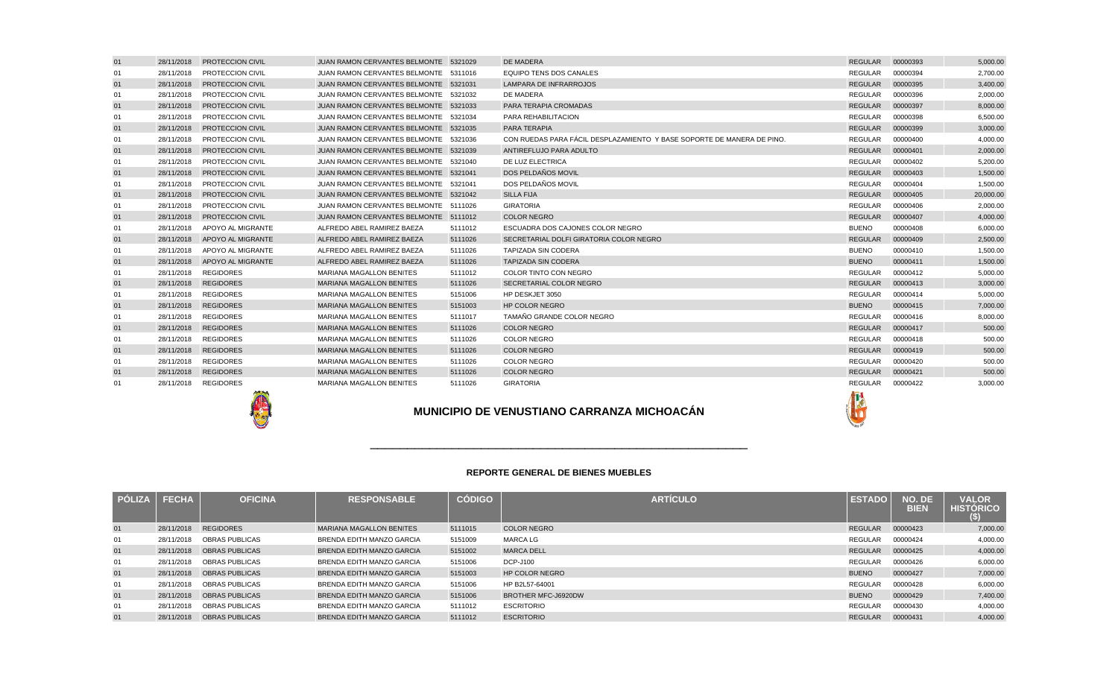| 01 | 28/11/2018 | <b>PROTECCION CIVIL</b> | JUAN RAMON CERVANTES BELMONTE 5321029 |         | DE MADERA                                                              | <b>REGULAR</b> | 00000393 | 5,000.00  |
|----|------------|-------------------------|---------------------------------------|---------|------------------------------------------------------------------------|----------------|----------|-----------|
| 01 | 28/11/2018 | PROTECCION CIVIL        | JUAN RAMON CERVANTES BELMONTE 5311016 |         | <b>EQUIPO TENS DOS CANALES</b>                                         | <b>REGULAR</b> | 00000394 | 2.700.00  |
| 01 | 28/11/2018 | <b>PROTECCION CIVIL</b> | JUAN RAMON CERVANTES BELMONTE 5321031 |         | <b>LAMPARA DE INFRARROJOS</b>                                          | <b>REGULAR</b> | 00000395 | 3,400.00  |
| 01 | 28/11/2018 | <b>PROTECCION CIVIL</b> | JUAN RAMON CERVANTES BELMONTE 5321032 |         | DE MADERA                                                              | <b>REGULAR</b> | 00000396 | 2.000.00  |
| 01 | 28/11/2018 | <b>PROTECCION CIVIL</b> | JUAN RAMON CERVANTES BELMONTE 5321033 |         | <b>PARA TERAPIA CROMADAS</b>                                           | <b>REGULAR</b> | 00000397 | 8,000.00  |
| 01 | 28/11/2018 | PROTECCION CIVIL        | JUAN RAMON CERVANTES BELMONTE 5321034 |         | PARA REHABILITACION                                                    | <b>REGULAR</b> | 00000398 | 6,500.00  |
| 01 | 28/11/2018 | <b>PROTECCION CIVIL</b> | JUAN RAMON CERVANTES BELMONTE 5321035 |         | PARA TERAPIA                                                           | <b>REGULAR</b> | 00000399 | 3,000.00  |
| 01 | 28/11/2018 | PROTECCION CIVIL        | JUAN RAMON CERVANTES BELMONTE 5321036 |         | CON RUEDAS PARA FÁCIL DESPLAZAMIENTO Y BASE SOPORTE DE MANERA DE PINO. | REGULAR        | 00000400 | 4,000.00  |
| 01 | 28/11/2018 | <b>PROTECCION CIVIL</b> | JUAN RAMON CERVANTES BELMONTE 5321039 |         | ANTIREFLUJO PARA ADULTO                                                | <b>REGULAR</b> | 00000401 | 2,000.00  |
| 01 | 28/11/2018 | PROTECCION CIVIL        | JUAN RAMON CERVANTES BELMONTE 5321040 |         | DE LUZ ELECTRICA                                                       | REGULAR        | 00000402 | 5,200.00  |
| 01 | 28/11/2018 | <b>PROTECCION CIVIL</b> | JUAN RAMON CERVANTES BELMONTE 5321041 |         | DOS PELDAÑOS MOVIL                                                     | <b>REGULAR</b> | 00000403 | 1,500.00  |
| 01 | 28/11/2018 | <b>PROTECCION CIVIL</b> | JUAN RAMON CERVANTES BELMONTE 5321041 |         | DOS PELDAÑOS MOVIL                                                     | REGULAR        | 00000404 | 1,500.00  |
| 01 | 28/11/2018 | <b>PROTECCION CIVIL</b> | JUAN RAMON CERVANTES BELMONTE 5321042 |         | <b>SILLA FIJA</b>                                                      | <b>REGULAR</b> | 00000405 | 20,000.00 |
| 01 | 28/11/2018 | PROTECCION CIVIL        | JUAN RAMON CERVANTES BELMONTE 5111026 |         | <b>GIRATORIA</b>                                                       | REGULAR        | 00000406 | 2.000.00  |
| 01 | 28/11/2018 | <b>PROTECCION CIVIL</b> | JUAN RAMON CERVANTES BELMONTE 5111012 |         | <b>COLOR NEGRO</b>                                                     | <b>REGULAR</b> | 00000407 | 4,000.00  |
| 01 | 28/11/2018 | APOYO AL MIGRANTE       | ALFREDO ABEL RAMIREZ BAEZA            | 5111012 | ESCUADRA DOS CAJONES COLOR NEGRO                                       | <b>BUENO</b>   | 00000408 | 6,000.00  |
| 01 | 28/11/2018 | APOYO AL MIGRANTE       | ALFREDO ABEL RAMIREZ BAEZA            | 5111026 | SECRETARIAL DOLFI GIRATORIA COLOR NEGRO                                | <b>REGULAR</b> | 00000409 | 2,500.00  |
| 01 | 28/11/2018 | APOYO AL MIGRANTE       | ALFREDO ABEL RAMIREZ BAEZA            | 5111026 | <b>TAPIZADA SIN CODERA</b>                                             | <b>BUENO</b>   | 00000410 | 1,500.00  |
| 01 | 28/11/2018 | APOYO AL MIGRANTE       | ALFREDO ABEL RAMIREZ BAEZA            | 5111026 | <b>TAPIZADA SIN CODERA</b>                                             | <b>BUENO</b>   | 00000411 | 1,500.00  |
| 01 | 28/11/2018 | <b>REGIDORES</b>        | MARIANA MAGALLON BENITES              | 5111012 | COLOR TINTO CON NEGRO                                                  | REGULAR        | 00000412 | 5,000.00  |
| 01 | 28/11/2018 | <b>REGIDORES</b>        | <b>MARIANA MAGALLON BENITES</b>       | 5111026 | SECRETARIAL COLOR NEGRO                                                | <b>REGULAR</b> | 00000413 | 3,000.00  |
| 01 | 28/11/2018 | <b>REGIDORES</b>        | <b>MARIANA MAGALLON BENITES</b>       | 5151006 | HP DESKJET 3050                                                        | <b>REGULAR</b> | 00000414 | 5,000.00  |
| 01 | 28/11/2018 | <b>REGIDORES</b>        | <b>MARIANA MAGALLON BENITES</b>       | 5151003 | <b>HP COLOR NEGRO</b>                                                  | <b>BUENO</b>   | 00000415 | 7.000.00  |
| 01 | 28/11/2018 | <b>REGIDORES</b>        | <b>MARIANA MAGALLON BENITES</b>       | 5111017 | TAMAÑO GRANDE COLOR NEGRO                                              | REGULAR        | 00000416 | 8,000.00  |
| 01 | 28/11/2018 | <b>REGIDORES</b>        | <b>MARIANA MAGALLON BENITES</b>       | 5111026 | <b>COLOR NEGRO</b>                                                     | <b>REGULAR</b> | 00000417 | 500.00    |
| 01 | 28/11/2018 | <b>REGIDORES</b>        | MARIANA MAGALLON BENITES              | 5111026 | <b>COLOR NEGRO</b>                                                     | REGULAR        | 00000418 | 500.00    |
| 01 | 28/11/2018 | <b>REGIDORES</b>        | <b>MARIANA MAGALLON BENITES</b>       | 5111026 | <b>COLOR NEGRO</b>                                                     | <b>REGULAR</b> | 00000419 | 500.00    |
| 01 | 28/11/2018 | <b>REGIDORES</b>        | <b>MARIANA MAGALLON BENITES</b>       | 5111026 | <b>COLOR NEGRO</b>                                                     | REGULAR        | 00000420 | 500.00    |
| 01 | 28/11/2018 | <b>REGIDORES</b>        | <b>MARIANA MAGALLON BENITES</b>       | 5111026 | <b>COLOR NEGRO</b>                                                     | <b>REGULAR</b> | 00000421 | 500.00    |
| 01 | 28/11/2018 | <b>REGIDORES</b>        | <b>MARIANA MAGALLON BENITES</b>       | 5111026 | <b>GIRATORIA</b>                                                       | REGULAR        | 00000422 | 3,000.00  |
|    |            |                         |                                       |         |                                                                        |                |          |           |

**REPORTE GENERAL DE BIENES MUEBLES**



### **PÓLIZA FECHA OFICINA RESPONSABLE CÓDIGO ARTÍCULO ESTADO NO. DE BIENVALOR HISTÓRICO(\$)**7,000.00 01 28/11/2018 REGIDORESMARIANA MAGALLON BENITES 5111015 COLOR NEGRO<br>BRENDA EDITH MANZO GARCIA 5151009 MARCA LG 0 REGULAR 00000423 7,000.00 01 28/11/2018 OBRAS PUBLICAS BRENDA EDITH MANZO GARCIA <sup>5151009</sup> MARCA LG REGULAR <sup>00000424</sup> 4,000.00 01 28/11/2018 OBRAS PUBLICASe and the set of the set of the set of the set of the set of the set of the set of the set of the set of the set of the set of the set of the set of the set of the set of the set of the set of the set of the set of the set 00000425 4,000.00<br>00000426 6,000.00 01 28/11/2018 OBRAS PUBLICASBRENDA EDITH MANZO GARCIA 5151006 DCP-J100<br>BRENDA EDITH MANZO GARCIA 5151003 HP COLOR NEGRO AND REGULARE REGULARE REGULARE REGULARE REGULARE REGULARE REGULARE REGULARE REGULARE REGULARE REGULARE REGULARE REGULARE REGULARE 00000426 6,000.00<br>00000427 7,000.00 01 28/11/2018 OBRAS PUBLICASBRENDA EDITH MANZO GARCIA 5151003 HP COLOR NEGI<br>BRENDA EDITH MANZO GARCIA 5151006 HP B2L57-64001 O BUENO 00000427 7,000.00 01 28/11/2018 OBRAS PUBLICASBRENDA EDITH MANZO GARCIA 5151006 HP B2L57-64001<br>BRENDA EDITH MANZO GARCIA 5151006 BROTHER MFC-J6920DW REGULAR REGULAR REGULAR BRENDA BREND 00000428 6,000.00<br>00000429 7,400.00 01 28/11/2018 OBRAS PUBLICASBRENDA EDITH MANZO GARCIA 5151006 BROTHER MF<br>BRENDA EDITH MANZO GARCIA 5111012 ESCRITORIO BUENO <sup>00000429</sup> 7,400.00 01 28/11/2018 OBRAS PUBLICAS BRENDA EDITH MANZO GARCIA <sup>5111012</sup> ESCRITORIO REGULAR <sup>00000430</sup> 4,000.00 01 28/11/2018 OBRAS PUBLICASBRENDA EDITH MANZO GARCIA REGULAR <sup>00000431</sup> 4,000.00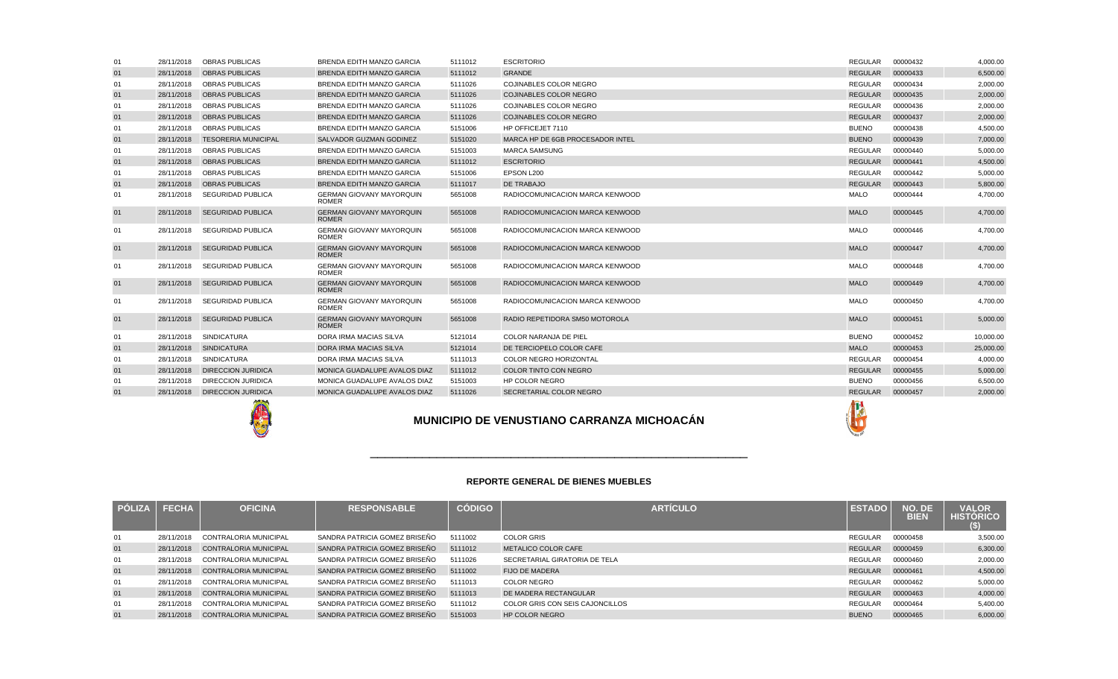|    | <b>FECHA</b> | <b>OFICINA</b>               | <b>RESPONSABLE</b>            | <b>CÓDIGO</b> | <b>ARTICULO</b>                 | <b>LESTADO</b>   | NO. DE<br><b>BIEN</b> | <b>VALOR</b><br><b>HISTORICO</b> |
|----|--------------|------------------------------|-------------------------------|---------------|---------------------------------|------------------|-----------------------|----------------------------------|
| 01 | 28/11/2018   | CONTRALORIA MUNICIPAL        | SANDRA PATRICIA GOMEZ BRISEÑO | 5111002       | <b>COLOR GRIS</b>               | REGULAR          | 00000458              | 3,500.00                         |
| 01 | 28/11/2018   | CONTRALORIA MUNICIPAL        | SANDRA PATRICIA GOMEZ BRISEÑO | 5111012       | METALICO COLOR CAFE             | <b>REGULAR</b>   | 00000459              | 6,300.00                         |
| 01 | 28/11/2018   | <b>CONTRALORIA MUNICIPAL</b> | SANDRA PATRICIA GOMEZ BRISEÑO | 5111026       | SECRETARIAL GIRATORIA DE TELA   | <b>REGULAR</b>   | 00000460              | 2,000.00                         |
| 01 | 28/11/2018   | CONTRALORIA MUNICIPAL        | SANDRA PATRICIA GOMEZ BRISEÑO | 5111002       | <b>FIJO DE MADERA</b>           | REGULAR 00000461 |                       | 4,500.00                         |
| 01 | 28/11/2018   | <b>CONTRALORIA MUNICIPAL</b> | SANDRA PATRICIA GOMEZ BRISEÑO | 5111013       | <b>COLOR NEGRO</b>              | <b>REGULAR</b>   | 00000462              | 5,000.00                         |
| 01 | 28/11/2018   | CONTRALORIA MUNICIPAL        | SANDRA PATRICIA GOMEZ BRISEÑO | 5111013       | DE MADERA RECTANGULAR           | <b>REGULAR</b>   | 00000463              | 4,000.00                         |
| 01 | 28/11/2018   | <b>CONTRALORIA MUNICIPAL</b> | SANDRA PATRICIA GOMEZ BRISEÑO | 5111012       | COLOR GRIS CON SEIS CAJONCILLOS | <b>REGULAR</b>   | 00000464              | 5,400.00                         |
| 01 | 28/11/2018   | CONTRALORIA MUNICIPAL        | SANDRA PATRICIA GOMEZ BRISEÑO | 5151003       | <b>HP COLOR NEGRO</b>           | <b>BUENO</b>     | 00000465              | 6,000.00                         |

|    |            |                            |                                                 |         | <b>MUNICIPIO DE VENUSTIANO CARRANZA MICHOACÁN</b> |                |          |           |
|----|------------|----------------------------|-------------------------------------------------|---------|---------------------------------------------------|----------------|----------|-----------|
| 01 | 28/11/2018 | <b>DIRECCION JURIDICA</b>  | MONICA GUADALUPE AVALOS DIAZ                    | 5111026 | SECRETARIAL COLOR NEGRO                           | <b>REGULAR</b> | 00000457 | 2,000.00  |
| 01 | 28/11/2018 | <b>DIRECCION JURIDICA</b>  | MONICA GUADALUPE AVALOS DIAZ                    | 5151003 | HP COLOR NEGRO                                    | <b>BUENO</b>   | 00000456 | 6.500.00  |
| 01 | 28/11/2018 | <b>DIRECCION JURIDICA</b>  | MONICA GUADALUPE AVALOS DIAZ                    | 5111012 | <b>COLOR TINTO CON NEGRO</b>                      | <b>REGULAR</b> | 00000455 | 5,000.00  |
| 01 | 28/11/2018 | <b>SINDICATURA</b>         | DORA IRMA MACIAS SILVA                          | 5111013 | COLOR NEGRO HORIZONTAL                            | <b>REGULAR</b> | 00000454 | 4,000.00  |
| 01 | 28/11/2018 | <b>SINDICATURA</b>         | DORA IRMA MACIAS SILVA                          | 5121014 | DE TERCIOPELO COLOR CAFE                          | <b>MALO</b>    | 00000453 | 25,000.00 |
| 01 | 28/11/2018 | <b>SINDICATURA</b>         | DORA IRMA MACIAS SILVA                          | 5121014 | <b>COLOR NARANJA DE PIEL</b>                      | <b>BUENO</b>   | 00000452 | 10,000.00 |
| 01 | 28/11/2018 | <b>SEGURIDAD PUBLICA</b>   | <b>GERMAN GIOVANY MAYORQUIN</b><br><b>ROMER</b> | 5651008 | RADIO REPETIDORA SM50 MOTOROLA                    | <b>MALO</b>    | 00000451 | 5,000.00  |
| 01 | 28/11/2018 | <b>SEGURIDAD PUBLICA</b>   | <b>GERMAN GIOVANY MAYORQUIN</b><br><b>ROMER</b> | 5651008 | RADIOCOMUNICACION MARCA KENWOOD                   | <b>MALO</b>    | 00000450 | 4,700.00  |
| 01 | 28/11/2018 | <b>SEGURIDAD PUBLICA</b>   | <b>GERMAN GIOVANY MAYORQUIN</b><br><b>ROMER</b> | 5651008 | RADIOCOMUNICACION MARCA KENWOOD                   | <b>MALO</b>    | 00000449 | 4,700.00  |
| 01 | 28/11/2018 | <b>SEGURIDAD PUBLICA</b>   | <b>GERMAN GIOVANY MAYORQUIN</b><br><b>ROMER</b> | 5651008 | RADIOCOMUNICACION MARCA KENWOOD                   | <b>MALO</b>    | 00000448 | 4,700.00  |
| 01 | 28/11/2018 | <b>SEGURIDAD PUBLICA</b>   | <b>GERMAN GIOVANY MAYORQUIN</b><br><b>ROMER</b> | 5651008 | RADIOCOMUNICACION MARCA KENWOOD                   | <b>MALO</b>    | 00000447 | 4,700.00  |
| 01 | 28/11/2018 | <b>SEGURIDAD PUBLICA</b>   | <b>GERMAN GIOVANY MAYORQUIN</b><br><b>ROMER</b> | 5651008 | RADIOCOMUNICACION MARCA KENWOOD                   | <b>MALO</b>    | 00000446 | 4,700.00  |
| 01 | 28/11/2018 | <b>SEGURIDAD PUBLICA</b>   | <b>GERMAN GIOVANY MAYORQUIN</b><br><b>ROMER</b> | 5651008 | RADIOCOMUNICACION MARCA KENWOOD                   | <b>MALO</b>    | 00000445 | 4,700.00  |
| 01 | 28/11/2018 | <b>SEGURIDAD PUBLICA</b>   | <b>GERMAN GIOVANY MAYOROUIN</b><br><b>ROMER</b> | 5651008 | RADIOCOMUNICACION MARCA KENWOOD                   | <b>MALO</b>    | 00000444 | 4,700.00  |
| 01 | 28/11/2018 | <b>OBRAS PUBLICAS</b>      | <b>BRENDA EDITH MANZO GARCIA</b>                | 5111017 | DE TRABAJO                                        | <b>REGULAR</b> | 00000443 | 5,800.00  |
| 01 | 28/11/2018 | <b>OBRAS PUBLICAS</b>      | BRENDA EDITH MANZO GARCIA                       | 5151006 | EPSON L200                                        | <b>REGULAR</b> | 00000442 | 5.000.00  |
| 01 | 28/11/2018 | <b>OBRAS PUBLICAS</b>      | <b>BRENDA EDITH MANZO GARCIA</b>                | 5111012 | <b>ESCRITORIO</b>                                 | <b>REGULAR</b> | 00000441 | 4,500.00  |
| 01 | 28/11/2018 | <b>OBRAS PUBLICAS</b>      | <b>BRENDA EDITH MANZO GARCIA</b>                | 5151003 | <b>MARCA SAMSUNG</b>                              | <b>REGULAR</b> | 00000440 | 5,000.00  |
| 01 | 28/11/2018 | <b>TESORERIA MUNICIPAL</b> | SALVADOR GUZMAN GODINEZ                         | 5151020 | MARCA HP DE 6GB PROCESADOR INTEL                  | <b>BUENO</b>   | 00000439 | 7.000.00  |
| 01 | 28/11/2018 | <b>OBRAS PUBLICAS</b>      | <b>BRENDA EDITH MANZO GARCIA</b>                | 5151006 | HP OFFICEJET 7110                                 | <b>BUENO</b>   | 00000438 | 4,500.00  |
| 01 | 28/11/2018 | <b>OBRAS PUBLICAS</b>      | BRENDA EDITH MANZO GARCIA                       | 5111026 | COJINABLES COLOR NEGRO                            | REGULAR        | 00000437 | 2.000.00  |
| 01 | 28/11/2018 | <b>OBRAS PUBLICAS</b>      | BRENDA EDITH MANZO GARCIA                       | 5111026 | <b>COJINABLES COLOR NEGRO</b>                     | <b>REGULAR</b> | 00000436 | 2,000.00  |
| 01 | 28/11/2018 | <b>OBRAS PUBLICAS</b>      | BRENDA EDITH MANZO GARCIA                       | 5111026 | COJINABLES COLOR NEGRO                            | <b>REGULAR</b> | 00000435 | 2,000.00  |
| 01 | 28/11/2018 | <b>OBRAS PUBLICAS</b>      | BRENDA EDITH MANZO GARCIA                       | 5111026 | <b>COJINABLES COLOR NEGRO</b>                     | <b>REGULAR</b> | 00000434 | 2,000.00  |
| 01 | 28/11/2018 | <b>OBRAS PUBLICAS</b>      | <b>BRENDA EDITH MANZO GARCIA</b>                | 5111012 | <b>GRANDE</b>                                     | <b>REGULAR</b> | 00000433 | 6,500.00  |
| 01 | 28/11/2018 | <b>OBRAS PUBLICAS</b>      | BRENDA EDITH MANZO GARCIA                       | 5111012 | <b>ESCRITORIO</b>                                 | <b>REGULAR</b> | 00000432 | 4,000.00  |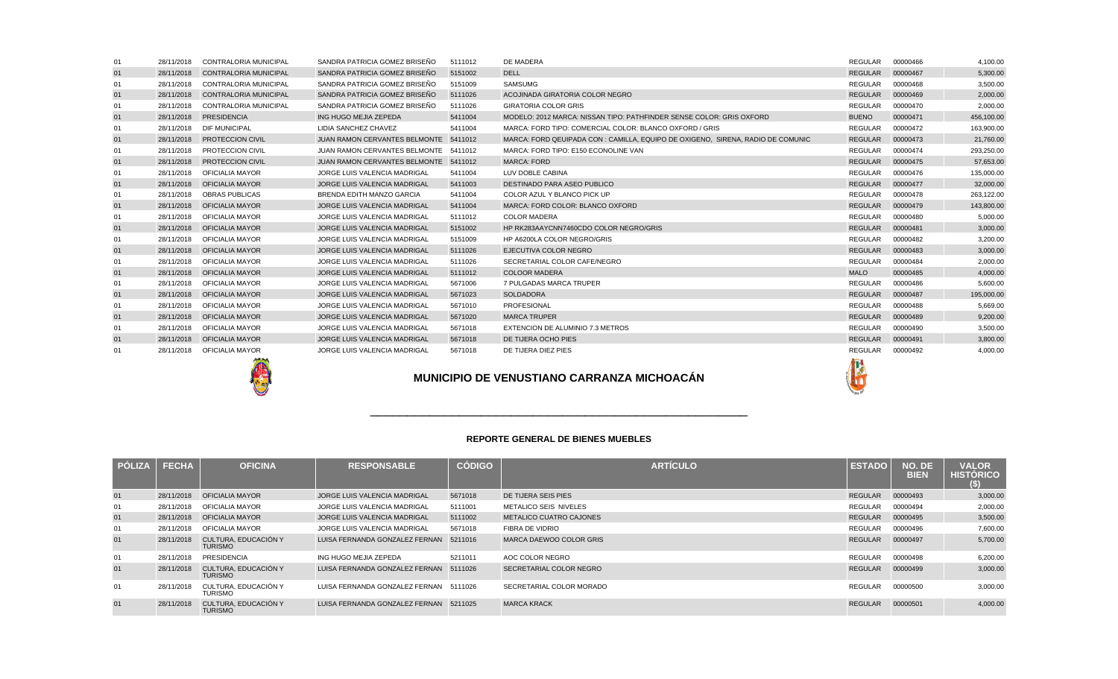|               |              |                                        |                                        |               | <b>REPORTE GENERAL DE BIENES MUEBLES</b> |                |                       |                                        |
|---------------|--------------|----------------------------------------|----------------------------------------|---------------|------------------------------------------|----------------|-----------------------|----------------------------------------|
| <b>PÓLIZA</b> | <b>FECHA</b> | <b>OFICINA</b>                         | <b>RESPONSABLE</b>                     | <b>CÓDIGO</b> | <b>ARTÍCULO</b>                          | <b>ESTADO</b>  | NO. DE<br><b>BIEN</b> | <b>VALOR</b><br><b>HISTORICO</b><br>S) |
| 01            | 28/11/2018   | <b>OFICIALIA MAYOR</b>                 | <b>JORGE LUIS VALENCIA MADRIGAL</b>    | 5671018       | DE TIJERA SEIS PIES                      | <b>REGULAR</b> | 00000493              | 3,000.00                               |
| 01            | 28/11/2018   | OFICIALIA MAYOR                        | JORGE LUIS VALENCIA MADRIGAL           | 5111001       | METALICO SEIS NIVELES                    | <b>REGULAR</b> | 00000494              | 2,000.00                               |
| 01            | 28/11/2018   | <b>OFICIALIA MAYOR</b>                 | <b>JORGE LUIS VALENCIA MADRIGAL</b>    | 5111002       | <b>METALICO CUATRO CAJONES</b>           | <b>REGULAR</b> | 00000495              | 3,500.00                               |
| 01            | 28/11/2018   | OFICIALIA MAYOR                        | JORGE LUIS VALENCIA MADRIGAL           | 5671018       | FIBRA DE VIDRIO                          | REGULAR        | 00000496              | 7,600.00                               |
| 01            | 28/11/2018   | CULTURA, EDUCACIÓN Y<br><b>TURISMO</b> | LUISA FERNANDA GONZALEZ FERNAN         | 5211016       | MARCA DAEWOO COLOR GRIS                  | <b>REGULAR</b> | 00000497              | 5,700.00                               |
| 01            | 28/11/2018   | <b>PRESIDENCIA</b>                     | ING HUGO MEJIA ZEPEDA                  | 5211011       | AOC COLOR NEGRO                          | <b>REGULAR</b> | 00000498              | 6,200.00                               |
| 01            | 28/11/2018   | CULTURA. EDUCACIÓN Y<br><b>TURISMO</b> | LUISA FERNANDA GONZALEZ FERNAN         | 5111026       | SECRETARIAL COLOR NEGRO                  | <b>REGULAR</b> | 00000499              | 3,000.00                               |
| 01            | 28/11/2018   | CULTURA. EDUCACIÓN Y<br><b>TURISMO</b> | LUISA FERNANDA GONZALEZ FERNAN 5111026 |               | SECRETARIAL COLOR MORADO                 | <b>REGULAR</b> | 00000500              | 3,000.00                               |
| 01            | 28/11/2018   | CULTURA, EDUCACIÓN Y<br><b>TURISMO</b> | LUISA FERNANDA GONZALEZ FERNAN 5211025 |               | <b>MARCA KRACK</b>                       | <b>REGULAR</b> | 00000501              | 4,000.00                               |

| 01 | 28/11/2018                                        | <b>CONTRALORIA MUNICIPAL</b> | SANDRA PATRICIA GOMEZ BRISEÑO         | 5111012 | <b>DE MADERA</b>                                                                | <b>REGULAR</b> | 00000466 | 4,100.00   |
|----|---------------------------------------------------|------------------------------|---------------------------------------|---------|---------------------------------------------------------------------------------|----------------|----------|------------|
| 01 | 28/11/2018                                        | CONTRALORIA MUNICIPAL        | SANDRA PATRICIA GOMEZ BRISEÑO         | 5151002 | <b>DELL</b>                                                                     | <b>REGULAR</b> | 00000467 | 5,300.00   |
| 01 | 28/11/2018                                        | CONTRALORIA MUNICIPAL        | SANDRA PATRICIA GOMEZ BRISEÑO         | 5151009 | <b>SAMSUMG</b>                                                                  | <b>REGULAR</b> | 00000468 | 3.500.00   |
| 01 | 28/11/2018                                        | <b>CONTRALORIA MUNICIPAL</b> | SANDRA PATRICIA GOMEZ BRISEÑO         | 5111026 | ACOJINADA GIRATORIA COLOR NEGRO                                                 | <b>REGULAR</b> | 00000469 | 2,000.00   |
| 01 | 28/11/2018                                        | <b>CONTRALORIA MUNICIPAL</b> | SANDRA PATRICIA GOMEZ BRISEÑO         | 5111026 | <b>GIRATORIA COLOR GRIS</b>                                                     | <b>REGULAR</b> | 00000470 | 2,000.00   |
| 01 | 28/11/2018                                        | PRESIDENCIA                  | ING HUGO MEJIA ZEPEDA                 | 5411004 | MODELO: 2012 MARCA: NISSAN TIPO: PATHFINDER SENSE COLOR: GRIS OXFORD            | <b>BUENO</b>   | 00000471 | 456,100.00 |
| 01 | 28/11/2018                                        | <b>DIF MUNICIPAL</b>         | LIDIA SANCHEZ CHAVEZ                  | 5411004 | MARCA: FORD TIPO: COMERCIAL COLOR: BLANCO OXFORD / GRIS                         | <b>REGULAR</b> | 00000472 | 163,900.00 |
| 01 | 28/11/2018                                        | <b>PROTECCION CIVIL</b>      | JUAN RAMON CERVANTES BELMONTE 5411012 |         | MARCA: FORD QEUIPADA CON : CAMILLA, EQUIPO DE OXIGENO, SIRENA, RADIO DE COMUNIC | <b>REGULAR</b> | 00000473 | 21.760.00  |
| 01 | 28/11/2018                                        | PROTECCION CIVIL             | JUAN RAMON CERVANTES BELMONTE 5411012 |         | MARCA: FORD TIPO: E150 ECONOLINE VAN                                            | REGULAR        | 00000474 | 293.250.00 |
| 01 | 28/11/2018                                        | <b>PROTECCION CIVIL</b>      | JUAN RAMON CERVANTES BELMONTE 5411012 |         | <b>MARCA: FORD</b>                                                              | <b>REGULAR</b> | 00000475 | 57,653.00  |
| 01 | 28/11/2018                                        | OFICIALIA MAYOR              | JORGE LUIS VALENCIA MADRIGAL          | 5411004 | LUV DOBLE CABINA                                                                | <b>REGULAR</b> | 00000476 | 135,000.00 |
| 01 | 28/11/2018                                        | <b>OFICIALIA MAYOR</b>       | JORGE LUIS VALENCIA MADRIGAL          | 5411003 | DESTINADO PARA ASEO PUBLICO                                                     | <b>REGULAR</b> | 00000477 | 32,000.00  |
| 01 | 28/11/2018                                        | <b>OBRAS PUBLICAS</b>        | <b>BRENDA EDITH MANZO GARCIA</b>      | 5411004 | COLOR AZUL Y BLANCO PICK UP                                                     | <b>REGULAR</b> | 00000478 | 263.122.00 |
| 01 | 28/11/2018                                        | <b>OFICIALIA MAYOR</b>       | JORGE LUIS VALENCIA MADRIGAL          | 5411004 | MARCA: FORD COLOR: BLANCO OXFORD                                                | <b>REGULAR</b> | 00000479 | 143,800.00 |
| 01 | 28/11/2018                                        | OFICIALIA MAYOR              | JORGE LUIS VALENCIA MADRIGAL          | 5111012 | <b>COLOR MADERA</b>                                                             | <b>REGULAR</b> | 00000480 | 5.000.00   |
| 01 | 28/11/2018                                        | <b>OFICIALIA MAYOR</b>       | JORGE LUIS VALENCIA MADRIGAL          | 5151002 | HP RK283AAYCNN7460CDO COLOR NEGRO/GRIS                                          | <b>REGULAR</b> | 00000481 | 3,000.00   |
| 01 | 28/11/2018                                        | OFICIALIA MAYOR              | JORGE LUIS VALENCIA MADRIGAL          | 5151009 | HP A6200LA COLOR NEGRO/GRIS                                                     | <b>REGULAR</b> | 00000482 | 3,200.00   |
| 01 | 28/11/2018                                        | <b>OFICIALIA MAYOR</b>       | <b>JORGE LUIS VALENCIA MADRIGAL</b>   | 5111026 | EJECUTIVA COLOR NEGRO                                                           | <b>REGULAR</b> | 00000483 | 3,000.00   |
| 01 | 28/11/2018                                        | OFICIALIA MAYOR              | JORGE LUIS VALENCIA MADRIGAL          | 5111026 | SECRETARIAL COLOR CAFE/NEGRO                                                    | <b>REGULAR</b> | 00000484 | 2,000.00   |
| 01 | 28/11/2018                                        | <b>OFICIALIA MAYOR</b>       | <b>JORGE LUIS VALENCIA MADRIGAL</b>   | 5111012 | <b>COLOOR MADERA</b>                                                            | <b>MALO</b>    | 00000485 | 4,000.00   |
| 01 | 28/11/2018                                        | OFICIALIA MAYOR              | JORGE LUIS VALENCIA MADRIGAL          | 5671006 | 7 PULGADAS MARCA TRUPER                                                         | <b>REGULAR</b> | 00000486 | 5,600.00   |
| 01 | 28/11/2018                                        | <b>OFICIALIA MAYOR</b>       | <b>JORGE LUIS VALENCIA MADRIGAL</b>   | 5671023 | <b>SOLDADORA</b>                                                                | <b>REGULAR</b> | 00000487 | 195,000.00 |
| 01 | 28/11/2018                                        | OFICIALIA MAYOR              | JORGE LUIS VALENCIA MADRIGAL          | 5671010 | <b>PROFESIONAL</b>                                                              | <b>REGULAR</b> | 00000488 | 5.669.00   |
| 01 | 28/11/2018                                        | <b>OFICIALIA MAYOR</b>       | JORGE LUIS VALENCIA MADRIGAL          | 5671020 | <b>MARCA TRUPER</b>                                                             | <b>REGULAR</b> | 00000489 | 9,200.00   |
| 01 | 28/11/2018                                        | <b>OFICIALIA MAYOR</b>       | JORGE LUIS VALENCIA MADRIGAL          | 5671018 | EXTENCION DE ALUMINIO 7.3 METROS                                                | <b>REGULAR</b> | 00000490 | 3,500.00   |
| 01 | 28/11/2018                                        | <b>OFICIALIA MAYOR</b>       | JORGE LUIS VALENCIA MADRIGAL          | 5671018 | DE TIJERA OCHO PIES                                                             | <b>REGULAR</b> | 00000491 | 3,800.00   |
| 01 | 28/11/2018                                        | OFICIALIA MAYOR              | JORGE LUIS VALENCIA MADRIGAL          | 5671018 | DE TIJERA DIEZ PIES                                                             | <b>REGULAR</b> | 00000492 | 4,000.00   |
|    | <b>MUNICIPIO DE VENUSTIANO CARRANZA MICHOACÁN</b> |                              |                                       |         |                                                                                 |                |          |            |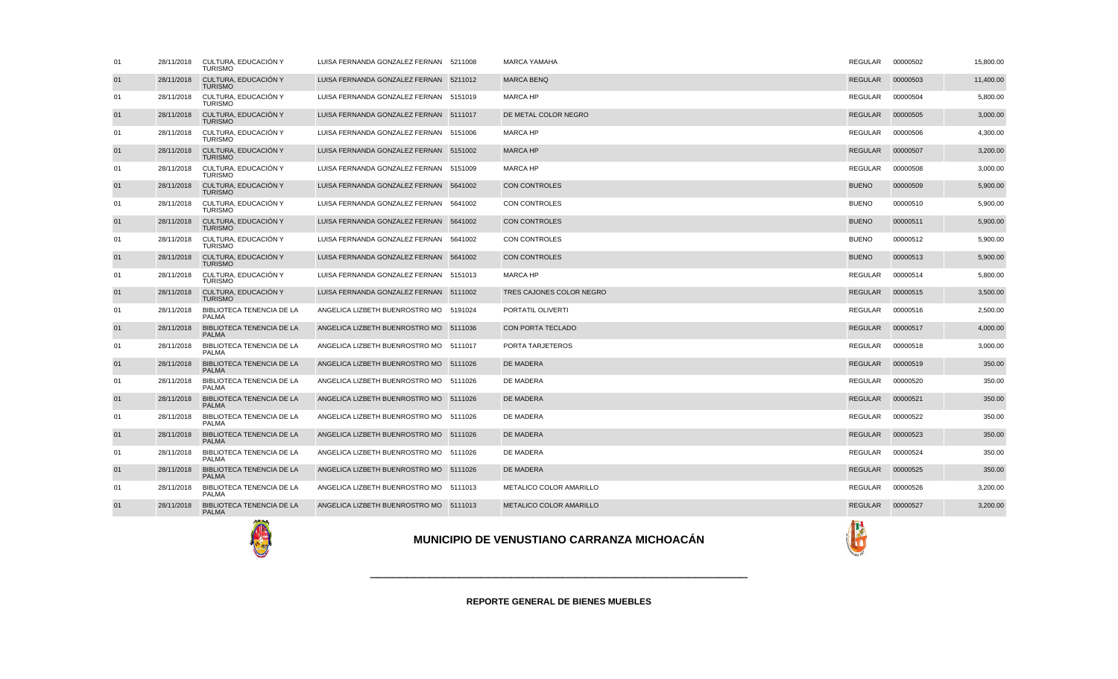



| 01 | 28/11/2018 | CULTURA, EDUCACIÓN Y<br><b>TURISMO</b>           | LUISA FERNANDA GONZALEZ FERNAN 5211008 | <b>MARCA YAMAHA</b>            | REGULAR        | 00000502 | 15,800.00 |
|----|------------|--------------------------------------------------|----------------------------------------|--------------------------------|----------------|----------|-----------|
| 01 | 28/11/2018 | CULTURA, EDUCACIÓN Y<br><b>TURISMO</b>           | LUISA FERNANDA GONZALEZ FERNAN 5211012 | <b>MARCA BENQ</b>              | <b>REGULAR</b> | 00000503 | 11,400.00 |
| 01 | 28/11/2018 | CULTURA, EDUCACIÓN Y<br><b>TURISMO</b>           | LUISA FERNANDA GONZALEZ FERNAN 5151019 | <b>MARCA HP</b>                | <b>REGULAR</b> | 00000504 | 5,800.00  |
| 01 | 28/11/2018 | CULTURA, EDUCACIÓN Y<br><b>TURISMO</b>           | LUISA FERNANDA GONZALEZ FERNAN 5111017 | DE METAL COLOR NEGRO           | <b>REGULAR</b> | 00000505 | 3,000.00  |
| 01 | 28/11/2018 | CULTURA. EDUCACIÓN Y<br><b>TURISMO</b>           | LUISA FERNANDA GONZALEZ FERNAN 5151006 | <b>MARCA HP</b>                | <b>REGULAR</b> | 00000506 | 4,300.00  |
| 01 | 28/11/2018 | CULTURA, EDUCACIÓN Y<br><b>TURISMO</b>           | LUISA FERNANDA GONZALEZ FERNAN 5151002 | <b>MARCA HP</b>                | <b>REGULAR</b> | 00000507 | 3,200.00  |
| 01 | 28/11/2018 | CULTURA, EDUCACIÓN Y<br><b>TURISMO</b>           | LUISA FERNANDA GONZALEZ FERNAN 5151009 | <b>MARCA HP</b>                | <b>REGULAR</b> | 00000508 | 3,000.00  |
| 01 | 28/11/2018 | CULTURA, EDUCACIÓN Y<br><b>TURISMO</b>           | LUISA FERNANDA GONZALEZ FERNAN 5641002 | <b>CON CONTROLES</b>           | <b>BUENO</b>   | 00000509 | 5,900.00  |
| 01 | 28/11/2018 | CULTURA, EDUCACIÓN Y<br><b>TURISMO</b>           | LUISA FERNANDA GONZALEZ FERNAN 5641002 | <b>CON CONTROLES</b>           | <b>BUENO</b>   | 00000510 | 5,900.00  |
| 01 | 28/11/2018 | CULTURA, EDUCACIÓN Y<br><b>TURISMO</b>           | LUISA FERNANDA GONZALEZ FERNAN 5641002 | <b>CON CONTROLES</b>           | <b>BUENO</b>   | 00000511 | 5,900.00  |
| 01 | 28/11/2018 | CULTURA, EDUCACIÓN Y<br><b>TURISMO</b>           | LUISA FERNANDA GONZALEZ FERNAN 5641002 | <b>CON CONTROLES</b>           | <b>BUENO</b>   | 00000512 | 5,900.00  |
| 01 | 28/11/2018 | CULTURA, EDUCACIÓN Y<br><b>TURISMO</b>           | LUISA FERNANDA GONZALEZ FERNAN 5641002 | <b>CON CONTROLES</b>           | <b>BUENO</b>   | 00000513 | 5,900.00  |
| 01 | 28/11/2018 | CULTURA. EDUCACIÓN Y<br><b>TURISMO</b>           | LUISA FERNANDA GONZALEZ FERNAN 5151013 | <b>MARCA HP</b>                | <b>REGULAR</b> | 00000514 | 5,800.00  |
| 01 | 28/11/2018 | CULTURA, EDUCACIÓN Y<br><b>TURISMO</b>           | LUISA FERNANDA GONZALEZ FERNAN 5111002 | TRES CAJONES COLOR NEGRO       | <b>REGULAR</b> | 00000515 | 3,500.00  |
| 01 | 28/11/2018 | BIBLIOTECA TENENCIA DE LA<br><b>PALMA</b>        | ANGELICA LIZBETH BUENROSTRO MO 5191024 | PORTATIL OLIVERTI              | <b>REGULAR</b> | 00000516 | 2,500.00  |
| 01 | 28/11/2018 | <b>BIBLIOTECA TENENCIA DE LA</b><br><b>PALMA</b> | ANGELICA LIZBETH BUENROSTRO MO 5111036 | <b>CON PORTA TECLADO</b>       | <b>REGULAR</b> | 00000517 | 4,000.00  |
| 01 | 28/11/2018 | BIBLIOTECA TENENCIA DE LA<br><b>PALMA</b>        | ANGELICA LIZBETH BUENROSTRO MO 5111017 | PORTA TARJETEROS               | REGULAR        | 00000518 | 3,000.00  |
| 01 | 28/11/2018 | <b>BIBLIOTECA TENENCIA DE LA</b><br><b>PALMA</b> | ANGELICA LIZBETH BUENROSTRO MO 5111026 | <b>DE MADERA</b>               | <b>REGULAR</b> | 00000519 | 350.00    |
| 01 | 28/11/2018 | BIBLIOTECA TENENCIA DE LA<br><b>PALMA</b>        | ANGELICA LIZBETH BUENROSTRO MO 5111026 | DE MADERA                      | <b>REGULAR</b> | 00000520 | 350.00    |
| 01 | 28/11/2018 | <b>BIBLIOTECA TENENCIA DE LA</b><br><b>PALMA</b> | ANGELICA LIZBETH BUENROSTRO MO 5111026 | <b>DE MADERA</b>               | <b>REGULAR</b> | 00000521 | 350.00    |
| 01 | 28/11/2018 | BIBLIOTECA TENENCIA DE LA<br><b>PALMA</b>        | ANGELICA LIZBETH BUENROSTRO MO 5111026 | DE MADERA                      | REGULAR        | 00000522 | 350.00    |
| 01 | 28/11/2018 | <b>BIBLIOTECA TENENCIA DE LA</b><br><b>PALMA</b> | ANGELICA LIZBETH BUENROSTRO MO 5111026 | <b>DE MADERA</b>               | <b>REGULAR</b> | 00000523 | 350.00    |
| 01 | 28/11/2018 | BIBLIOTECA TENENCIA DE LA<br><b>PALMA</b>        | ANGELICA LIZBETH BUENROSTRO MO 5111026 | <b>DE MADERA</b>               | REGULAR        | 00000524 | 350.00    |
| 01 | 28/11/2018 | <b>BIBLIOTECA TENENCIA DE LA</b><br><b>PALMA</b> | ANGELICA LIZBETH BUENROSTRO MO 5111026 | <b>DE MADERA</b>               | <b>REGULAR</b> | 00000525 | 350.00    |
| 01 | 28/11/2018 | BIBLIOTECA TENENCIA DE LA<br><b>PALMA</b>        | ANGELICA LIZBETH BUENROSTRO MO 5111013 | METALICO COLOR AMARILLO        | <b>REGULAR</b> | 00000526 | 3,200.00  |
| 01 | 28/11/2018 | <b>BIBLIOTECA TENENCIA DE LA</b><br><b>PALMA</b> | ANGELICA LIZBETH BUENROSTRO MO 5111013 | <b>METALICO COLOR AMARILLO</b> | REGULAR        | 00000527 | 3,200.00  |
|    |            |                                                  |                                        |                                |                |          |           |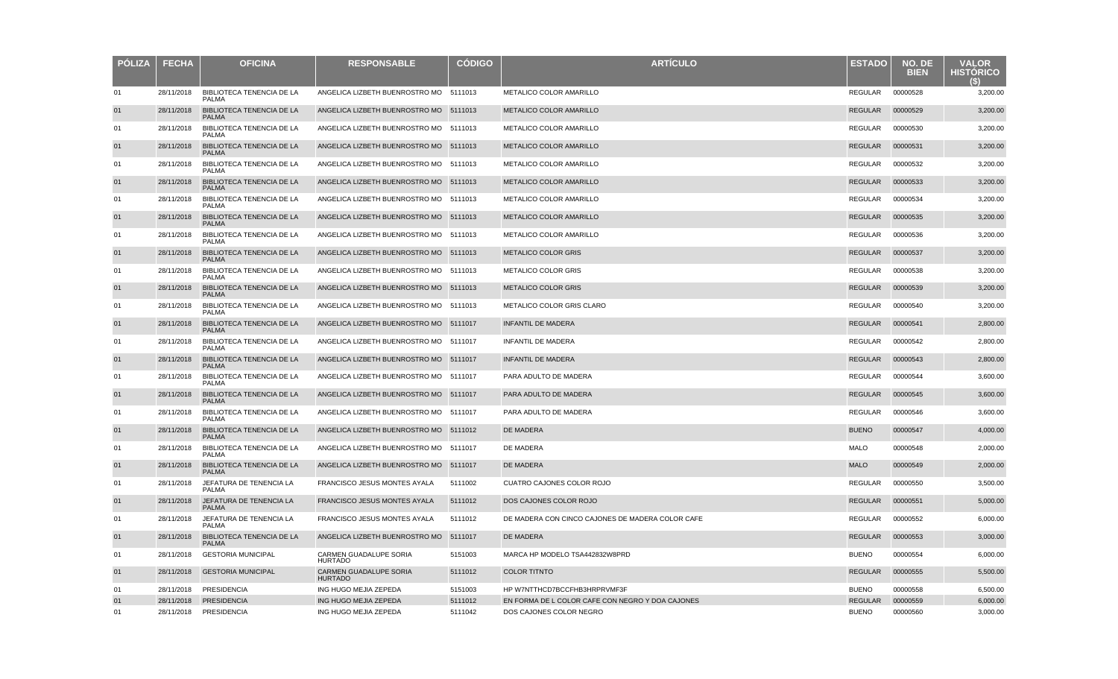| <b>PÓLIZA</b> | <b>FECHA</b> | <b>OFICINA</b>                                   | <b>RESPONSABLE</b>                       | <b>CODIGO</b> | <b>ARTICULO</b>                                  | <b>ESTADO</b>  | NO. DE<br><b>BIEN</b> | <b>VALOR</b><br><b>HISTORICO</b> |
|---------------|--------------|--------------------------------------------------|------------------------------------------|---------------|--------------------------------------------------|----------------|-----------------------|----------------------------------|
| 01            | 28/11/2018   | BIBLIOTECA TENENCIA DE LA<br><b>PALMA</b>        | ANGELICA LIZBETH BUENROSTRO MO 5111013   |               | METALICO COLOR AMARILLO                          | REGULAR        | 00000528              | 3,200.00                         |
| 01            | 28/11/2018   | BIBLIOTECA TENENCIA DE LA<br><b>PALMA</b>        | ANGELICA LIZBETH BUENROSTRO MO 5111013   |               | METALICO COLOR AMARILLO                          | REGULAR        | 00000529              | 3,200.00                         |
| 01            | 28/11/2018   | BIBLIOTECA TENENCIA DE LA<br><b>PALMA</b>        | ANGELICA LIZBETH BUENROSTRO MO 5111013   |               | METALICO COLOR AMARILLO                          | REGULAR        | 00000530              | 3,200.00                         |
| 01            | 28/11/2018   | BIBLIOTECA TENENCIA DE LA<br><b>PALMA</b>        | ANGELICA LIZBETH BUENROSTRO MO 5111013   |               | METALICO COLOR AMARILLO                          | <b>REGULAR</b> | 00000531              | 3,200.00                         |
| 01            | 28/11/2018   | BIBLIOTECA TENENCIA DE LA<br><b>PALMA</b>        | ANGELICA LIZBETH BUENROSTRO MO 5111013   |               | METALICO COLOR AMARILLO                          | REGULAR        | 00000532              | 3,200.00                         |
| 01            | 28/11/2018   | <b>BIBLIOTECA TENENCIA DE LA</b><br><b>PALMA</b> | ANGELICA LIZBETH BUENROSTRO MO 5111013   |               | <b>METALICO COLOR AMARILLO</b>                   | REGULAR        | 00000533              | 3,200.00                         |
| 01            | 28/11/2018   | BIBLIOTECA TENENCIA DE LA<br><b>PALMA</b>        | ANGELICA LIZBETH BUENROSTRO MO 5111013   |               | METALICO COLOR AMARILLO                          | REGULAR        | 00000534              | 3,200.00                         |
| 01            | 28/11/2018   | <b>BIBLIOTECA TENENCIA DE LA</b><br><b>PALMA</b> | ANGELICA LIZBETH BUENROSTRO MO 5111013   |               | <b>METALICO COLOR AMARILLO</b>                   | <b>REGULAR</b> | 00000535              | 3,200.00                         |
| 01            | 28/11/2018   | BIBLIOTECA TENENCIA DE LA<br><b>PALMA</b>        | ANGELICA LIZBETH BUENROSTRO MO 5111013   |               | METALICO COLOR AMARILLO                          | REGULAR        | 00000536              | 3,200.00                         |
| 01            | 28/11/2018   | <b>BIBLIOTECA TENENCIA DE LA</b><br><b>PALMA</b> | ANGELICA LIZBETH BUENROSTRO MO 5111013   |               | <b>METALICO COLOR GRIS</b>                       | REGULAR        | 00000537              | 3,200.00                         |
| 01            | 28/11/2018   | BIBLIOTECA TENENCIA DE LA<br><b>PALMA</b>        | ANGELICA LIZBETH BUENROSTRO MO 5111013   |               | METALICO COLOR GRIS                              | REGULAR        | 00000538              | 3,200.00                         |
| 01            | 28/11/2018   | <b>BIBLIOTECA TENENCIA DE LA</b><br><b>PALMA</b> | ANGELICA LIZBETH BUENROSTRO MO 5111013   |               | <b>METALICO COLOR GRIS</b>                       | REGULAR        | 00000539              | 3,200.00                         |
| 01            | 28/11/2018   | <b>BIBLIOTECA TENENCIA DE LA</b><br><b>PALMA</b> | ANGELICA LIZBETH BUENROSTRO MO 5111013   |               | METALICO COLOR GRIS CLARO                        | REGULAR        | 00000540              | 3,200.00                         |
| 01            | 28/11/2018   | BIBLIOTECA TENENCIA DE LA<br><b>PALMA</b>        | ANGELICA LIZBETH BUENROSTRO MO 5111017   |               | INFANTIL DE MADERA                               | <b>REGULAR</b> | 00000541              | 2,800.00                         |
| 01            | 28/11/2018   | BIBLIOTECA TENENCIA DE LA<br><b>PALMA</b>        | ANGELICA LIZBETH BUENROSTRO MO 5111017   |               | INFANTIL DE MADERA                               | REGULAR        | 00000542              | 2,800.00                         |
| 01            | 28/11/2018   | BIBLIOTECA TENENCIA DE LA<br><b>PALMA</b>        | ANGELICA LIZBETH BUENROSTRO MO 5111017   |               | <b>INFANTIL DE MADERA</b>                        | <b>REGULAR</b> | 00000543              | 2,800.00                         |
| 01            | 28/11/2018   | BIBLIOTECA TENENCIA DE LA<br><b>PALMA</b>        | ANGELICA LIZBETH BUENROSTRO MO 5111017   |               | PARA ADULTO DE MADERA                            | REGULAR        | 00000544              | 3,600.00                         |
| 01            | 28/11/2018   | BIBLIOTECA TENENCIA DE LA<br><b>PALMA</b>        | ANGELICA LIZBETH BUENROSTRO MO 5111017   |               | PARA ADULTO DE MADERA                            | REGULAR        | 00000545              | 3,600.00                         |
| 01            | 28/11/2018   | BIBLIOTECA TENENCIA DE LA<br><b>PALMA</b>        | ANGELICA LIZBETH BUENROSTRO MO 5111017   |               | PARA ADULTO DE MADERA                            | REGULAR        | 00000546              | 3,600.00                         |
| 01            | 28/11/2018   | <b>BIBLIOTECA TENENCIA DE LA</b><br><b>PALMA</b> | ANGELICA LIZBETH BUENROSTRO MO 5111012   |               | <b>DE MADERA</b>                                 | <b>BUENO</b>   | 00000547              | 4,000.00                         |
| 01            | 28/11/2018   | BIBLIOTECA TENENCIA DE LA<br><b>PALMA</b>        | ANGELICA LIZBETH BUENROSTRO MO 5111017   |               | DE MADERA                                        | <b>MALO</b>    | 00000548              | 2,000.00                         |
| 01            | 28/11/2018   | <b>BIBLIOTECA TENENCIA DE LA</b><br><b>PALMA</b> | ANGELICA LIZBETH BUENROSTRO MO 5111017   |               | <b>DE MADERA</b>                                 | <b>MALO</b>    | 00000549              | 2,000.00                         |
| 01            | 28/11/2018   | JEFATURA DE TENENCIA LA<br><b>PALMA</b>          | FRANCISCO JESUS MONTES AYALA             | 5111002       | CUATRO CAJONES COLOR ROJO                        | REGULAR        | 00000550              | 3,500.00                         |
| 01            | 28/11/2018   | JEFATURA DE TENENCIA LA<br><b>PALMA</b>          | <b>FRANCISCO JESUS MONTES AYALA</b>      | 5111012       | DOS CAJONES COLOR ROJO                           | <b>REGULAR</b> | 00000551              | 5,000.00                         |
| 01            | 28/11/2018   | JEFATURA DE TENENCIA LA<br><b>PALMA</b>          | FRANCISCO JESUS MONTES AYALA             | 5111012       | DE MADERA CON CINCO CAJONES DE MADERA COLOR CAFE | REGULAR        | 00000552              | 6,000.00                         |
| 01            | 28/11/2018   | <b>BIBLIOTECA TENENCIA DE LA</b><br><b>PALMA</b> | ANGELICA LIZBETH BUENROSTRO MO           | 5111017       | DE MADERA                                        | REGULAR        | 00000553              | 3,000.00                         |
| 01            | 28/11/2018   | <b>GESTORIA MUNICIPAL</b>                        | CARMEN GUADALUPE SORIA<br><b>HURTADO</b> | 5151003       | MARCA HP MODELO TSA442832W8PRD                   | <b>BUENO</b>   | 00000554              | 6,000.00                         |
| 01            | 28/11/2018   | <b>GESTORIA MUNICIPAL</b>                        | CARMEN GUADALUPE SORIA<br><b>HURTADO</b> | 5111012       | <b>COLOR TITNTO</b>                              | <b>REGULAR</b> | 00000555              | 5,500.00                         |
| 01            | 28/11/2018   | PRESIDENCIA                                      | ING HUGO MEJIA ZEPEDA                    | 5151003       | HP W7NTTHCD7BCCFHB3HRPRVMF3F                     | <b>BUENO</b>   | 00000558              | 6,500.00                         |
| 01            | 28/11/2018   | <b>PRESIDENCIA</b>                               | ING HUGO MEJIA ZEPEDA                    | 5111012       | EN FORMA DE L COLOR CAFE CON NEGRO Y DOA CAJONES | <b>REGULAR</b> | 00000559              | 6,000.00                         |
| 01            | 28/11/2018   | PRESIDENCIA                                      | ING HUGO MEJIA ZEPEDA                    | 5111042       | DOS CAJONES COLOR NEGRO                          | <b>BUENO</b>   | 00000560              | 3,000.00                         |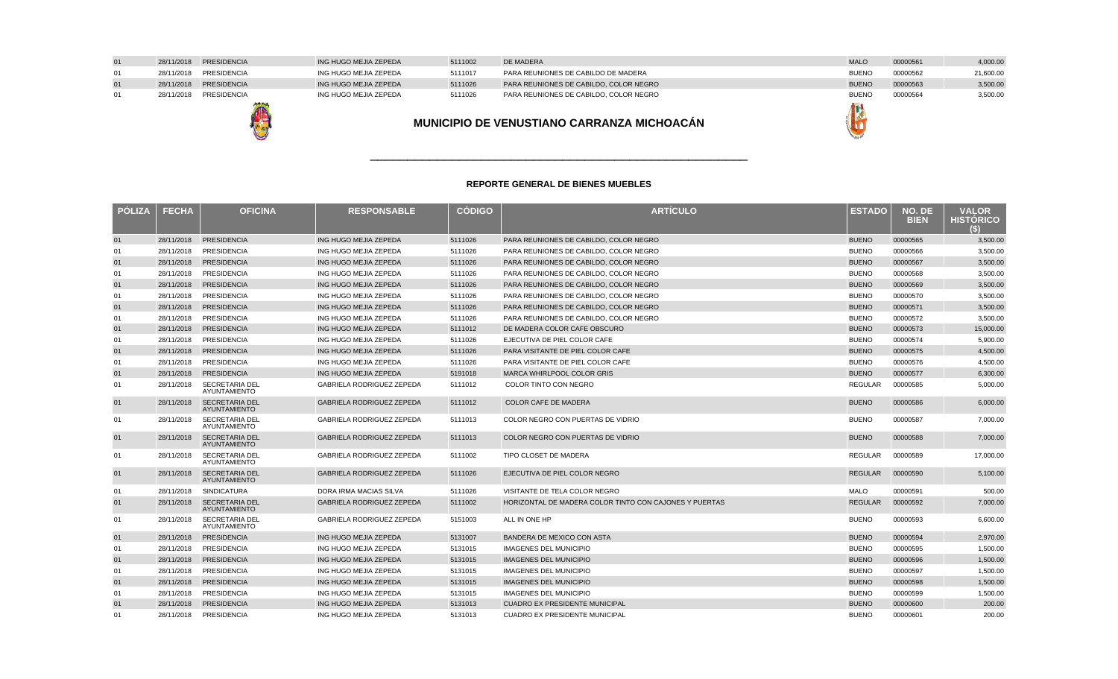|            | 28/11/2018 PRESIDENCIA | ING HUGO MEJIA ZEPEDA | 5111002 | DE MADERA                              | <b>MALO</b>  | 00000561 | 4,000.00  |
|------------|------------------------|-----------------------|---------|----------------------------------------|--------------|----------|-----------|
| 28/11/2018 | PRESIDENCIA            | ING HUGO MEJIA ZEPEDA | 5111017 | PARA REUNIONES DE CABILDO DE MADERA    | <b>BUENO</b> | 00000562 | 21,600.00 |
|            | 28/11/2018 PRESIDENCIA | ING HUGO MEJIA ZEPEDA | 5111026 | PARA REUNIONES DE CABILDO, COLOR NEGRO | <b>BUENO</b> | 00000563 | 3,500.00  |
| 28/11/2018 | PRESIDENCIA            | ING HUGO MEJIA ZEPEDA | 5111026 | PARA REUNIONES DE CABILDO. COLOR NEGRO | <b>BUENO</b> | 00000564 | 3,500.00  |
|            | <b>ANTI SUA</b>        |                       |         |                                        |              |          |           |



| . .<br>ч<br>-                            |
|------------------------------------------|
| <b>All Parks</b><br>ø.<br>$\mathbb{P}^1$ |

### **REPORTE GENERAL DE BIENES MUEBLES**

\_\_\_\_\_\_\_\_\_\_\_\_\_\_\_\_\_\_\_\_\_\_\_\_\_\_\_\_\_\_\_\_\_\_\_\_\_\_\_\_\_\_\_\_\_\_\_\_\_\_\_

| <b>PÓLIZA</b> | <b>FECHA</b> | <b>OFICINA</b>                               | <b>RESPONSABLE</b>               | <b>CÓDIGO</b> | <b>ARTÍCULO</b>                                        | <b>ESTADO</b>  | NO. DE<br><b>BIEN</b> | <b>VALOR</b><br><b>HISTORICO</b> |
|---------------|--------------|----------------------------------------------|----------------------------------|---------------|--------------------------------------------------------|----------------|-----------------------|----------------------------------|
| 01            | 28/11/2018   | <b>PRESIDENCIA</b>                           | ING HUGO MEJIA ZEPEDA            | 5111026       | PARA REUNIONES DE CABILDO, COLOR NEGRO                 | <b>BUENO</b>   | 00000565              | 3,500.00                         |
| 01            | 28/11/2018   | <b>PRESIDENCIA</b>                           | ING HUGO MEJIA ZEPEDA            | 5111026       | PARA REUNIONES DE CABILDO, COLOR NEGRO                 | <b>BUENO</b>   | 00000566              | 3,500.00                         |
| 01            | 28/11/2018   | <b>PRESIDENCIA</b>                           | ING HUGO MEJIA ZEPEDA            | 5111026       | PARA REUNIONES DE CABILDO, COLOR NEGRO                 | <b>BUENO</b>   | 00000567              | 3.500.00                         |
| 01            | 28/11/2018   | <b>PRESIDENCIA</b>                           | ING HUGO MEJIA ZEPEDA            | 5111026       | PARA REUNIONES DE CABILDO, COLOR NEGRO                 | <b>BUENO</b>   | 00000568              | 3,500.00                         |
| 01            | 28/11/2018   | <b>PRESIDENCIA</b>                           | ING HUGO MEJIA ZEPEDA            | 5111026       | PARA REUNIONES DE CABILDO, COLOR NEGRO                 | <b>BUENO</b>   | 00000569              | 3,500.00                         |
| 01            | 28/11/2018   | <b>PRESIDENCIA</b>                           | ING HUGO MEJIA ZEPEDA            | 5111026       | PARA REUNIONES DE CABILDO, COLOR NEGRO                 | <b>BUENO</b>   | 00000570              | 3,500.00                         |
| 01            | 28/11/2018   | <b>PRESIDENCIA</b>                           | ING HUGO MEJIA ZEPEDA            | 5111026       | PARA REUNIONES DE CABILDO, COLOR NEGRO                 | <b>BUENO</b>   | 00000571              | 3,500.00                         |
| 01            | 28/11/2018   | <b>PRESIDENCIA</b>                           | ING HUGO MEJIA ZEPEDA            | 5111026       | PARA REUNIONES DE CABILDO, COLOR NEGRO                 | <b>BUENO</b>   | 00000572              | 3,500.00                         |
| 01            | 28/11/2018   | <b>PRESIDENCIA</b>                           | ING HUGO MEJIA ZEPEDA            | 5111012       | DE MADERA COLOR CAFE OBSCURO                           | <b>BUENO</b>   | 00000573              | 15,000.00                        |
| 01            | 28/11/2018   | <b>PRESIDENCIA</b>                           | ING HUGO MEJIA ZEPEDA            | 5111026       | EJECUTIVA DE PIEL COLOR CAFE                           | <b>BUENO</b>   | 00000574              | 5,900.00                         |
| 01            | 28/11/2018   | <b>PRESIDENCIA</b>                           | ING HUGO MEJIA ZEPEDA            | 5111026       | PARA VISITANTE DE PIEL COLOR CAFE                      | <b>BUENO</b>   | 00000575              | 4,500.00                         |
| 01            | 28/11/2018   | <b>PRESIDENCIA</b>                           | ING HUGO MEJIA ZEPEDA            | 5111026       | PARA VISITANTE DE PIEL COLOR CAFE                      | <b>BUENO</b>   | 00000576              | 4,500.00                         |
| 01            | 28/11/2018   | <b>PRESIDENCIA</b>                           | ING HUGO MEJIA ZEPEDA            | 5191018       | <b>MARCA WHIRLPOOL COLOR GRIS</b>                      | <b>BUENO</b>   | 00000577              | 6,300.00                         |
| 01            | 28/11/2018   | <b>SECRETARIA DEL</b><br>AYUNTAMIENTO        | GABRIELA RODRIGUEZ ZEPEDA        | 5111012       | COLOR TINTO CON NEGRO                                  | <b>REGULAR</b> | 00000585              | 5,000.00                         |
| 01            | 28/11/2018   | <b>SECRETARIA DEL</b><br><b>AYUNTAMIENTO</b> | <b>GABRIELA RODRIGUEZ ZEPEDA</b> | 5111012       | <b>COLOR CAFE DE MADERA</b>                            | <b>BUENO</b>   | 00000586              | 6,000.00                         |
| 01            | 28/11/2018   | <b>SECRETARIA DEL</b><br>AYUNTAMIENTO        | <b>GABRIELA RODRIGUEZ ZEPEDA</b> | 5111013       | COLOR NEGRO CON PUERTAS DE VIDRIO                      | <b>BUENO</b>   | 00000587              | 7.000.00                         |
| 01            | 28/11/2018   | <b>SECRETARIA DEL</b><br><b>AYUNTAMIENTO</b> | <b>GABRIELA RODRIGUEZ ZEPEDA</b> | 5111013       | COLOR NEGRO CON PUERTAS DE VIDRIO                      | <b>BUENO</b>   | 00000588              | 7,000.00                         |
| 01            | 28/11/2018   | <b>SECRETARIA DEL</b><br>AYUNTAMIENTO        | GABRIELA RODRIGUEZ ZEPEDA        | 5111002       | TIPO CLOSET DE MADERA                                  | <b>REGULAR</b> | 00000589              | 17,000.00                        |
| 01            | 28/11/2018   | <b>SECRETARIA DEL</b><br><b>AYUNTAMIENTO</b> | GABRIELA RODRIGUEZ ZEPEDA        | 5111026       | EJECUTIVA DE PIEL COLOR NEGRO                          | <b>REGULAR</b> | 00000590              | 5,100.00                         |
| 01            | 28/11/2018   | <b>SINDICATURA</b>                           | DORA IRMA MACIAS SILVA           | 5111026       | VISITANTE DE TELA COLOR NEGRO                          | <b>MALO</b>    | 00000591              | 500.00                           |
| 01            | 28/11/2018   | <b>SECRETARIA DEL</b><br><b>AYUNTAMIENTO</b> | <b>GABRIELA RODRIGUEZ ZEPEDA</b> | 5111002       | HORIZONTAL DE MADERA COLOR TINTO CON CAJONES Y PUERTAS | <b>REGULAR</b> | 00000592              | 7,000.00                         |
| 01            | 28/11/2018   | <b>SECRETARIA DEL</b><br><b>AYUNTAMIENTO</b> | GABRIELA RODRIGUEZ ZEPEDA        | 5151003       | ALL IN ONE HP                                          | <b>BUENO</b>   | 00000593              | 6,600.00                         |
| 01            | 28/11/2018   | <b>PRESIDENCIA</b>                           | ING HUGO MEJIA ZEPEDA            | 5131007       | BANDERA DE MEXICO CON ASTA                             | <b>BUENO</b>   | 00000594              | 2,970.00                         |
| 01            | 28/11/2018   | <b>PRESIDENCIA</b>                           | ING HUGO MEJIA ZEPEDA            | 5131015       | <b>IMAGENES DEL MUNICIPIO</b>                          | <b>BUENO</b>   | 00000595              | 1,500.00                         |
| 01            | 28/11/2018   | <b>PRESIDENCIA</b>                           | ING HUGO MEJIA ZEPEDA            | 5131015       | <b>IMAGENES DEL MUNICIPIO</b>                          | <b>BUENO</b>   | 00000596              | 1.500.00                         |
| 01            | 28/11/2018   | <b>PRESIDENCIA</b>                           | ING HUGO MEJIA ZEPEDA            | 5131015       | <b>IMAGENES DEL MUNICIPIO</b>                          | <b>BUENO</b>   | 00000597              | 1.500.00                         |
| 01            | 28/11/2018   | <b>PRESIDENCIA</b>                           | ING HUGO MEJIA ZEPEDA            | 5131015       | <b>IMAGENES DEL MUNICIPIO</b>                          | <b>BUENO</b>   | 00000598              | 1.500.00                         |
| 01            | 28/11/2018   | <b>PRESIDENCIA</b>                           | ING HUGO MEJIA ZEPEDA            | 5131015       | <b>IMAGENES DEL MUNICIPIO</b>                          | <b>BUENO</b>   | 00000599              | 1,500.00                         |
| 01            | 28/11/2018   | <b>PRESIDENCIA</b>                           | ING HUGO MEJIA ZEPEDA            | 5131013       | <b>CUADRO EX PRESIDENTE MUNICIPAL</b>                  | <b>BUENO</b>   | 00000600              | 200.00                           |
| 01            | 28/11/2018   | <b>PRESIDENCIA</b>                           | ING HUGO MEJIA ZEPEDA            | 5131013       | <b>CUADRO EX PRESIDENTE MUNICIPAL</b>                  | <b>BUENO</b>   | 00000601              | 200.00                           |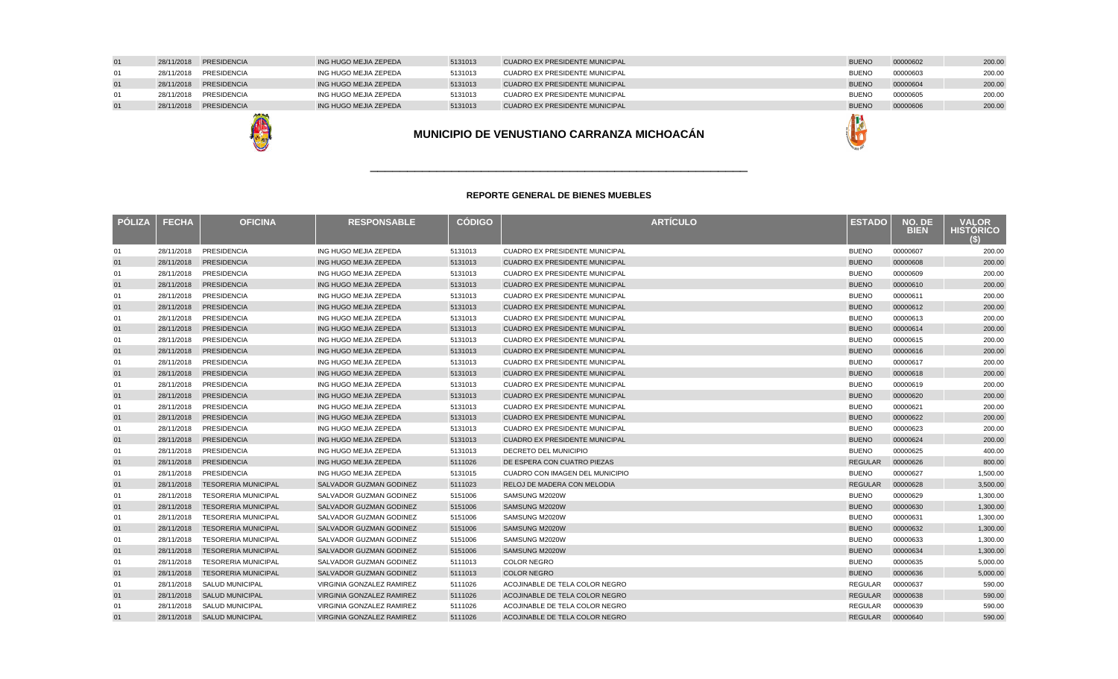| 01 | 28/11/2018 PRESIDENCIA | ING HUGO MEJIA ZEPEDA | 5131013 | CUADRO EX PRESIDENTE MUNICIPAL | <b>BUENO</b> | 00000606 | 200.00 |
|----|------------------------|-----------------------|---------|--------------------------------|--------------|----------|--------|
| 01 | 28/11/2018 PRESIDENCIA | ING HUGO MEJIA ZEPEDA | 5131013 | CUADRO EX PRESIDENTE MUNICIPAL | <b>BUENO</b> | 00000605 | 200.00 |
| 01 | 28/11/2018 PRESIDENCIA | ING HUGO MEJIA ZEPEDA | 5131013 | CUADRO EX PRESIDENTE MUNICIPAL | <b>BUENO</b> | 00000604 | 200.00 |
| 01 | 28/11/2018 PRESIDENCIA | ING HUGO MEJIA ZEPEDA | 5131013 | CUADRO EX PRESIDENTE MUNICIPAL | <b>BUENC</b> | 00000603 | 200.00 |
| 01 | 28/11/2018 PRESIDENCIA | ING HUGO MEJIA ZEPEDA | 5131013 | CUADRO EX PRESIDENTE MUNICIPAL | <b>BUENO</b> | 00000602 | 200.00 |
|    |                        |                       |         |                                |              |          |        |

鳥

| MUNICIPIO DE VENUSTIANO CARRANZA MICHOACÁN |  |
|--------------------------------------------|--|
|                                            |  |

| <b>PÓLIZA</b> | <b>FECHA</b> | <b>OFICINA</b>             | <b>RESPONSABLE</b>             | <b>CÓDIGO</b> | <b>ARTÍCULO</b>                       | <b>ESTADO</b>  | NO. DE<br><b>BIEN</b> | <b>VALOR</b><br><b>HISTÓRICO</b><br>S) |
|---------------|--------------|----------------------------|--------------------------------|---------------|---------------------------------------|----------------|-----------------------|----------------------------------------|
| 01            | 28/11/2018   | <b>PRESIDENCIA</b>         | ING HUGO MEJIA ZEPEDA          | 5131013       | <b>CUADRO EX PRESIDENTE MUNICIPAL</b> | <b>BUENO</b>   | 00000607              | 200.00                                 |
| 01            | 28/11/2018   | <b>PRESIDENCIA</b>         | ING HUGO MEJIA ZEPEDA          | 5131013       | <b>CUADRO EX PRESIDENTE MUNICIPAL</b> | <b>BUENO</b>   | 00000608              | 200.00                                 |
| 01            | 28/11/2018   | <b>PRESIDENCIA</b>         | ING HUGO MEJIA ZEPEDA          | 5131013       | <b>CUADRO EX PRESIDENTE MUNICIPAL</b> | <b>BUENO</b>   | 00000609              | 200.00                                 |
| 01            | 28/11/2018   | <b>PRESIDENCIA</b>         | ING HUGO MEJIA ZEPEDA          | 5131013       | <b>CUADRO EX PRESIDENTE MUNICIPAL</b> | <b>BUENO</b>   | 00000610              | 200.00                                 |
| 01            | 28/11/2018   | <b>PRESIDENCIA</b>         | ING HUGO MEJIA ZEPEDA          | 5131013       | <b>CUADRO EX PRESIDENTE MUNICIPAL</b> | <b>BUENO</b>   | 00000611              | 200.00                                 |
| 01            | 28/11/2018   | <b>PRESIDENCIA</b>         | ING HUGO MEJIA ZEPEDA          | 5131013       | <b>CUADRO EX PRESIDENTE MUNICIPAL</b> | <b>BUENO</b>   | 00000612              | 200.00                                 |
| 01            | 28/11/2018   | <b>PRESIDENCIA</b>         | ING HUGO MEJIA ZEPEDA          | 5131013       | <b>CUADRO EX PRESIDENTE MUNICIPAL</b> | <b>BUENO</b>   | 00000613              | 200.00                                 |
| 01            | 28/11/2018   | <b>PRESIDENCIA</b>         | ING HUGO MEJIA ZEPEDA          | 5131013       | <b>CUADRO EX PRESIDENTE MUNICIPAL</b> | <b>BUENO</b>   | 00000614              | 200.00                                 |
| 01            | 28/11/2018   | <b>PRESIDENCIA</b>         | ING HUGO MEJIA ZEPEDA          | 5131013       | <b>CUADRO EX PRESIDENTE MUNICIPAL</b> | <b>BUENO</b>   | 00000615              | 200.00                                 |
| 01            | 28/11/2018   | <b>PRESIDENCIA</b>         | ING HUGO MEJIA ZEPEDA          | 5131013       | <b>CUADRO EX PRESIDENTE MUNICIPAL</b> | <b>BUENO</b>   | 00000616              | 200.00                                 |
| 01            | 28/11/2018   | <b>PRESIDENCIA</b>         | ING HUGO MEJIA ZEPEDA          | 5131013       | <b>CUADRO EX PRESIDENTE MUNICIPAL</b> | <b>BUENO</b>   | 00000617              | 200.00                                 |
| 01            | 28/11/2018   | <b>PRESIDENCIA</b>         | ING HUGO MEJIA ZEPEDA          | 5131013       | <b>CUADRO EX PRESIDENTE MUNICIPAL</b> | <b>BUENO</b>   | 00000618              | 200.00                                 |
| 01            | 28/11/2018   | <b>PRESIDENCIA</b>         | ING HUGO MEJIA ZEPEDA          | 5131013       | <b>CUADRO EX PRESIDENTE MUNICIPAL</b> | <b>BUENO</b>   | 00000619              | 200.00                                 |
| 01            | 28/11/2018   | <b>PRESIDENCIA</b>         | ING HUGO MEJIA ZEPEDA          | 5131013       | <b>CUADRO EX PRESIDENTE MUNICIPAL</b> | <b>BUENO</b>   | 00000620              | 200.00                                 |
| 01            | 28/11/2018   | <b>PRESIDENCIA</b>         | ING HUGO MEJIA ZEPEDA          | 5131013       | <b>CUADRO EX PRESIDENTE MUNICIPAL</b> | <b>BUENO</b>   | 00000621              | 200.00                                 |
| 01            | 28/11/2018   | <b>PRESIDENCIA</b>         | ING HUGO MEJIA ZEPEDA          | 5131013       | <b>CUADRO EX PRESIDENTE MUNICIPAL</b> | <b>BUENO</b>   | 00000622              | 200.00                                 |
| 01            | 28/11/2018   | <b>PRESIDENCIA</b>         | ING HUGO MEJIA ZEPEDA          | 5131013       | <b>CUADRO EX PRESIDENTE MUNICIPAL</b> | <b>BUENO</b>   | 00000623              | 200.00                                 |
| 01            | 28/11/2018   | <b>PRESIDENCIA</b>         | ING HUGO MEJIA ZEPEDA          | 5131013       | <b>CUADRO EX PRESIDENTE MUNICIPAL</b> | <b>BUENO</b>   | 00000624              | 200.00                                 |
| 01            | 28/11/2018   | <b>PRESIDENCIA</b>         | ING HUGO MEJIA ZEPEDA          | 5131013       | <b>DECRETO DEL MUNICIPIO</b>          | <b>BUENO</b>   | 00000625              | 400.00                                 |
| 01            | 28/11/2018   | PRESIDENCIA                | ING HUGO MEJIA ZEPEDA          | 5111026       | DE ESPERA CON CUATRO PIEZAS           | <b>REGULAR</b> | 00000626              | 800.00                                 |
| 01            | 28/11/2018   | <b>PRESIDENCIA</b>         | ING HUGO MEJIA ZEPEDA          | 5131015       | CUADRO CON IMAGEN DEL MUNICIPIO       | <b>BUENO</b>   | 00000627              | 1,500.00                               |
| 01            | 28/11/2018   | <b>TESORERIA MUNICIPAL</b> | SALVADOR GUZMAN GODINEZ        | 5111023       | RELOJ DE MADERA CON MELODIA           | <b>REGULAR</b> | 00000628              | 3,500.00                               |
| 01            | 28/11/2018   | <b>TESORERIA MUNICIPAL</b> | SALVADOR GUZMAN GODINEZ        | 5151006       | SAMSUNG M2020W                        | <b>BUENO</b>   | 00000629              | 1,300.00                               |
| 01            | 28/11/2018   | <b>TESORERIA MUNICIPAL</b> | <b>SALVADOR GUZMAN GODINEZ</b> | 5151006       | SAMSUNG M2020W                        | <b>BUENO</b>   | 00000630              | 1,300.00                               |
| 01            | 28/11/2018   | <b>TESORERIA MUNICIPAL</b> | SALVADOR GUZMAN GODINEZ        | 5151006       | SAMSUNG M2020W                        | <b>BUENO</b>   | 00000631              | 1,300.00                               |
| 01            | 28/11/2018   | <b>TESORERIA MUNICIPAL</b> | SALVADOR GUZMAN GODINEZ        | 5151006       | SAMSUNG M2020W                        | <b>BUENO</b>   | 00000632              | 1,300.00                               |
| 01            | 28/11/2018   | <b>TESORERIA MUNICIPAL</b> | SALVADOR GUZMAN GODINEZ        | 5151006       | SAMSUNG M2020W                        | <b>BUENO</b>   | 00000633              | 1,300.00                               |
| 01            | 28/11/2018   | <b>TESORERIA MUNICIPAL</b> | SALVADOR GUZMAN GODINEZ        | 5151006       | SAMSUNG M2020W                        | <b>BUENO</b>   | 00000634              | 1,300.00                               |
| 01            | 28/11/2018   | <b>TESORERIA MUNICIPAL</b> | SALVADOR GUZMAN GODINEZ        | 5111013       | <b>COLOR NEGRO</b>                    | <b>BUENO</b>   | 00000635              | 5,000.00                               |
| 01            | 28/11/2018   | <b>TESORERIA MUNICIPAL</b> | SALVADOR GUZMAN GODINEZ        | 5111013       | <b>COLOR NEGRO</b>                    | <b>BUENO</b>   | 00000636              | 5,000.00                               |
| 01            | 28/11/2018   | SALUD MUNICIPAL            | VIRGINIA GONZALEZ RAMIREZ      | 5111026       | ACOJINABLE DE TELA COLOR NEGRO        | <b>REGULAR</b> | 00000637              | 590.00                                 |
| 01            | 28/11/2018   | <b>SALUD MUNICIPAL</b>     | VIRGINIA GONZALEZ RAMIREZ      | 5111026       | ACOJINABLE DE TELA COLOR NEGRO        | <b>REGULAR</b> | 00000638              | 590.00                                 |
| 01            | 28/11/2018   | <b>SALUD MUNICIPAL</b>     | VIRGINIA GONZALEZ RAMIREZ      | 5111026       | ACOJINABLE DE TELA COLOR NEGRO        | <b>REGULAR</b> | 00000639              | 590.00                                 |
| 01            |              | 28/11/2018 SALUD MUNICIPAL | VIRGINIA GONZALEZ RAMIREZ      | 5111026       | ACOJINABLE DE TELA COLOR NEGRO        | <b>REGULAR</b> | 00000640              | 590.00                                 |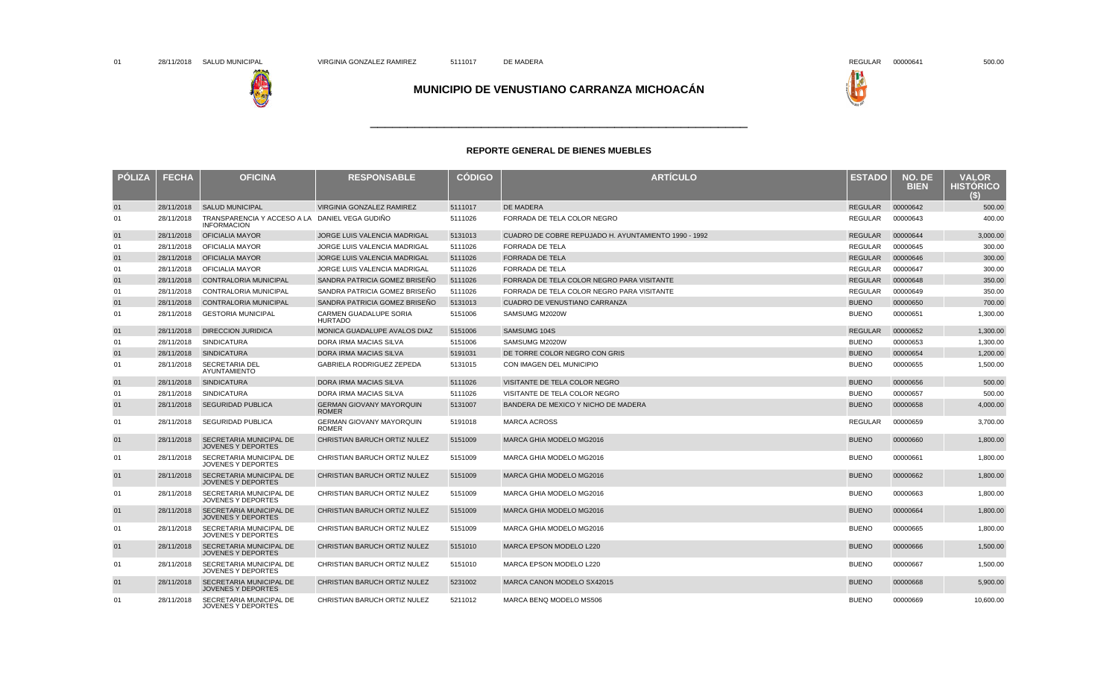



\_\_\_\_\_\_\_\_\_\_\_\_\_\_\_\_\_\_\_\_\_\_\_\_\_\_\_\_\_\_\_\_\_\_\_\_\_\_\_\_\_\_\_\_\_\_\_\_\_\_\_

| <b>PÓLIZA</b> | <b>FECHA</b> | <b>OFICINA</b>                                                       | <b>RESPONSABLE</b>                              | <b>CODIGO</b> | <b>ARTÍCULO</b>                                      | ESTADO         | NO. DE<br><b>BIEN</b> | <b>VALOR</b><br><b>HISTORICO</b> |
|---------------|--------------|----------------------------------------------------------------------|-------------------------------------------------|---------------|------------------------------------------------------|----------------|-----------------------|----------------------------------|
| 01            | 28/11/2018   | <b>SALUD MUNICIPAL</b>                                               | VIRGINIA GONZALEZ RAMIREZ                       | 5111017       | DE MADERA                                            | <b>REGULAR</b> | 00000642              | 500.00                           |
| 01            | 28/11/2018   | TRANSPARENCIA Y ACCESO A LA DANIEL VEGA GUDIÑO<br><b>INFORMACION</b> |                                                 | 5111026       | FORRADA DE TELA COLOR NEGRO                          | REGULAR        | 00000643              | 400.00                           |
| 01            | 28/11/2018   | <b>OFICIALIA MAYOR</b>                                               | <b>JORGE LUIS VALENCIA MADRIGAL</b>             | 5131013       | CUADRO DE COBRE REPUJADO H. AYUNTAMIENTO 1990 - 1992 | <b>REGULAR</b> | 00000644              | 3,000.00                         |
| 01            | 28/11/2018   | <b>OFICIALIA MAYOR</b>                                               | JORGE LUIS VALENCIA MADRIGAL                    | 5111026       | <b>FORRADA DE TELA</b>                               | <b>REGULAR</b> | 00000645              | 300.00                           |
| 01            | 28/11/2018   | <b>OFICIALIA MAYOR</b>                                               | JORGE LUIS VALENCIA MADRIGAL                    | 5111026       | FORRADA DE TELA                                      | <b>REGULAR</b> | 00000646              | 300.00                           |
| 01            | 28/11/2018   | <b>OFICIALIA MAYOR</b>                                               | JORGE LUIS VALENCIA MADRIGAL                    | 5111026       | <b>FORRADA DE TELA</b>                               | <b>REGULAR</b> | 00000647              | 300.00                           |
| 01            | 28/11/2018   | <b>CONTRALORIA MUNICIPAL</b>                                         | SANDRA PATRICIA GOMEZ BRISEÑO                   | 5111026       | FORRADA DE TELA COLOR NEGRO PARA VISITANTE           | <b>REGULAR</b> | 00000648              | 350.00                           |
| 01            | 28/11/2018   | CONTRALORIA MUNICIPAL                                                | SANDRA PATRICIA GOMEZ BRISEÑO                   | 5111026       | FORRADA DE TELA COLOR NEGRO PARA VISITANTE           | <b>REGULAR</b> | 00000649              | 350.00                           |
| 01            | 28/11/2018   | <b>CONTRALORIA MUNICIPAL</b>                                         | SANDRA PATRICIA GOMEZ BRISEÑO                   | 5131013       | CUADRO DE VENUSTIANO CARRANZA                        | <b>BUENO</b>   | 00000650              | 700.00                           |
| 01            | 28/11/2018   | <b>GESTORIA MUNICIPAL</b>                                            | <b>CARMEN GUADALUPE SORIA</b><br><b>HURTADO</b> | 5151006       | SAMSUMG M2020W                                       | <b>BUENO</b>   | 00000651              | 1,300.00                         |
| 01            | 28/11/2018   | <b>DIRECCION JURIDICA</b>                                            | MONICA GUADALUPE AVALOS DIAZ                    | 5151006       | SAMSUMG 104S                                         | <b>REGULAR</b> | 00000652              | 1,300.00                         |
| 01            | 28/11/2018   | <b>SINDICATURA</b>                                                   | DORA IRMA MACIAS SILVA                          | 5151006       | SAMSUMG M2020W                                       | <b>BUENO</b>   | 00000653              | 1,300.00                         |
| 01            | 28/11/2018   | <b>SINDICATURA</b>                                                   | DORA IRMA MACIAS SILVA                          | 5191031       | DE TORRE COLOR NEGRO CON GRIS                        | <b>BUENO</b>   | 00000654              | 1,200.00                         |
| 01            | 28/11/2018   | SECRETARIA DEL<br>AYUNTAMIENTO                                       | GABRIELA RODRIGUEZ ZEPEDA                       | 5131015       | CON IMAGEN DEL MUNICIPIO                             | <b>BUENO</b>   | 00000655              | 1,500.00                         |
| 01            | 28/11/2018   | <b>SINDICATURA</b>                                                   | DORA IRMA MACIAS SILVA                          | 5111026       | VISITANTE DE TELA COLOR NEGRO                        | <b>BUENO</b>   | 00000656              | 500.00                           |
| 01            | 28/11/2018   | <b>SINDICATURA</b>                                                   | DORA IRMA MACIAS SILVA                          | 5111026       | VISITANTE DE TELA COLOR NEGRO                        | <b>BUENO</b>   | 00000657              | 500.00                           |
| 01            | 28/11/2018   | <b>SEGURIDAD PUBLICA</b>                                             | <b>GERMAN GIOVANY MAYORQUIN</b><br><b>ROMER</b> | 5131007       | BANDERA DE MEXICO Y NICHO DE MADERA                  | <b>BUENO</b>   | 00000658              | 4,000.00                         |
| 01            | 28/11/2018   | <b>SEGURIDAD PUBLICA</b>                                             | <b>GERMAN GIOVANY MAYORQUIN</b><br><b>ROMER</b> | 5191018       | <b>MARCA ACROSS</b>                                  | <b>REGULAR</b> | 00000659              | 3,700.00                         |
| 01            | 28/11/2018   | <b>SECRETARIA MUNICIPAL DE</b><br><b>JOVENES Y DEPORTES</b>          | <b>CHRISTIAN BARUCH ORTIZ NULEZ</b>             | 5151009       | <b>MARCA GHIA MODELO MG2016</b>                      | <b>BUENO</b>   | 00000660              | 1,800.00                         |
| 01            | 28/11/2018   | SECRETARIA MUNICIPAL DE<br><b>JOVENES Y DEPORTES</b>                 | CHRISTIAN BARUCH ORTIZ NULEZ                    | 5151009       | MARCA GHIA MODELO MG2016                             | <b>BUENO</b>   | 00000661              | 1,800.00                         |
| 01            | 28/11/2018   | <b>SECRETARIA MUNICIPAL DE</b><br><b>JOVENES Y DEPORTES</b>          | <b>CHRISTIAN BARUCH ORTIZ NULEZ</b>             | 5151009       | <b>MARCA GHIA MODELO MG2016</b>                      | <b>BUENO</b>   | 00000662              | 1,800.00                         |
| 01            | 28/11/2018   | SECRETARIA MUNICIPAL DE<br><b>JOVENES Y DEPORTES</b>                 | CHRISTIAN BARUCH ORTIZ NULEZ                    | 5151009       | MARCA GHIA MODELO MG2016                             | <b>BUENO</b>   | 00000663              | 1,800.00                         |
| 01            | 28/11/2018   | SECRETARIA MUNICIPAL DE<br>JOVENES Y DEPORTES                        | CHRISTIAN BARUCH ORTIZ NULEZ                    | 5151009       | MARCA GHIA MODELO MG2016                             | <b>BUENO</b>   | 00000664              | 1,800.00                         |
| 01            | 28/11/2018   | SECRETARIA MUNICIPAL DE<br>JOVENES Y DEPORTES                        | CHRISTIAN BARUCH ORTIZ NULEZ                    | 5151009       | MARCA GHIA MODELO MG2016                             | <b>BUENO</b>   | 00000665              | 1,800.00                         |
| 01            | 28/11/2018   | SECRETARIA MUNICIPAL DE<br>JOVENES Y DEPORTES                        | CHRISTIAN BARUCH ORTIZ NULEZ                    | 5151010       | MARCA EPSON MODELO L220                              | <b>BUENO</b>   | 00000666              | 1,500.00                         |
| 01            | 28/11/2018   | SECRETARIA MUNICIPAL DE<br>JOVENES Y DEPORTES                        | CHRISTIAN BARUCH ORTIZ NULEZ                    | 5151010       | MARCA EPSON MODELO L220                              | <b>BUENO</b>   | 00000667              | 1,500.00                         |
| 01            | 28/11/2018   | <b>SECRETARIA MUNICIPAL DE</b><br>JOVENES Y DEPORTES                 | CHRISTIAN BARUCH ORTIZ NULEZ                    | 5231002       | MARCA CANON MODELO SX42015                           | <b>BUENO</b>   | 00000668              | 5,900.00                         |
| 01            | 28/11/2018   | SECRETARIA MUNICIPAL DE<br>JOVENES Y DEPORTES                        | CHRISTIAN BARUCH ORTIZ NULEZ                    | 5211012       | MARCA BENQ MODELO MS506                              | <b>BUENO</b>   | 00000669              | 10,600.00                        |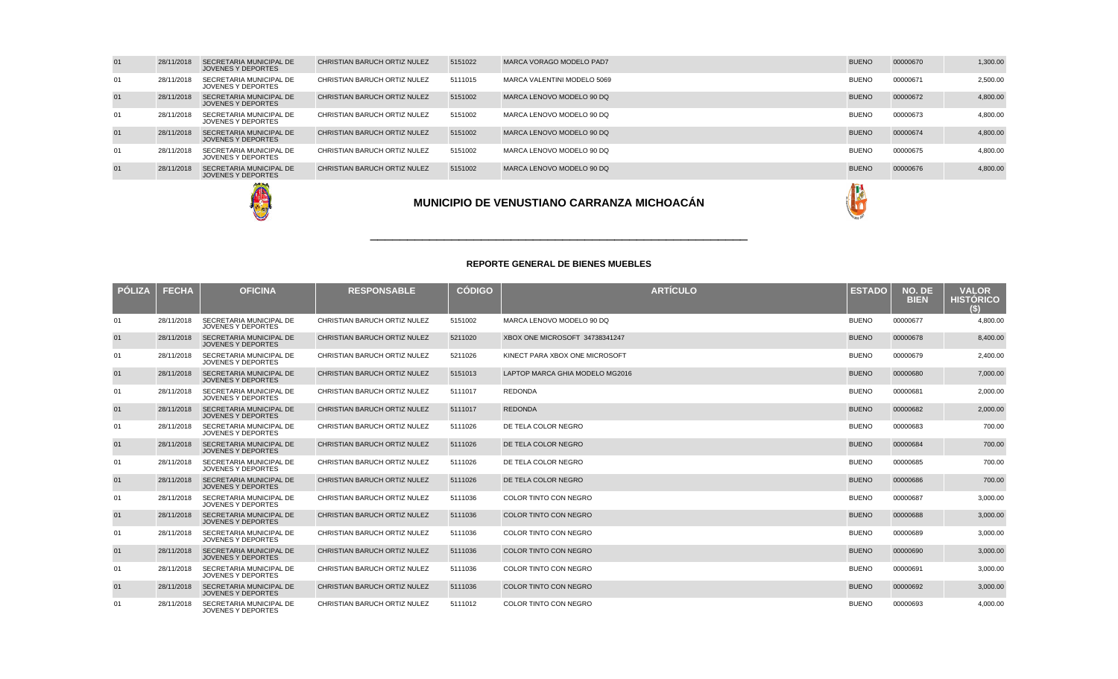| 01 | 28/11/2018 | SECRETARIA MUNICIPAL DE<br>JOVENES Y DEPORTES        | CHRISTIAN BARUCH ORTIZ NULEZ | 5151022 | MARCA VORAGO MODELO PAD7    | <b>BUENO</b> | 00000670 | 1,300.00 |
|----|------------|------------------------------------------------------|------------------------------|---------|-----------------------------|--------------|----------|----------|
| 01 | 28/11/2018 | SECRETARIA MUNICIPAL DE<br>JOVENES Y DEPORTES        | CHRISTIAN BARUCH ORTIZ NULEZ | 5111015 | MARCA VALENTINI MODELO 5069 | <b>BUENO</b> | 00000671 | 2,500.00 |
| 01 | 28/11/2018 | <b>SECRETARIA MUNICIPAL DE</b><br>JOVENES Y DEPORTES | CHRISTIAN BARUCH ORTIZ NULEZ | 5151002 | MARCA LENOVO MODELO 90 DQ   | <b>BUENO</b> | 00000672 | 4,800.00 |
| 01 | 28/11/2018 | SECRETARIA MUNICIPAL DE<br>JOVENES Y DEPORTES        | CHRISTIAN BARUCH ORTIZ NULEZ | 5151002 | MARCA LENOVO MODELO 90 DQ   | <b>BUENO</b> | 00000673 | 4,800.00 |
| 01 | 28/11/2018 | <b>SECRETARIA MUNICIPAL DE</b><br>JOVENES Y DEPORTES | CHRISTIAN BARUCH ORTIZ NULEZ | 5151002 | MARCA LENOVO MODELO 90 DQ   | <b>BUENO</b> | 00000674 | 4,800.00 |
| 01 | 28/11/2018 | SECRETARIA MUNICIPAL DE<br>JOVENES Y DEPORTES        | CHRISTIAN BARUCH ORTIZ NULEZ | 5151002 | MARCA LENOVO MODELO 90 DQ   | <b>BUENO</b> | 00000675 | 4,800.00 |
| 01 | 28/11/2018 | <b>SECRETARIA MUNICIPAL DE</b><br>JOVENES Y DEPORTES | CHRISTIAN BARUCH ORTIZ NULEZ | 5151002 | MARCA LENOVO MODELO 90 DQ   | <b>BUENO</b> | 00000676 | 4,800.00 |
|    |            |                                                      |                              |         |                             |              |          |          |





### **REPORTE GENERAL DE BIENES MUEBLES**

\_\_\_\_\_\_\_\_\_\_\_\_\_\_\_\_\_\_\_\_\_\_\_\_\_\_\_\_\_\_\_\_\_\_\_\_\_\_\_\_\_\_\_\_\_\_\_\_\_\_\_

| <b>PÓLIZA</b> | <b>FECHA</b> | <b>OFICINA</b>                                              | <b>RESPONSABLE</b>           | <b>CÓDIGO</b> | <b>ARTÍCULO</b>                 | <b>ESTADO</b> | NO. DE<br><b>BIEN</b> | <b>VALOR</b><br><b>HISTÓRICO</b> |
|---------------|--------------|-------------------------------------------------------------|------------------------------|---------------|---------------------------------|---------------|-----------------------|----------------------------------|
| 01            | 28/11/2018   | SECRETARIA MUNICIPAL DE<br><b>JOVENES Y DEPORTES</b>        | CHRISTIAN BARUCH ORTIZ NULEZ | 5151002       | MARCA LENOVO MODELO 90 DO       | <b>BUENO</b>  | 00000677              | 4,800.00                         |
| 01            | 28/11/2018   | <b>SECRETARIA MUNICIPAL DE</b><br><b>JOVENES Y DEPORTES</b> | CHRISTIAN BARUCH ORTIZ NULEZ | 5211020       | XBOX ONE MICROSOFT 34738341247  | <b>BUENO</b>  | 00000678              | 8,400.00                         |
| 01            | 28/11/2018   | SECRETARIA MUNICIPAL DE<br><b>JOVENES Y DEPORTES</b>        | CHRISTIAN BARUCH ORTIZ NULEZ | 5211026       | KINECT PARA XBOX ONE MICROSOFT  | <b>BUENO</b>  | 00000679              | 2,400.00                         |
| 01            | 28/11/2018   | <b>SECRETARIA MUNICIPAL DE</b><br><b>JOVENES Y DEPORTES</b> | CHRISTIAN BARUCH ORTIZ NULEZ | 5151013       | LAPTOP MARCA GHIA MODELO MG2016 | <b>BUENO</b>  | 00000680              | 7,000.00                         |
| 01            | 28/11/2018   | SECRETARIA MUNICIPAL DE<br><b>JOVENES Y DEPORTES</b>        | CHRISTIAN BARUCH ORTIZ NULEZ | 5111017       | REDONDA                         | <b>BUENO</b>  | 00000681              | 2,000.00                         |
| 01            | 28/11/2018   | <b>SECRETARIA MUNICIPAL DE</b><br><b>JOVENES Y DEPORTES</b> | CHRISTIAN BARUCH ORTIZ NULEZ | 5111017       | <b>REDONDA</b>                  | <b>BUENO</b>  | 00000682              | 2,000.00                         |
| 01            | 28/11/2018   | SECRETARIA MUNICIPAL DE<br><b>JOVENES Y DEPORTES</b>        | CHRISTIAN BARUCH ORTIZ NULEZ | 5111026       | DE TELA COLOR NEGRO             | <b>BUENO</b>  | 00000683              | 700.00                           |
| 01            | 28/11/2018   | <b>SECRETARIA MUNICIPAL DE</b><br><b>JOVENES Y DEPORTES</b> | CHRISTIAN BARUCH ORTIZ NULEZ | 5111026       | DE TELA COLOR NEGRO             | <b>BUENO</b>  | 00000684              | 700.00                           |
| 01            | 28/11/2018   | SECRETARIA MUNICIPAL DE<br><b>JOVENES Y DEPORTES</b>        | CHRISTIAN BARUCH ORTIZ NULEZ | 5111026       | DE TELA COLOR NEGRO             | <b>BUENO</b>  | 00000685              | 700.00                           |
| 01            | 28/11/2018   | <b>SECRETARIA MUNICIPAL DE</b><br><b>JOVENES Y DEPORTES</b> | CHRISTIAN BARUCH ORTIZ NULEZ | 5111026       | DE TELA COLOR NEGRO             | <b>BUENO</b>  | 00000686              | 700.00                           |
| 01            | 28/11/2018   | SECRETARIA MUNICIPAL DE<br><b>JOVENES Y DEPORTES</b>        | CHRISTIAN BARUCH ORTIZ NULEZ | 5111036       | COLOR TINTO CON NEGRO           | <b>BUENO</b>  | 00000687              | 3,000.00                         |
| 01            | 28/11/2018   | <b>SECRETARIA MUNICIPAL DE</b><br><b>JOVENES Y DEPORTES</b> | CHRISTIAN BARUCH ORTIZ NULEZ | 5111036       | <b>COLOR TINTO CON NEGRO</b>    | <b>BUENO</b>  | 00000688              | 3,000.00                         |
| 01            | 28/11/2018   | SECRETARIA MUNICIPAL DE<br><b>JOVENES Y DEPORTES</b>        | CHRISTIAN BARUCH ORTIZ NULEZ | 5111036       | COLOR TINTO CON NEGRO           | <b>BUENO</b>  | 00000689              | 3,000.00                         |
| 01            | 28/11/2018   | SECRETARIA MUNICIPAL DE<br><b>JOVENES Y DEPORTES</b>        | CHRISTIAN BARUCH ORTIZ NULEZ | 5111036       | <b>COLOR TINTO CON NEGRO</b>    | <b>BUENO</b>  | 00000690              | 3,000.00                         |
| 01            | 28/11/2018   | SECRETARIA MUNICIPAL DE<br><b>JOVENES Y DEPORTES</b>        | CHRISTIAN BARUCH ORTIZ NULEZ | 5111036       | COLOR TINTO CON NEGRO           | <b>BUENO</b>  | 00000691              | 3.000.00                         |
| 01            | 28/11/2018   | SECRETARIA MUNICIPAL DE<br><b>JOVENES Y DEPORTES</b>        | CHRISTIAN BARUCH ORTIZ NULEZ | 5111036       | <b>COLOR TINTO CON NEGRO</b>    | <b>BUENO</b>  | 00000692              | 3,000.00                         |
| 01            | 28/11/2018   | SECRETARIA MUNICIPAL DE<br><b>JOVENES Y DEPORTES</b>        | CHRISTIAN BARUCH ORTIZ NULEZ | 5111012       | COLOR TINTO CON NEGRO           | <b>BUENO</b>  | 00000693              | 4,000.00                         |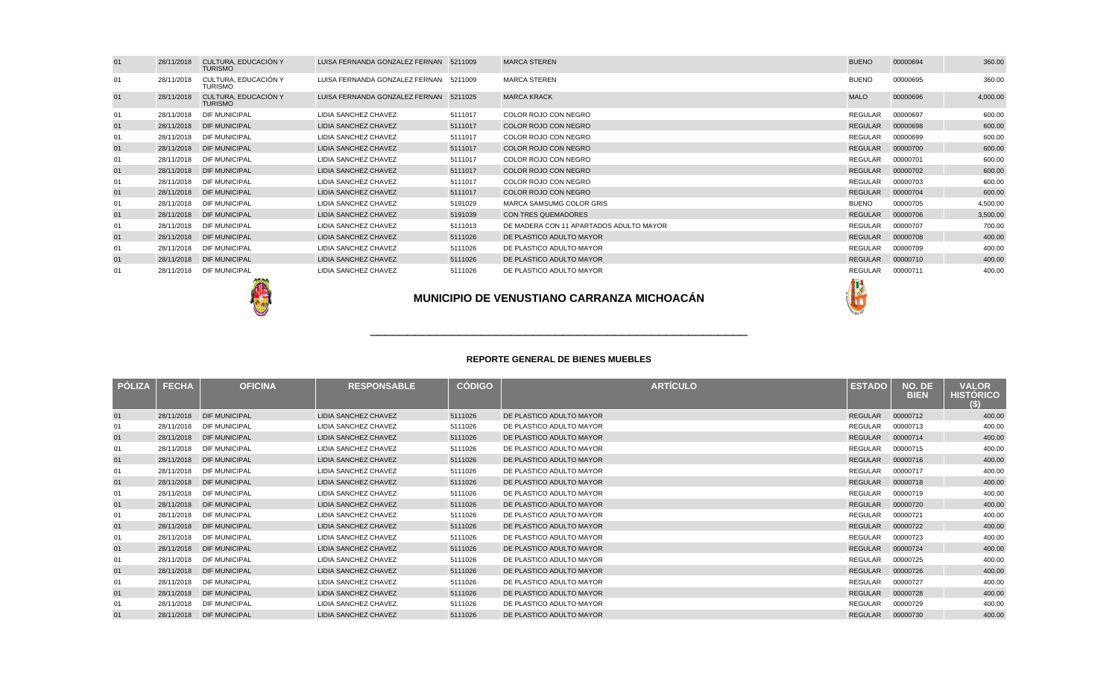| 01 | 28/11/2018 | CULTURA, EDUCACIÓN Y<br><b>TURISMO</b> | LUISA FERNANDA GONZALEZ FERNAN 5211009 |         | <b>MARCA STEREN</b>                     | <b>BUENO</b> | 00000694 | 360.00   |
|----|------------|----------------------------------------|----------------------------------------|---------|-----------------------------------------|--------------|----------|----------|
| 01 | 28/11/2018 | CULTURA, EDUCACIÓN Y<br><b>TURISMO</b> | LUISA FERNANDA GONZALEZ FERNAN 5211009 |         | <b>MARCA STEREN</b>                     | <b>BUENO</b> | 00000695 | 360.00   |
| 01 | 28/11/2018 | CULTURA, EDUCACIÓN Y<br><b>TURISMO</b> | LUISA FERNANDA GONZALEZ FERNAN 5211025 |         | <b>MARCA KRACK</b>                      | <b>MALO</b>  | 00000696 | 4,000.00 |
| 01 | 28/11/2018 | <b>DIF MUNICIPAL</b>                   | LIDIA SANCHEZ CHAVEZ                   | 5111017 | COLOR ROJO CON NEGRO                    | REGULAR      | 00000697 | 600.00   |
| 01 |            | 28/11/2018 DIF MUNICIPAL               | LIDIA SANCHEZ CHAVEZ                   | 5111017 | COLOR ROJO CON NEGRO                    | REGULAR      | 00000698 | 600.00   |
| 01 | 28/11/2018 | <b>DIF MUNICIPAL</b>                   | LIDIA SANCHEZ CHAVEZ                   | 5111017 | COLOR ROJO CON NEGRO                    | REGULAR      | 00000699 | 600.00   |
| 01 |            | 28/11/2018 DIF MUNICIPAL               | LIDIA SANCHEZ CHAVEZ                   | 5111017 | COLOR ROJO CON NEGRO                    | REGULAR      | 00000700 | 600.00   |
| 01 | 28/11/2018 | <b>DIF MUNICIPAL</b>                   | LIDIA SANCHEZ CHAVEZ                   | 5111017 | COLOR ROJO CON NEGRO                    | REGULAR      | 00000701 | 600.00   |
| 01 | 28/11/2018 | <b>DIF MUNICIPAL</b>                   | LIDIA SANCHEZ CHAVEZ                   | 5111017 | COLOR ROJO CON NEGRO                    | REGULAR      | 00000702 | 600.00   |
| 01 | 28/11/2018 | <b>DIF MUNICIPAL</b>                   | LIDIA SANCHEZ CHAVEZ                   | 5111017 | COLOR ROJO CON NEGRO                    | REGULAR      | 00000703 | 600.00   |
| 01 |            | 28/11/2018 DIF MUNICIPAL               | LIDIA SANCHEZ CHAVEZ                   | 5111017 | COLOR ROJO CON NEGRO                    | REGULAR      | 00000704 | 600.00   |
| 01 | 28/11/2018 | <b>DIF MUNICIPAL</b>                   | LIDIA SANCHEZ CHAVEZ                   | 5191029 | MARCA SAMSUMG COLOR GRIS                | <b>BUENO</b> | 00000705 | 4,500.00 |
| 01 |            | 28/11/2018 DIF MUNICIPAL               | LIDIA SANCHEZ CHAVEZ                   | 5191039 | <b>CON TRES QUEMADORES</b>              | REGULAR      | 00000706 | 3,500.00 |
| 01 | 28/11/2018 | <b>DIF MUNICIPAL</b>                   | LIDIA SANCHEZ CHAVEZ                   | 5111013 | DE MADERA CON 11 APARTADOS ADULTO MAYOR | REGULAR      | 00000707 | 700.00   |
| 01 |            | 28/11/2018 DIF MUNICIPAL               | LIDIA SANCHEZ CHAVEZ                   | 5111026 | DE PLASTICO ADULTO MAYOR                | REGULAR      | 00000708 | 400.00   |
| 01 | 28/11/2018 | <b>DIF MUNICIPAL</b>                   | LIDIA SANCHEZ CHAVEZ                   | 5111026 | DE PLASTICO ADULTO MAYOR                | REGULAR      | 00000709 | 400.00   |
| 01 |            | 28/11/2018 DIF MUNICIPAL               | LIDIA SANCHEZ CHAVEZ                   | 5111026 | DE PLASTICO ADULTO MAYOR                | REGULAR      | 00000710 | 400.00   |
| 01 | 28/11/2018 | <b>DIF MUNICIPAL</b>                   | LIDIA SANCHEZ CHAVEZ                   | 5111026 | DE PLASTICO ADULTO MAYOR                | REGULAR      | 00000711 | 400.00   |





| <b>PÓLIZA</b> | <b>FECHA</b> | <b>OFICINA</b>       | <b>RESPONSABLE</b>          | <b>CÓDIGO</b> | <b>ARTÍCULO</b>          | <b>ESTADO</b>  | NO. DE<br><b>BIEN</b> | <b>VALOR</b><br><b>HISTÓRICO</b><br>(S) |
|---------------|--------------|----------------------|-----------------------------|---------------|--------------------------|----------------|-----------------------|-----------------------------------------|
| 01            | 28/11/2018   | <b>DIF MUNICIPAL</b> | <b>LIDIA SANCHEZ CHAVEZ</b> | 5111026       | DE PLASTICO ADULTO MAYOR | <b>REGULAR</b> | 00000712              | 400.00                                  |
| 01            | 28/11/2018   | <b>DIF MUNICIPAL</b> | <b>LIDIA SANCHEZ CHAVEZ</b> | 5111026       | DE PLASTICO ADULTO MAYOR | <b>REGULAR</b> | 00000713              | 400.00                                  |
| 01            | 28/11/2018   | <b>DIF MUNICIPAL</b> | <b>LIDIA SANCHEZ CHAVEZ</b> | 5111026       | DE PLASTICO ADULTO MAYOR | <b>REGULAR</b> | 00000714              | 400.00                                  |
| 01            | 28/11/2018   | <b>DIF MUNICIPAL</b> | LIDIA SANCHEZ CHAVEZ        | 5111026       | DE PLASTICO ADULTO MAYOR | <b>REGULAR</b> | 00000715              | 400.00                                  |
| 01            | 28/11/2018   | <b>DIF MUNICIPAL</b> | <b>LIDIA SANCHEZ CHAVEZ</b> | 5111026       | DE PLASTICO ADULTO MAYOR | <b>REGULAR</b> | 00000716              | 400.00                                  |
| 01            | 28/11/2018   | <b>DIF MUNICIPAL</b> | <b>LIDIA SANCHEZ CHAVEZ</b> | 5111026       | DE PLASTICO ADULTO MAYOR | <b>REGULAR</b> | 00000717              | 400.00                                  |
| 01            | 28/11/2018   | <b>DIF MUNICIPAL</b> | <b>LIDIA SANCHEZ CHAVEZ</b> | 5111026       | DE PLASTICO ADULTO MAYOR | <b>REGULAR</b> | 00000718              | 400.00                                  |
| 01            | 28/11/2018   | <b>DIF MUNICIPAL</b> | <b>LIDIA SANCHEZ CHAVEZ</b> | 5111026       | DE PLASTICO ADULTO MAYOR | REGULAR        | 00000719              | 400.00                                  |
| 01            | 28/11/2018   | <b>DIF MUNICIPAL</b> | <b>LIDIA SANCHEZ CHAVEZ</b> | 5111026       | DE PLASTICO ADULTO MAYOR | <b>REGULAR</b> | 00000720              | 400.00                                  |
| 01            | 28/11/2018   | <b>DIF MUNICIPAL</b> | <b>LIDIA SANCHEZ CHAVEZ</b> | 5111026       | DE PLASTICO ADULTO MAYOR | <b>REGULAR</b> | 00000721              | 400.00                                  |
| 01            | 28/11/2018   | <b>DIF MUNICIPAL</b> | <b>LIDIA SANCHEZ CHAVEZ</b> | 5111026       | DE PLASTICO ADULTO MAYOR | <b>REGULAR</b> | 00000722              | 400.00                                  |
| 01            | 28/11/2018   | <b>DIF MUNICIPAL</b> | <b>LIDIA SANCHEZ CHAVEZ</b> | 5111026       | DE PLASTICO ADULTO MAYOR | <b>REGULAR</b> | 00000723              | 400.00                                  |
| 01            | 28/11/2018   | <b>DIF MUNICIPAL</b> | <b>LIDIA SANCHEZ CHAVEZ</b> | 5111026       | DE PLASTICO ADULTO MAYOR | <b>REGULAR</b> | 00000724              | 400.00                                  |
| 01            | 28/11/2018   | <b>DIF MUNICIPAL</b> | <b>LIDIA SANCHEZ CHAVEZ</b> | 5111026       | DE PLASTICO ADULTO MAYOR | <b>REGULAR</b> | 00000725              | 400.00                                  |
| 01            | 28/11/2018   | <b>DIF MUNICIPAL</b> | <b>LIDIA SANCHEZ CHAVEZ</b> | 5111026       | DE PLASTICO ADULTO MAYOR | <b>REGULAR</b> | 00000726              | 400.00                                  |
| 01            | 28/11/2018   | <b>DIF MUNICIPAL</b> | <b>LIDIA SANCHEZ CHAVEZ</b> | 5111026       | DE PLASTICO ADULTO MAYOR | REGULAR        | 00000727              | 400.00                                  |
| 01            | 28/11/2018   | <b>DIF MUNICIPAL</b> | <b>LIDIA SANCHEZ CHAVEZ</b> | 5111026       | DE PLASTICO ADULTO MAYOR | <b>REGULAR</b> | 00000728              | 400.00                                  |
| 01            | 28/11/2018   | <b>DIF MUNICIPAL</b> | <b>LIDIA SANCHEZ CHAVEZ</b> | 5111026       | DE PLASTICO ADULTO MAYOR | <b>REGULAR</b> | 00000729              | 400.00                                  |
| 01            | 28/11/2018   | <b>DIF MUNICIPAL</b> | <b>LIDIA SANCHEZ CHAVEZ</b> | 5111026       | DE PLASTICO ADULTO MAYOR | <b>REGULAR</b> | 00000730              | 400.00                                  |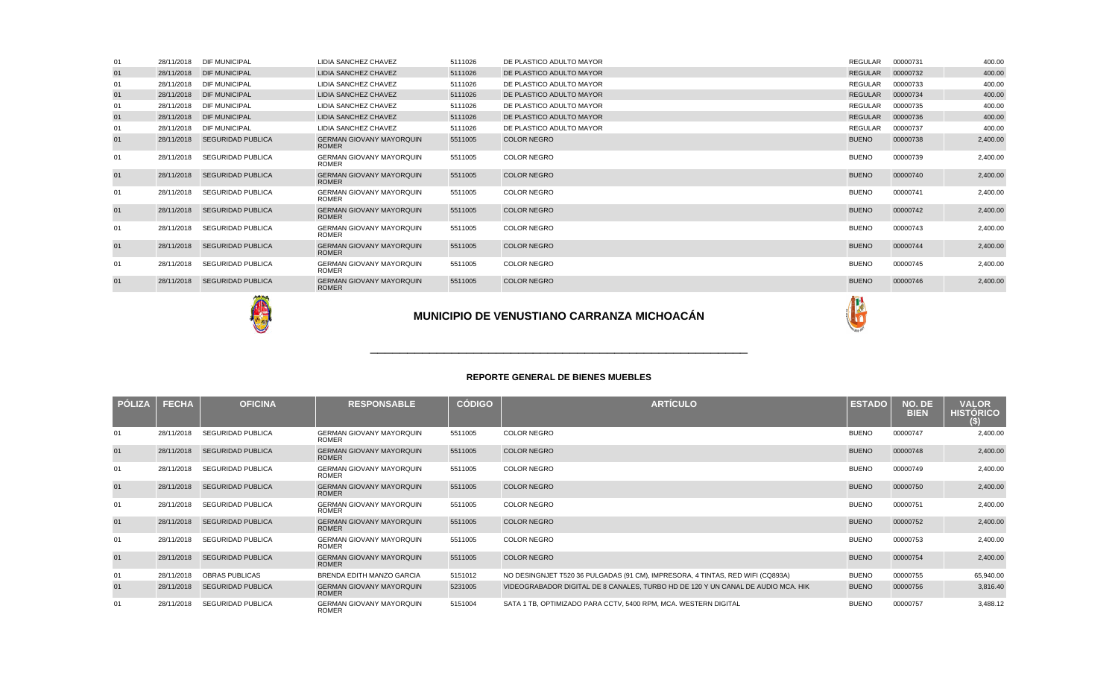| <b>PÓLIZA</b> | <b>FECHA</b> | <b>OFICINA</b>           | <b>RESPONSABLE</b>                              | <b>CÓDIGO</b> | <b>ARTICULO</b>                                                                  | <b>ESTADO</b> | NO. DE<br><b>BIEN</b> | <b>VALOR</b><br><b>HISTORICO</b><br>(S) |
|---------------|--------------|--------------------------|-------------------------------------------------|---------------|----------------------------------------------------------------------------------|---------------|-----------------------|-----------------------------------------|
| 01            | 28/11/2018   | SEGURIDAD PUBLICA        | <b>GERMAN GIOVANY MAYORQUIN</b><br><b>ROMER</b> | 5511005       | <b>COLOR NEGRO</b>                                                               | <b>BUENO</b>  | 00000747              | 2,400.00                                |
| 01            | 28/11/2018   | <b>SEGURIDAD PUBLICA</b> | <b>GERMAN GIOVANY MAYORQUIN</b><br><b>ROMER</b> | 5511005       | <b>COLOR NEGRO</b>                                                               | <b>BUENO</b>  | 00000748              | 2,400.00                                |
| 01            | 28/11/2018   | <b>SEGURIDAD PUBLICA</b> | <b>GERMAN GIOVANY MAYORQUIN</b><br><b>ROMER</b> | 5511005       | <b>COLOR NEGRO</b>                                                               | <b>BUENO</b>  | 00000749              | 2,400.00                                |
| 01            | 28/11/2018   | <b>SEGURIDAD PUBLICA</b> | <b>GERMAN GIOVANY MAYORQUIN</b><br><b>ROMER</b> | 5511005       | <b>COLOR NEGRO</b>                                                               | <b>BUENO</b>  | 00000750              | 2,400.00                                |
| 01            | 28/11/2018   | <b>SEGURIDAD PUBLICA</b> | <b>GERMAN GIOVANY MAYORQUIN</b><br><b>ROMER</b> | 5511005       | <b>COLOR NEGRO</b>                                                               | <b>BUENO</b>  | 00000751              | 2,400.00                                |
| 01            | 28/11/2018   | <b>SEGURIDAD PUBLICA</b> | <b>GERMAN GIOVANY MAYORQUIN</b><br><b>ROMER</b> | 5511005       | <b>COLOR NEGRO</b>                                                               | <b>BUENO</b>  | 00000752              | 2,400.00                                |
| 01            | 28/11/2018   | <b>SEGURIDAD PUBLICA</b> | <b>GERMAN GIOVANY MAYORQUIN</b><br><b>ROMER</b> | 5511005       | <b>COLOR NEGRO</b>                                                               | <b>BUENO</b>  | 00000753              | 2,400.00                                |
| 01            | 28/11/2018   | <b>SEGURIDAD PUBLICA</b> | <b>GERMAN GIOVANY MAYORQUIN</b><br><b>ROMER</b> | 5511005       | <b>COLOR NEGRO</b>                                                               | <b>BUENO</b>  | 00000754              | 2,400.00                                |
| 01            | 28/11/2018   | <b>OBRAS PUBLICAS</b>    | BRENDA EDITH MANZO GARCIA                       | 5151012       | NO DESINGNJET T520 36 PULGADAS (91 CM), IMPRESORA, 4 TINTAS, RED WIFI (CQ893A)   | <b>BUENO</b>  | 00000755              | 65,940.00                               |
| 01            | 28/11/2018   | <b>SEGURIDAD PUBLICA</b> | <b>GERMAN GIOVANY MAYORQUIN</b><br><b>ROMER</b> | 5231005       | VIDEOGRABADOR DIGITAL DE 8 CANALES, TURBO HD DE 120 Y UN CANAL DE AUDIO MCA. HIK | <b>BUENO</b>  | 00000756              | 3,816.40                                |
| 01            | 28/11/2018   | <b>SEGURIDAD PUBLICA</b> | <b>GERMAN GIOVANY MAYORQUIN</b><br><b>ROMER</b> | 5151004       | SATA 1 TB, OPTIMIZADO PARA CCTV, 5400 RPM, MCA. WESTERN DIGITAL                  | <b>BUENO</b>  | 00000757              | 3,488.12                                |

\_\_\_\_\_\_\_\_\_\_\_\_\_\_\_\_\_\_\_\_\_\_\_\_\_\_\_\_\_\_\_\_\_\_\_\_\_\_\_\_\_\_\_\_\_\_\_\_\_\_\_



| 01 | 28/11/2018 | <b>DIF MUNICIPAL</b>     | <b>LIDIA SANCHEZ CHAVEZ</b>                     | 5111026 | DE PLASTICO ADULTO MAYOR | <b>REGULAR</b> | 00000731 | 400.00   |
|----|------------|--------------------------|-------------------------------------------------|---------|--------------------------|----------------|----------|----------|
| 01 | 28/11/2018 | <b>DIF MUNICIPAL</b>     | <b>LIDIA SANCHEZ CHAVEZ</b>                     | 5111026 | DE PLASTICO ADULTO MAYOR | <b>REGULAR</b> | 00000732 | 400.00   |
| 01 | 28/11/2018 | <b>DIF MUNICIPAL</b>     | <b>LIDIA SANCHEZ CHAVEZ</b>                     | 5111026 | DE PLASTICO ADULTO MAYOR | <b>REGULAR</b> | 00000733 | 400.00   |
| 01 | 28/11/2018 | <b>DIF MUNICIPAL</b>     | <b>LIDIA SANCHEZ CHAVEZ</b>                     | 5111026 | DE PLASTICO ADULTO MAYOR | <b>REGULAR</b> | 00000734 | 400.00   |
| 01 | 28/11/2018 | <b>DIF MUNICIPAL</b>     | <b>LIDIA SANCHEZ CHAVEZ</b>                     | 5111026 | DE PLASTICO ADULTO MAYOR | <b>REGULAR</b> | 00000735 | 400.00   |
| 01 | 28/11/2018 | <b>DIF MUNICIPAL</b>     | <b>LIDIA SANCHEZ CHAVEZ</b>                     | 5111026 | DE PLASTICO ADULTO MAYOR | <b>REGULAR</b> | 00000736 | 400.00   |
| 01 | 28/11/2018 | <b>DIF MUNICIPAL</b>     | LIDIA SANCHEZ CHAVEZ                            | 5111026 | DE PLASTICO ADULTO MAYOR | <b>REGULAR</b> | 00000737 | 400.00   |
| 01 | 28/11/2018 | <b>SEGURIDAD PUBLICA</b> | <b>GERMAN GIOVANY MAYORQUIN</b><br><b>ROMER</b> | 5511005 | <b>COLOR NEGRO</b>       | <b>BUENO</b>   | 00000738 | 2,400.00 |
| 01 | 28/11/2018 | <b>SEGURIDAD PUBLICA</b> | <b>GERMAN GIOVANY MAYORQUIN</b><br><b>ROMER</b> | 5511005 | <b>COLOR NEGRO</b>       | <b>BUENO</b>   | 00000739 | 2,400.00 |
| 01 | 28/11/2018 | <b>SEGURIDAD PUBLICA</b> | <b>GERMAN GIOVANY MAYORQUIN</b><br><b>ROMER</b> | 5511005 | <b>COLOR NEGRO</b>       | <b>BUENO</b>   | 00000740 | 2,400.00 |
| 01 | 28/11/2018 | <b>SEGURIDAD PUBLICA</b> | <b>GERMAN GIOVANY MAYORQUIN</b><br><b>ROMER</b> | 5511005 | <b>COLOR NEGRO</b>       | <b>BUENO</b>   | 00000741 | 2,400.00 |
| 01 | 28/11/2018 | <b>SEGURIDAD PUBLICA</b> | <b>GERMAN GIOVANY MAYORQUIN</b><br><b>ROMER</b> | 5511005 | <b>COLOR NEGRO</b>       | <b>BUENO</b>   | 00000742 | 2,400.00 |
| 01 | 28/11/2018 | <b>SEGURIDAD PUBLICA</b> | <b>GERMAN GIOVANY MAYORQUIN</b><br><b>ROMER</b> | 5511005 | <b>COLOR NEGRO</b>       | <b>BUENO</b>   | 00000743 | 2,400.00 |
| 01 | 28/11/2018 | <b>SEGURIDAD PUBLICA</b> | <b>GERMAN GIOVANY MAYORQUIN</b><br><b>ROMER</b> | 5511005 | <b>COLOR NEGRO</b>       | <b>BUENO</b>   | 00000744 | 2,400.00 |
| 01 | 28/11/2018 | <b>SEGURIDAD PUBLICA</b> | <b>GERMAN GIOVANY MAYORQUIN</b><br><b>ROMER</b> | 5511005 | <b>COLOR NEGRO</b>       | <b>BUENO</b>   | 00000745 | 2,400.00 |
| 01 | 28/11/2018 | <b>SEGURIDAD PUBLICA</b> | <b>GERMAN GIOVANY MAYORQUIN</b><br><b>ROMER</b> | 5511005 | <b>COLOR NEGRO</b>       | <b>BUENO</b>   | 00000746 | 2,400.00 |